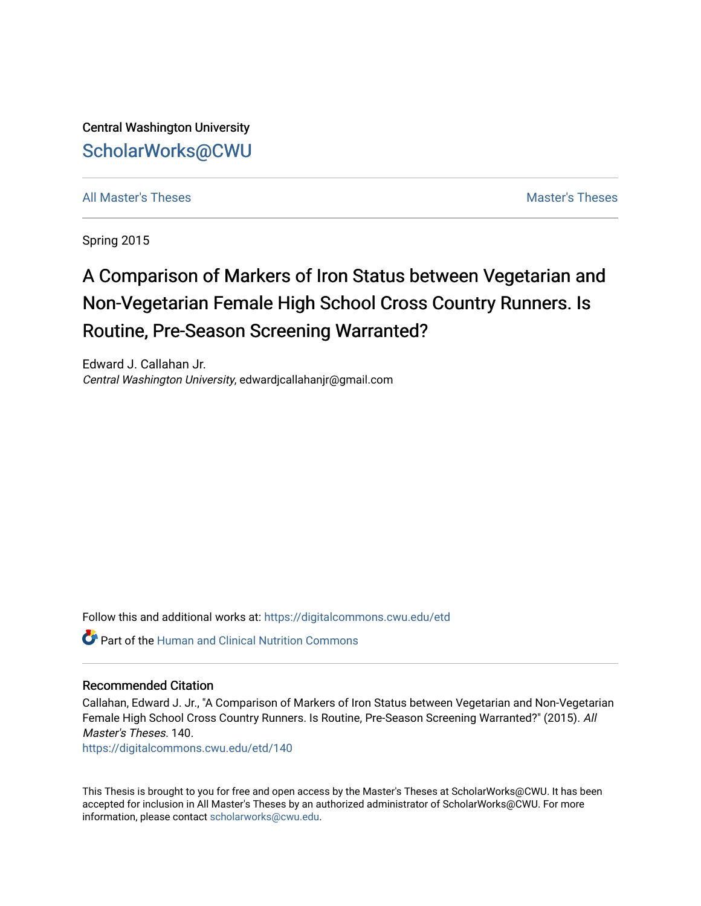Central Washington University [ScholarWorks@CWU](https://digitalcommons.cwu.edu/) 

[All Master's Theses](https://digitalcommons.cwu.edu/etd) and the set of the set of the set of the set of the set of the set of the set of the set of the set of the set of the set of the set of the set of the set of the set of the set of the set of the set of

Spring 2015

# A Comparison of Markers of Iron Status between Vegetarian and Non-Vegetarian Female High School Cross Country Runners. Is Routine, Pre-Season Screening Warranted?

Edward J. Callahan Jr. Central Washington University, edwardjcallahanjr@gmail.com

Follow this and additional works at: [https://digitalcommons.cwu.edu/etd](https://digitalcommons.cwu.edu/etd?utm_source=digitalcommons.cwu.edu%2Fetd%2F140&utm_medium=PDF&utm_campaign=PDFCoverPages) 

**C** Part of the [Human and Clinical Nutrition Commons](http://network.bepress.com/hgg/discipline/97?utm_source=digitalcommons.cwu.edu%2Fetd%2F140&utm_medium=PDF&utm_campaign=PDFCoverPages)

# Recommended Citation

Callahan, Edward J. Jr., "A Comparison of Markers of Iron Status between Vegetarian and Non-Vegetarian Female High School Cross Country Runners. Is Routine, Pre-Season Screening Warranted?" (2015). All Master's Theses. 140.

[https://digitalcommons.cwu.edu/etd/140](https://digitalcommons.cwu.edu/etd/140?utm_source=digitalcommons.cwu.edu%2Fetd%2F140&utm_medium=PDF&utm_campaign=PDFCoverPages) 

This Thesis is brought to you for free and open access by the Master's Theses at ScholarWorks@CWU. It has been accepted for inclusion in All Master's Theses by an authorized administrator of ScholarWorks@CWU. For more information, please contact [scholarworks@cwu.edu.](mailto:scholarworks@cwu.edu)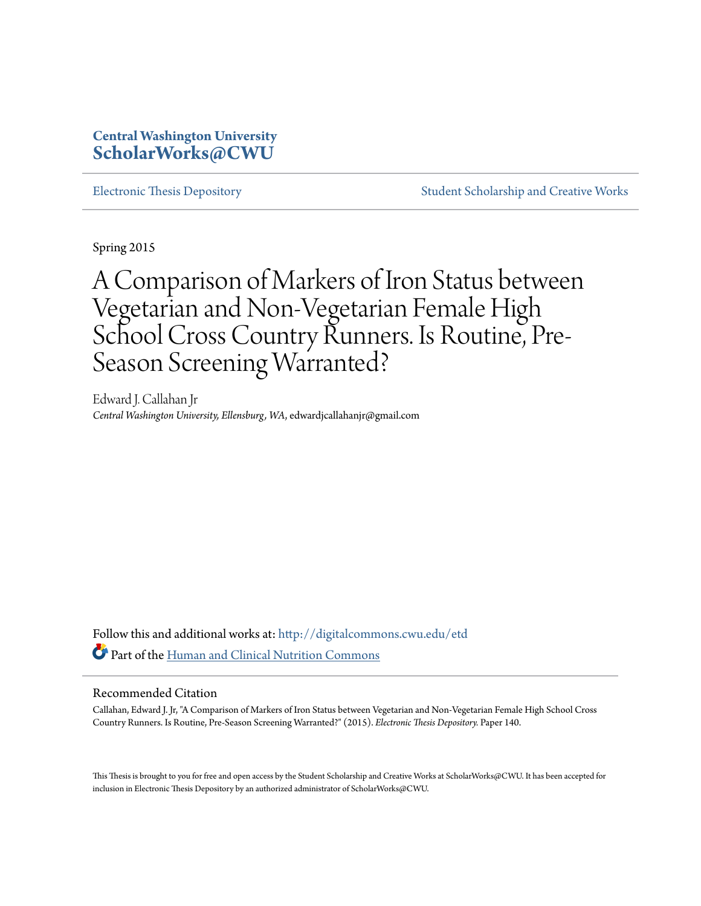# **Central Washington University [ScholarWorks@CWU](http://digitalcommons.cwu.edu?utm_source=digitalcommons.cwu.edu%2Fetd%2F140&utm_medium=PDF&utm_campaign=PDFCoverPages)**

[Electronic Thesis Depository](http://digitalcommons.cwu.edu/etd?utm_source=digitalcommons.cwu.edu%2Fetd%2F140&utm_medium=PDF&utm_campaign=PDFCoverPages) [Student Scholarship and Creative Works](http://digitalcommons.cwu.edu/student_scholarship?utm_source=digitalcommons.cwu.edu%2Fetd%2F140&utm_medium=PDF&utm_campaign=PDFCoverPages)

Spring 2015

A Comparison of Markers of Iron Status between Vegetarian and Non-Vegetarian Female High School Cross Country Runners. Is Routine, Pre-Season Screening Warranted?

Edward J. Callahan Jr *Central Washington University, Ellensburg, WA*, edwardjcallahanjr@gmail.com

Follow this and additional works at: [http://digitalcommons.cwu.edu/etd](http://digitalcommons.cwu.edu/etd?utm_source=digitalcommons.cwu.edu%2Fetd%2F140&utm_medium=PDF&utm_campaign=PDFCoverPages) Part of the [Human and Clinical Nutrition Commons](http://network.bepress.com/hgg/discipline/97?utm_source=digitalcommons.cwu.edu%2Fetd%2F140&utm_medium=PDF&utm_campaign=PDFCoverPages)

# Recommended Citation

Callahan, Edward J. Jr, "A Comparison of Markers of Iron Status between Vegetarian and Non-Vegetarian Female High School Cross Country Runners. Is Routine, Pre-Season Screening Warranted?" (2015). *Electronic Thesis Depository.* Paper 140.

This Thesis is brought to you for free and open access by the Student Scholarship and Creative Works at ScholarWorks@CWU. It has been accepted for inclusion in Electronic Thesis Depository by an authorized administrator of ScholarWorks@CWU.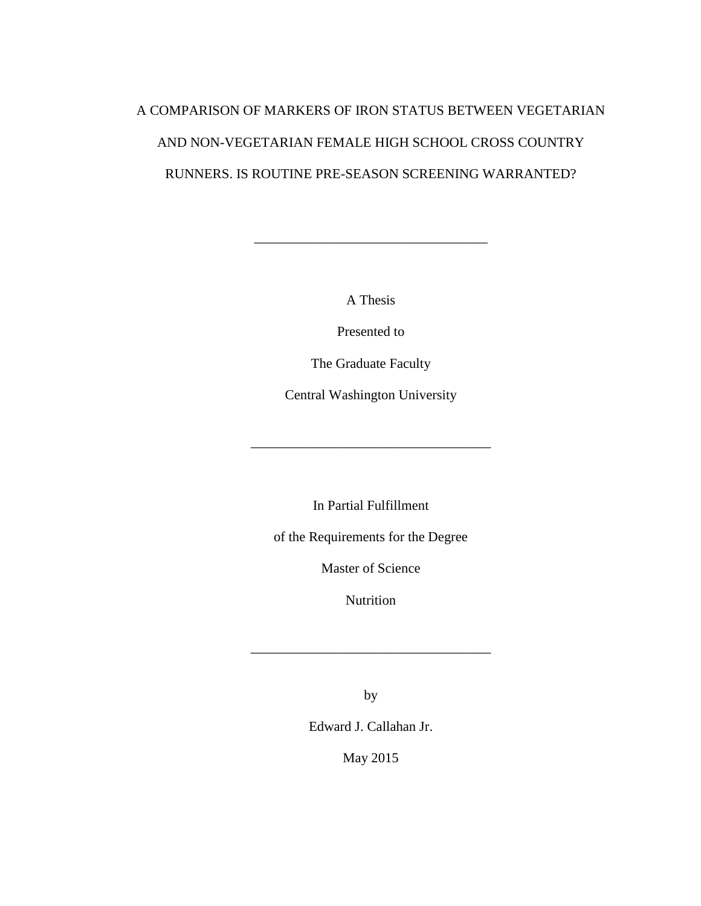# A COMPARISON OF MARKERS OF IRON STATUS BETWEEN VEGETARIAN AND NON-VEGETARIAN FEMALE HIGH SCHOOL CROSS COUNTRY RUNNERS. IS ROUTINE PRE-SEASON SCREENING WARRANTED?

A Thesis

\_\_\_\_\_\_\_\_\_\_\_\_\_\_\_\_\_\_\_\_\_\_\_\_\_\_\_\_\_\_\_\_\_\_

Presented to

The Graduate Faculty

Central Washington University

\_\_\_\_\_\_\_\_\_\_\_\_\_\_\_\_\_\_\_\_\_\_\_\_\_\_\_\_\_\_\_\_\_\_\_

In Partial Fulfillment

of the Requirements for the Degree

Master of Science

Nutrition

\_\_\_\_\_\_\_\_\_\_\_\_\_\_\_\_\_\_\_\_\_\_\_\_\_\_\_\_\_\_\_\_\_\_\_

by

Edward J. Callahan Jr.

May 2015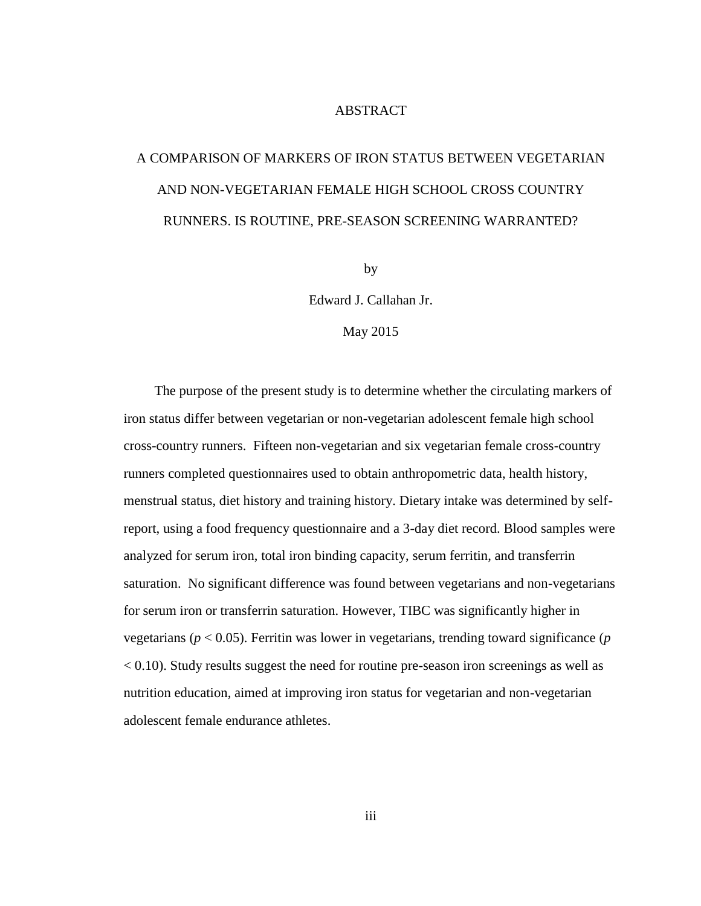# ABSTRACT

# A COMPARISON OF MARKERS OF IRON STATUS BETWEEN VEGETARIAN AND NON-VEGETARIAN FEMALE HIGH SCHOOL CROSS COUNTRY RUNNERS. IS ROUTINE, PRE-SEASON SCREENING WARRANTED?

by

Edward J. Callahan Jr.

#### May 2015

The purpose of the present study is to determine whether the circulating markers of iron status differ between vegetarian or non-vegetarian adolescent female high school cross-country runners. Fifteen non-vegetarian and six vegetarian female cross-country runners completed questionnaires used to obtain anthropometric data, health history, menstrual status, diet history and training history. Dietary intake was determined by selfreport, using a food frequency questionnaire and a 3-day diet record. Blood samples were analyzed for serum iron, total iron binding capacity, serum ferritin, and transferrin saturation. No significant difference was found between vegetarians and non-vegetarians for serum iron or transferrin saturation. However, TIBC was significantly higher in vegetarians (*p* < 0.05). Ferritin was lower in vegetarians, trending toward significance (*p* < 0.10). Study results suggest the need for routine pre-season iron screenings as well as nutrition education, aimed at improving iron status for vegetarian and non-vegetarian adolescent female endurance athletes.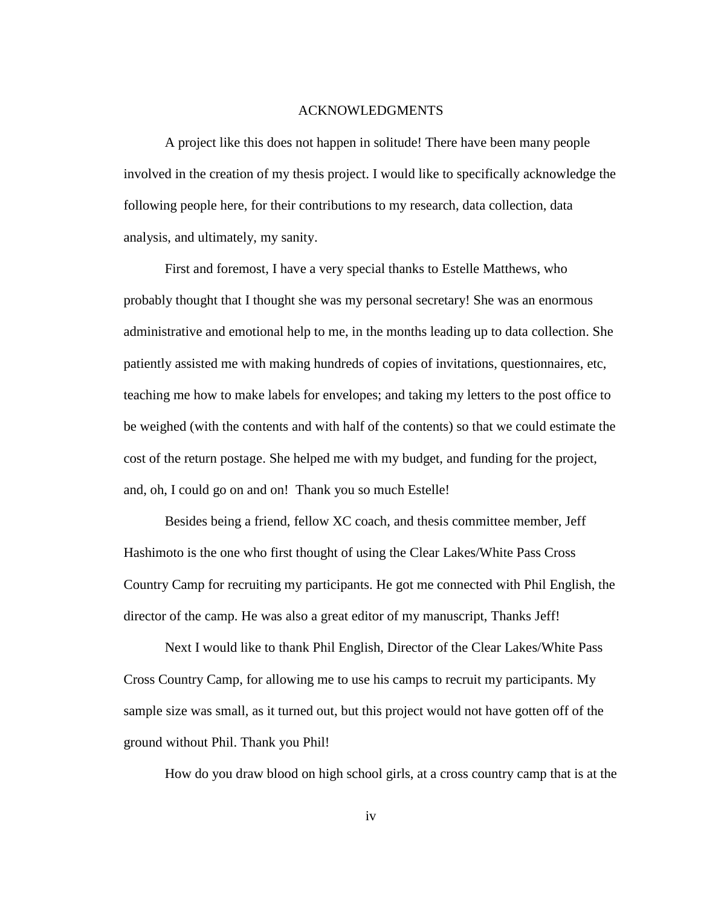#### ACKNOWLEDGMENTS

A project like this does not happen in solitude! There have been many people involved in the creation of my thesis project. I would like to specifically acknowledge the following people here, for their contributions to my research, data collection, data analysis, and ultimately, my sanity.

First and foremost, I have a very special thanks to Estelle Matthews, who probably thought that I thought she was my personal secretary! She was an enormous administrative and emotional help to me, in the months leading up to data collection. She patiently assisted me with making hundreds of copies of invitations, questionnaires, etc, teaching me how to make labels for envelopes; and taking my letters to the post office to be weighed (with the contents and with half of the contents) so that we could estimate the cost of the return postage. She helped me with my budget, and funding for the project, and, oh, I could go on and on! Thank you so much Estelle!

Besides being a friend, fellow XC coach, and thesis committee member, Jeff Hashimoto is the one who first thought of using the Clear Lakes/White Pass Cross Country Camp for recruiting my participants. He got me connected with Phil English, the director of the camp. He was also a great editor of my manuscript, Thanks Jeff!

Next I would like to thank Phil English, Director of the Clear Lakes/White Pass Cross Country Camp, for allowing me to use his camps to recruit my participants. My sample size was small, as it turned out, but this project would not have gotten off of the ground without Phil. Thank you Phil!

How do you draw blood on high school girls, at a cross country camp that is at the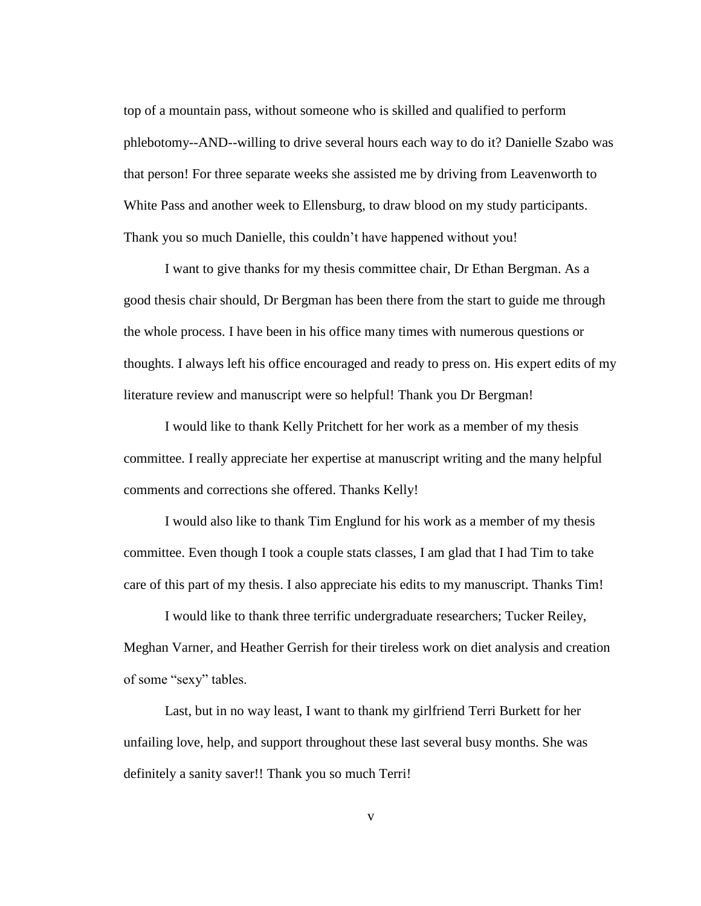top of a mountain pass, without someone who is skilled and qualified to perform phlebotomy--AND--willing to drive several hours each way to do it? Danielle Szabo was that person! For three separate weeks she assisted me by driving from Leavenworth to White Pass and another week to Ellensburg, to draw blood on my study participants. Thank you so much Danielle, this couldn't have happened without you!

I want to give thanks for my thesis committee chair, Dr Ethan Bergman. As a good thesis chair should, Dr Bergman has been there from the start to guide me through the whole process. I have been in his office many times with numerous questions or thoughts. I always left his office encouraged and ready to press on. His expert edits of my literature review and manuscript were so helpful! Thank you Dr Bergman!

I would like to thank Kelly Pritchett for her work as a member of my thesis committee. I really appreciate her expertise at manuscript writing and the many helpful comments and corrections she offered. Thanks Kelly!

I would also like to thank Tim Englund for his work as a member of my thesis committee. Even though I took a couple stats classes, I am glad that I had Tim to take care of this part of my thesis. I also appreciate his edits to my manuscript. Thanks Tim!

I would like to thank three terrific undergraduate researchers; Tucker Reiley, Meghan Varner, and Heather Gerrish for their tireless work on diet analysis and creation of some "sexy" tables.

Last, but in no way least, I want to thank my girlfriend Terri Burkett for her unfailing love, help, and support throughout these last several busy months. She was definitely a sanity saver!! Thank you so much Terri!

v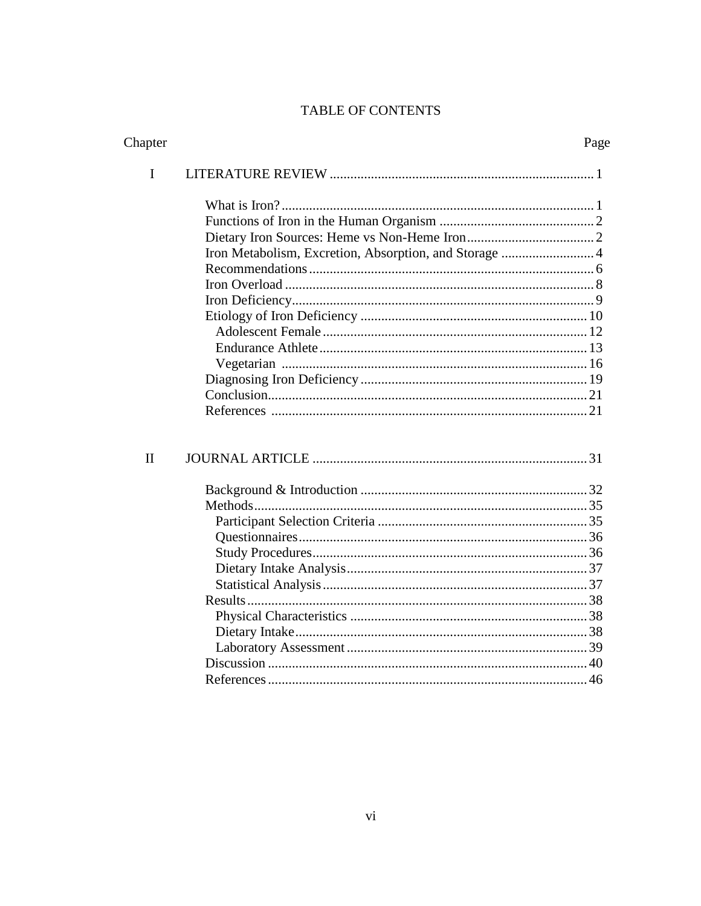# **TABLE OF CONTENTS**

| Chapter      |                                                        | Page |
|--------------|--------------------------------------------------------|------|
| I            |                                                        |      |
|              |                                                        |      |
|              |                                                        |      |
|              |                                                        |      |
|              | Iron Metabolism, Excretion, Absorption, and Storage  4 |      |
|              |                                                        |      |
|              |                                                        |      |
|              |                                                        |      |
|              |                                                        |      |
|              |                                                        |      |
|              |                                                        |      |
|              |                                                        |      |
|              |                                                        |      |
|              |                                                        |      |
|              |                                                        |      |
| $\mathbf{I}$ |                                                        |      |
|              |                                                        |      |
|              |                                                        |      |
|              |                                                        |      |
|              |                                                        |      |
|              |                                                        |      |
|              |                                                        |      |
|              |                                                        |      |
|              |                                                        |      |
|              |                                                        |      |
|              |                                                        |      |
|              |                                                        |      |
|              |                                                        |      |
|              |                                                        |      |
|              |                                                        |      |
|              |                                                        |      |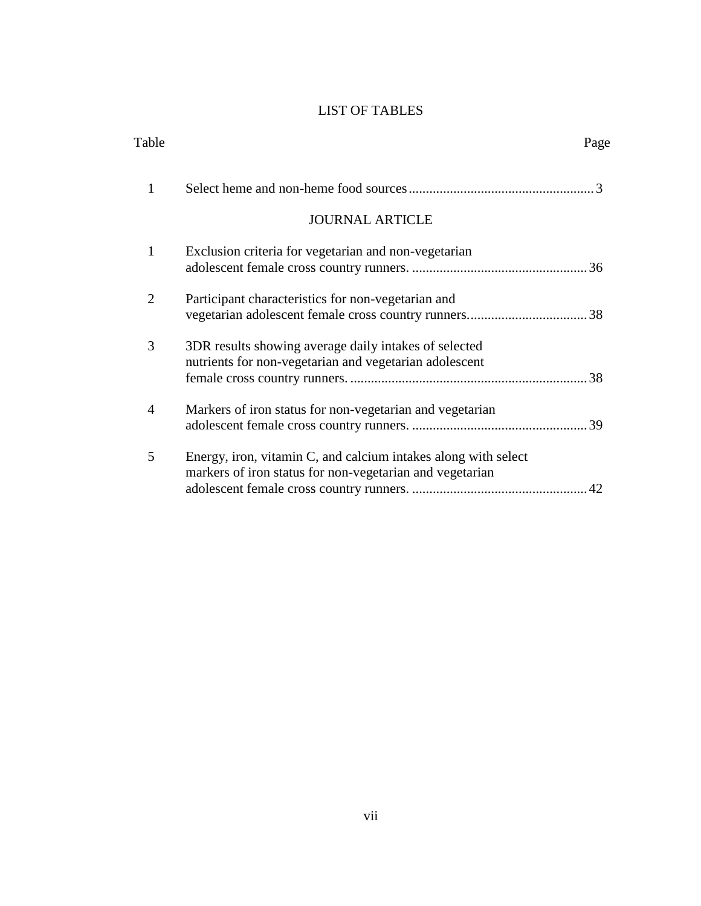# LIST OF TABLES

| Table          |                                                                                                                            | Page |
|----------------|----------------------------------------------------------------------------------------------------------------------------|------|
| 1              |                                                                                                                            |      |
|                | <b>JOURNAL ARTICLE</b>                                                                                                     |      |
| $\mathbf{1}$   | Exclusion criteria for vegetarian and non-vegetarian                                                                       |      |
| $\overline{2}$ | Participant characteristics for non-vegetarian and                                                                         |      |
| 3              | 3DR results showing average daily intakes of selected<br>nutrients for non-vegetarian and vegetarian adolescent            |      |
| $\overline{4}$ | Markers of iron status for non-vegetarian and vegetarian                                                                   |      |
| 5              | Energy, iron, vitamin C, and calcium intakes along with select<br>markers of iron status for non-vegetarian and vegetarian |      |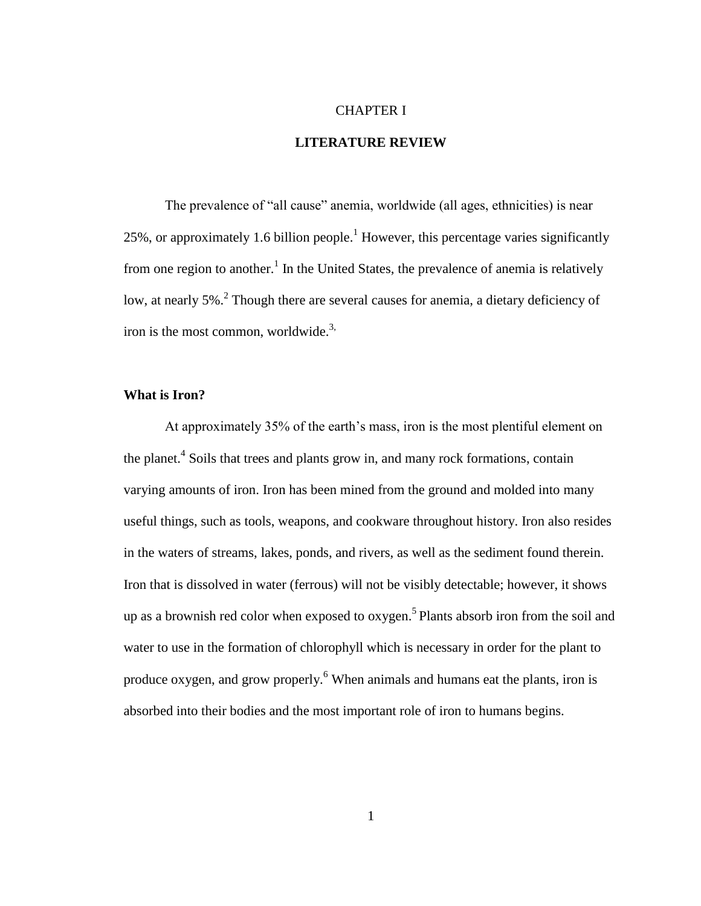#### CHAPTER I

## **LITERATURE REVIEW**

The prevalence of "all cause" anemia, worldwide (all ages, ethnicities) is near 25%, or approximately 1.6 billion people.<sup>1</sup> However, this percentage varies significantly from one region to another.<sup>1</sup> In the United States, the prevalence of anemia is relatively low, at nearly 5%.<sup>2</sup> Though there are several causes for anemia, a dietary deficiency of iron is the most common, worldwide.<sup>3,</sup>

# **What is Iron?**

At approximately 35% of the earth's mass, iron is the most plentiful element on the planet.<sup>4</sup> Soils that trees and plants grow in, and many rock formations, contain varying amounts of iron. Iron has been mined from the ground and molded into many useful things, such as tools, weapons, and cookware throughout history. Iron also resides in the waters of streams, lakes, ponds, and rivers, as well as the sediment found therein. Iron that is dissolved in water (ferrous) will not be visibly detectable; however, it shows up as a brownish red color when exposed to oxygen.<sup>5</sup> Plants absorb iron from the soil and water to use in the formation of chlorophyll which is necessary in order for the plant to produce oxygen, and grow properly.<sup>6</sup> When animals and humans eat the plants, iron is absorbed into their bodies and the most important role of iron to humans begins.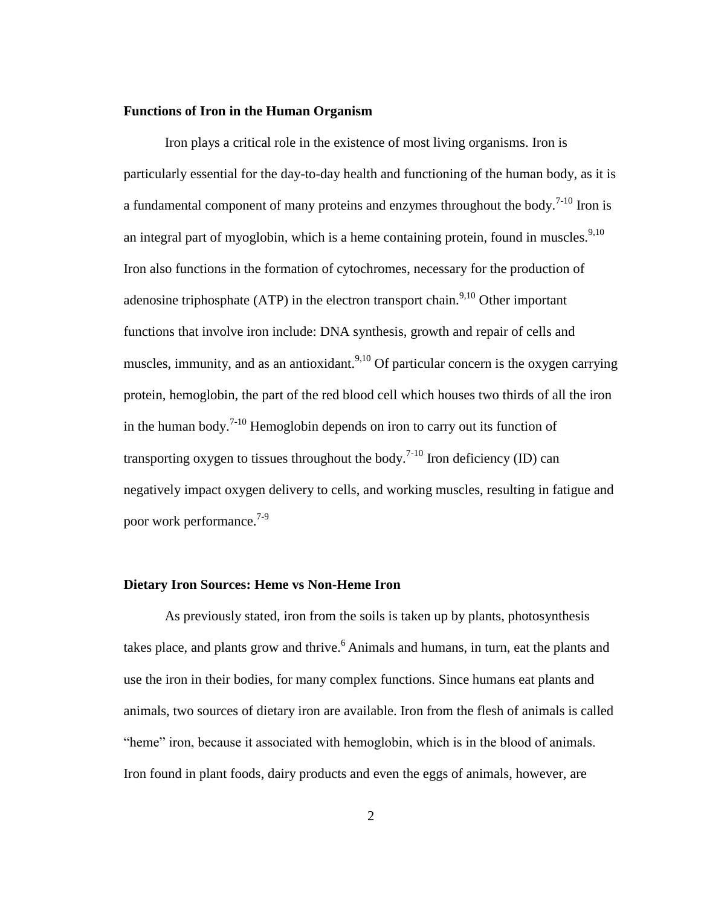# **Functions of Iron in the Human Organism**

Iron plays a critical role in the existence of most living organisms. Iron is particularly essential for the day-to-day health and functioning of the human body, as it is a fundamental component of many proteins and enzymes throughout the body.<sup>7-10</sup> Iron is an integral part of myoglobin, which is a heme containing protein, found in muscles.<sup>9,10</sup> Iron also functions in the formation of cytochromes, necessary for the production of adenosine triphosphate (ATP) in the electron transport chain.<sup>9,10</sup> Other important functions that involve iron include: DNA synthesis, growth and repair of cells and muscles, immunity, and as an antioxidant.<sup>9,10</sup> Of particular concern is the oxygen carrying protein, hemoglobin, the part of the red blood cell which houses two thirds of all the iron in the human body.<sup>7-10</sup> Hemoglobin depends on iron to carry out its function of transporting oxygen to tissues throughout the body.<sup>7-10</sup> Iron deficiency (ID) can negatively impact oxygen delivery to cells, and working muscles, resulting in fatigue and poor work performance.<sup>7-9</sup>

# **Dietary Iron Sources: Heme vs Non-Heme Iron**

As previously stated, iron from the soils is taken up by plants, photosynthesis takes place, and plants grow and thrive.<sup>6</sup> Animals and humans, in turn, eat the plants and use the iron in their bodies, for many complex functions. Since humans eat plants and animals, two sources of dietary iron are available. Iron from the flesh of animals is called "heme" iron, because it associated with hemoglobin, which is in the blood of animals. Iron found in plant foods, dairy products and even the eggs of animals, however, are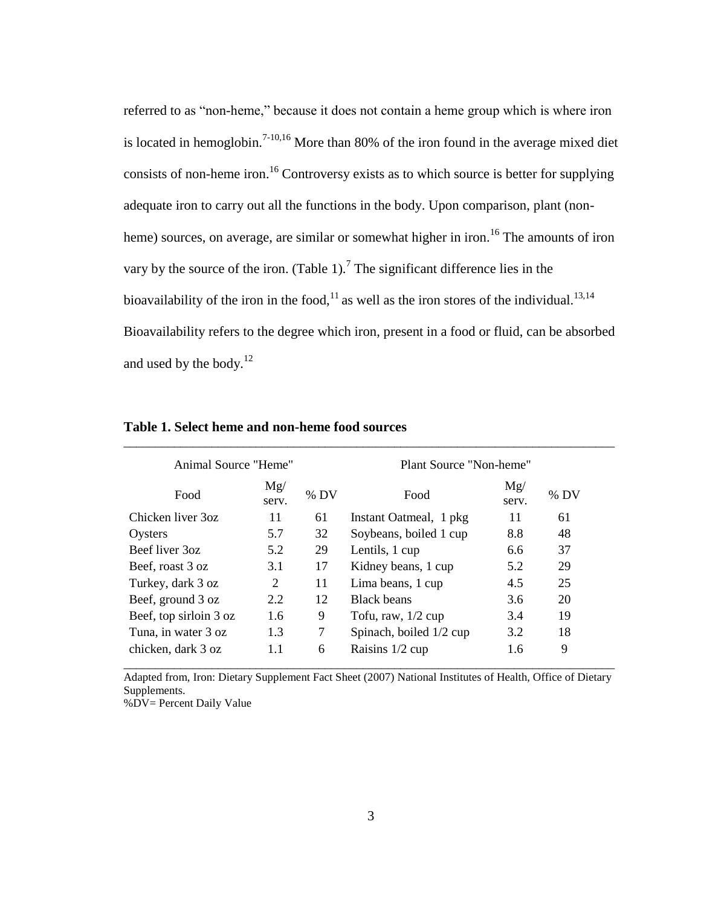referred to as "non-heme," because it does not contain a heme group which is where iron is located in hemoglobin.<sup>7-10,16</sup> More than 80% of the iron found in the average mixed diet consists of non-heme iron.<sup>16</sup> Controversy exists as to which source is better for supplying adequate iron to carry out all the functions in the body. Upon comparison, plant (nonheme) sources, on average, are similar or somewhat higher in iron.<sup>16</sup> The amounts of iron vary by the source of the iron. (Table 1).<sup>7</sup> The significant difference lies in the bioavailability of the iron in the food,<sup>11</sup> as well as the iron stores of the individual.<sup>13,14</sup> Bioavailability refers to the degree which iron, present in a food or fluid, can be absorbed and used by the body. $12$ 

| Animal Source "Heme"          |              |        | Plant Source "Non-heme"       |              |     |  |
|-------------------------------|--------------|--------|-------------------------------|--------------|-----|--|
| Food                          | Mg/<br>serv. | $%$ DV | Food                          | Mg/<br>serv. | %DV |  |
| Chicken liver 3oz             | 11           | 61     | Instant Oatmeal, 1 pkg        | 11           | 61  |  |
| Oysters                       | 5.7          | 32     | Soybeans, boiled 1 cup<br>8.8 |              | 48  |  |
| Beef liver 3oz<br>5.2         |              | 29     | Lentils, 1 cup<br>6.6         |              | 37  |  |
| Beef, roast 3 oz              | 3.1          | 17     | 5.2<br>Kidney beans, 1 cup    |              | 29  |  |
| Turkey, dark 3 oz             | 2            | 11     | Lima beans, 1 cup             | 4.5          | 25  |  |
| Beef, ground 3 oz             | 2.2          | 12     | <b>Black beans</b><br>3.6     |              | 20  |  |
| Beef, top sirloin 3 oz<br>1.6 |              | 9      | Tofu, raw, $1/2$ cup          | 3.4          | 19  |  |
| Tuna, in water 3 oz<br>1.3    |              | 7      | Spinach, boiled 1/2 cup       | 3.2          | 18  |  |
| chicken, dark 3 oz<br>1.1     |              | 6      | Raisins 1/2 cup               | 1.6          | 9   |  |

\_\_\_\_\_\_\_\_\_\_\_\_\_\_\_\_\_\_\_\_\_\_\_\_\_\_\_\_\_\_\_\_\_\_\_\_\_\_\_\_\_\_\_\_\_\_\_\_\_\_\_\_\_\_\_\_\_\_\_\_\_\_\_\_\_\_\_\_\_\_\_\_\_\_\_\_\_\_

#### **Table 1. Select heme and non-heme food sources**

Adapted from, Iron: Dietary Supplement Fact Sheet (2007) National Institutes of Health, Office of Dietary Supplements.

%DV= Percent Daily Value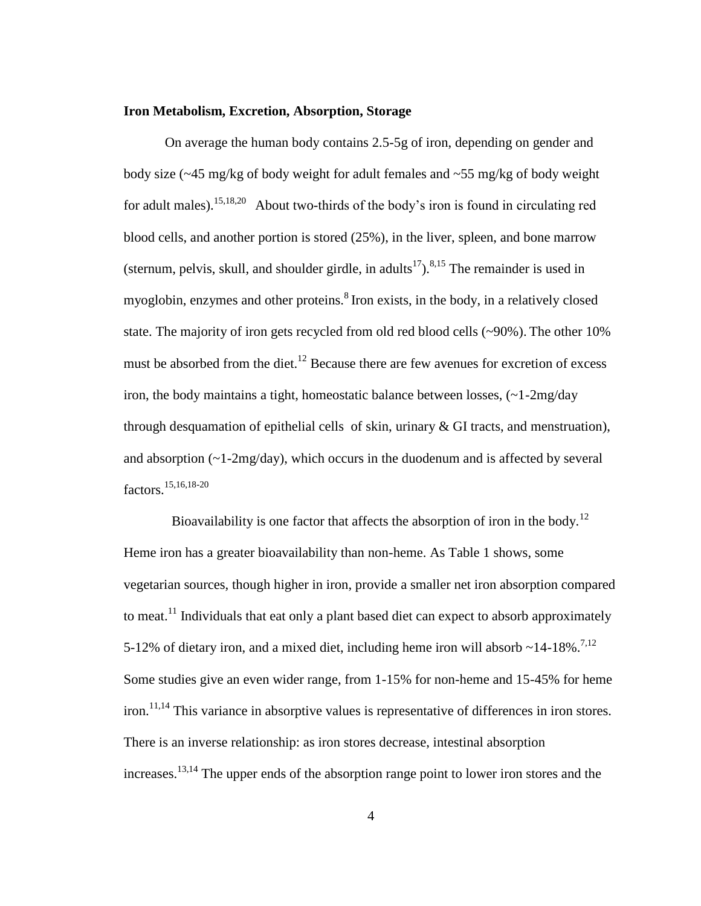# **Iron Metabolism, Excretion, Absorption, Storage**

On average the human body contains 2.5-5g of iron, depending on gender and body size  $\left(\frac{-45 \text{ mg/kg of body weight}}{2}\right)$  for adult females and  $\left(\frac{-55 \text{ mg/kg of body weight}}{2}\right)$ for adult males).<sup>15,18,20</sup> About two-thirds of the body's iron is found in circulating red blood cells, and another portion is stored (25%), in the liver, spleen, and bone marrow (sternum, pelvis, skull, and shoulder girdle, in adults<sup>17</sup>).<sup>8,15</sup> The remainder is used in myoglobin, enzymes and other proteins.<sup>8</sup> Iron exists, in the body, in a relatively closed state. The majority of iron gets recycled from old red blood cells (~90%). The other 10% must be absorbed from the diet.<sup>12</sup> Because there are few avenues for excretion of excess iron, the body maintains a tight, homeostatic balance between losses,  $\left(\sim 1-2mg/day\right)$ through desquamation of epithelial cells of skin, urinary  $\&$  GI tracts, and menstruation), and absorption (~1-2mg/day), which occurs in the duodenum and is affected by several factors.15,16,18-20

Bioavailability is one factor that affects the absorption of iron in the body.<sup>12</sup> Heme iron has a greater bioavailability than non-heme. As Table 1 shows, some vegetarian sources, though higher in iron, provide a smaller net iron absorption compared to meat.<sup>11</sup> Individuals that eat only a plant based diet can expect to absorb approximately 5-12% of dietary iron, and a mixed diet, including heme iron will absorb  $\sim$  14-18%.<sup>7,12</sup> Some studies give an even wider range, from 1-15% for non-heme and 15-45% for heme iron.<sup>11,14</sup> This variance in absorptive values is representative of differences in iron stores. There is an inverse relationship: as iron stores decrease, intestinal absorption increases.13,14 The upper ends of the absorption range point to lower iron stores and the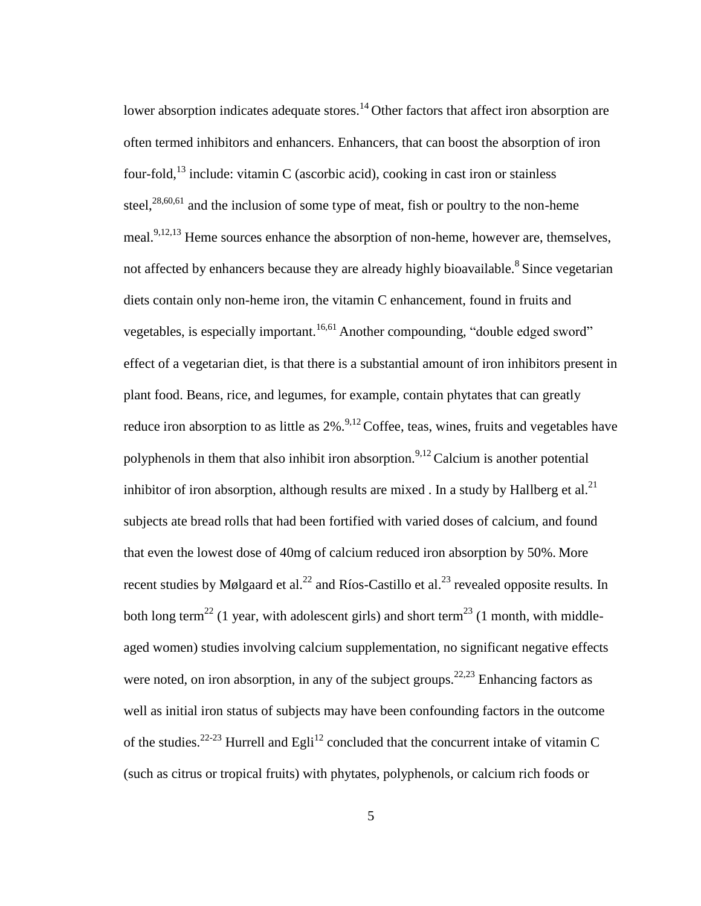lower absorption indicates adequate stores.<sup>14</sup> Other factors that affect iron absorption are often termed inhibitors and enhancers. Enhancers, that can boost the absorption of iron four-fold,<sup>13</sup> include: vitamin C (ascorbic acid), cooking in cast iron or stainless steel, $28,60,61$  and the inclusion of some type of meat, fish or poultry to the non-heme meal. $9,12,13$  Heme sources enhance the absorption of non-heme, however are, themselves, not affected by enhancers because they are already highly bioavailable.<sup>8</sup> Since vegetarian diets contain only non-heme iron, the vitamin C enhancement, found in fruits and vegetables, is especially important.<sup>16,61</sup> Another compounding, "double edged sword" effect of a vegetarian diet, is that there is a substantial amount of iron inhibitors present in plant food. Beans, rice, and legumes, for example, contain phytates that can greatly reduce iron absorption to as little as  $2\%$ .<sup>9,12</sup> Coffee, teas, wines, fruits and vegetables have polyphenols in them that also inhibit iron absorption.<sup>9,12</sup> Calcium is another potential inhibitor of iron absorption, although results are mixed. In a study by Hallberg et al.<sup>21</sup> subjects ate bread rolls that had been fortified with varied doses of calcium, and found that even the lowest dose of 40mg of calcium reduced iron absorption by 50%. More recent studies by Mølgaard et al.<sup>22</sup> and Ríos-Castillo et al.<sup>23</sup> revealed opposite results. In both long term<sup>22</sup> (1 year, with adolescent girls) and short term<sup>23</sup> (1 month, with middleaged women) studies involving calcium supplementation, no significant negative effects were noted, on iron absorption, in any of the subject groups.<sup>22,23</sup> Enhancing factors as well as initial iron status of subjects may have been confounding factors in the outcome of the studies.<sup>22-23</sup> Hurrell and Egli<sup>12</sup> concluded that the concurrent intake of vitamin C (such as citrus or tropical fruits) with phytates, polyphenols, or calcium rich foods or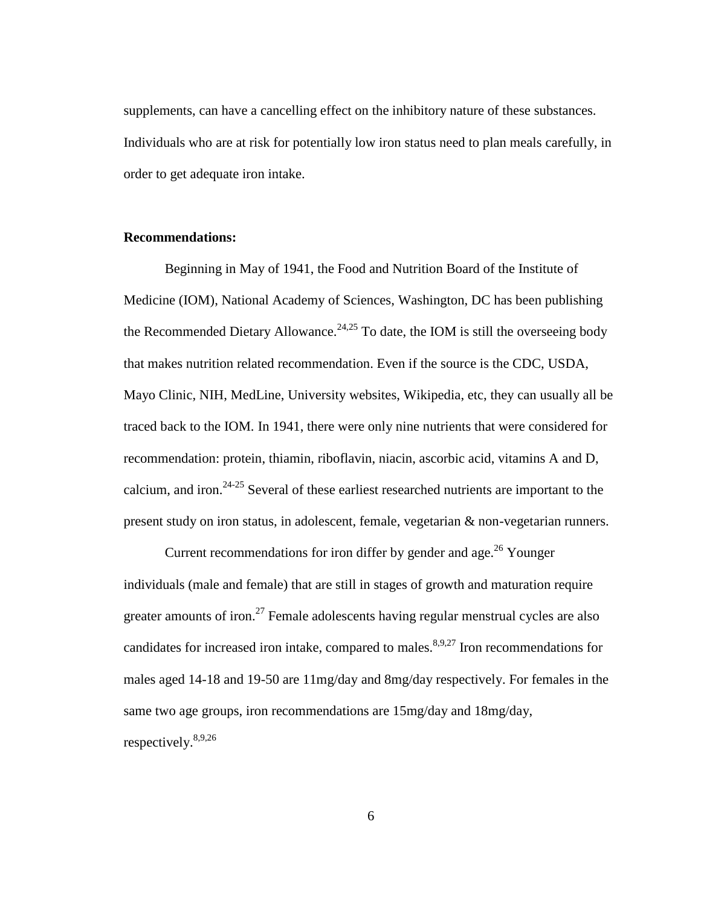supplements, can have a cancelling effect on the inhibitory nature of these substances. Individuals who are at risk for potentially low iron status need to plan meals carefully, in order to get adequate iron intake.

### **Recommendations:**

Beginning in May of 1941, the Food and Nutrition Board of the Institute of Medicine (IOM), National Academy of Sciences, Washington, DC has been publishing the Recommended Dietary Allowance.<sup>24,25</sup> To date, the IOM is still the overseeing body that makes nutrition related recommendation. Even if the source is the CDC, USDA, Mayo Clinic, NIH, MedLine, University websites, Wikipedia, etc, they can usually all be traced back to the IOM. In 1941, there were only nine nutrients that were considered for recommendation: protein, thiamin, riboflavin, niacin, ascorbic acid, vitamins A and D, calcium, and iron.<sup>24-25</sup> Several of these earliest researched nutrients are important to the present study on iron status, in adolescent, female, vegetarian & non-vegetarian runners.

Current recommendations for iron differ by gender and age.<sup>26</sup> Younger individuals (male and female) that are still in stages of growth and maturation require greater amounts of iron.<sup>27</sup> Female adolescents having regular menstrual cycles are also candidates for increased iron intake, compared to males.<sup>8,9,27</sup> Iron recommendations for males aged 14-18 and 19-50 are 11mg/day and 8mg/day respectively. For females in the same two age groups, iron recommendations are 15mg/day and 18mg/day, respectively.8,9,26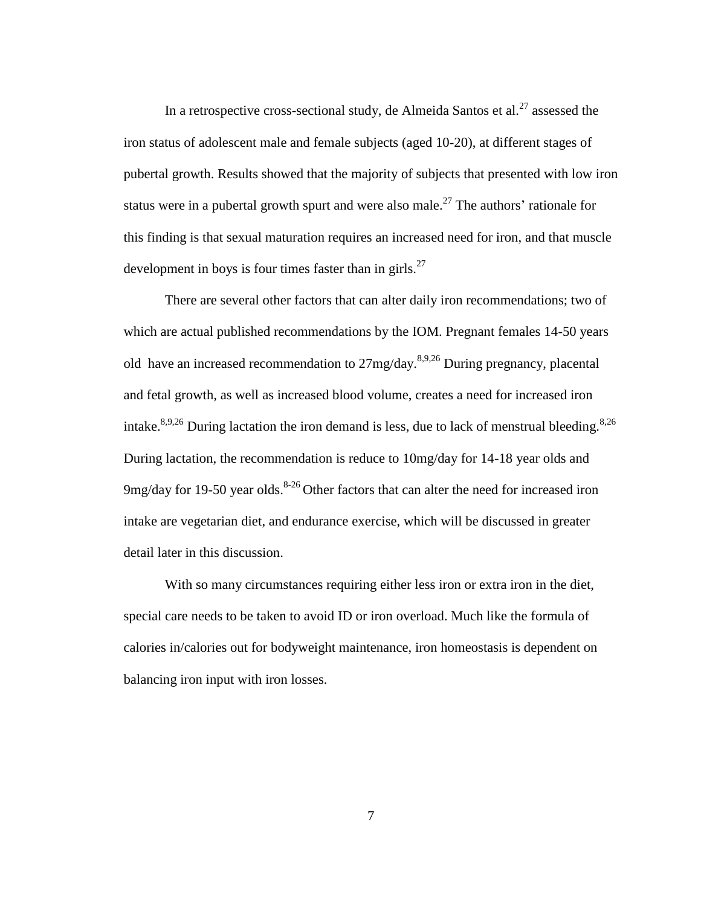In a retrospective cross-sectional study, de Almeida Santos et al.<sup>27</sup> assessed the iron status of adolescent male and female subjects (aged 10-20), at different stages of pubertal growth. Results showed that the majority of subjects that presented with low iron status were in a pubertal growth spurt and were also male.<sup>27</sup> The authors' rationale for this finding is that sexual maturation requires an increased need for iron, and that muscle development in boys is four times faster than in girls. $^{27}$ 

There are several other factors that can alter daily iron recommendations; two of which are actual published recommendations by the IOM. Pregnant females 14-50 years old have an increased recommendation to  $27mg/day$ .<sup>8,9,26</sup> During pregnancy, placental and fetal growth, as well as increased blood volume, creates a need for increased iron intake.<sup>8,9,26</sup> During lactation the iron demand is less, due to lack of menstrual bleeding.<sup>8,26</sup> During lactation, the recommendation is reduce to 10mg/day for 14-18 year olds and 9mg/day for 19-50 year olds. $8-26$  Other factors that can alter the need for increased iron intake are vegetarian diet, and endurance exercise, which will be discussed in greater detail later in this discussion.

With so many circumstances requiring either less iron or extra iron in the diet, special care needs to be taken to avoid ID or iron overload. Much like the formula of calories in/calories out for bodyweight maintenance, iron homeostasis is dependent on balancing iron input with iron losses.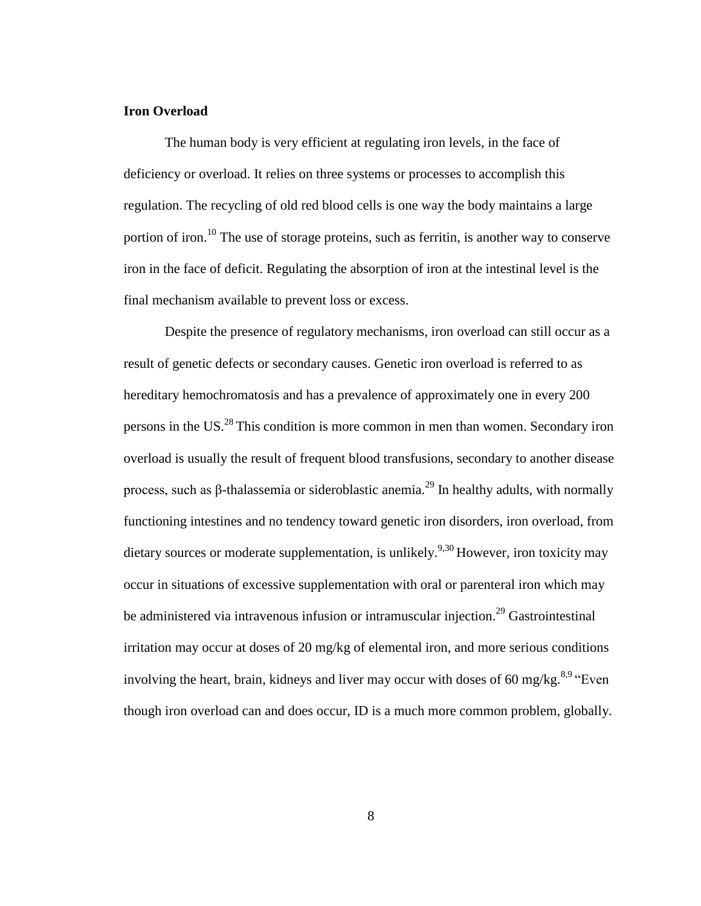# **Iron Overload**

The human body is very efficient at regulating iron levels, in the face of deficiency or overload. It relies on three systems or processes to accomplish this regulation. The recycling of old red blood cells is one way the body maintains a large portion of iron.<sup>10</sup> The use of storage proteins, such as ferritin, is another way to conserve iron in the face of deficit. Regulating the absorption of iron at the intestinal level is the final mechanism available to prevent loss or excess.

Despite the presence of regulatory mechanisms, iron overload can still occur as a result of genetic defects or secondary causes. Genetic iron overload is referred to as hereditary hemochromatosis and has a prevalence of approximately one in every 200 persons in the US.<sup>28</sup>This condition is more common in men than women. Secondary iron overload is usually the result of frequent blood transfusions, secondary to another disease process, such as β-thalassemia or sideroblastic anemia.<sup>29</sup> In healthy adults, with normally functioning intestines and no tendency toward genetic iron disorders, iron overload, from dietary sources or moderate supplementation, is unlikely.<sup>9,30</sup> However, iron toxicity may occur in situations of excessive supplementation with oral or parenteral iron which may be administered via intravenous infusion or intramuscular injection.<sup>29</sup> Gastrointestinal irritation may occur at doses of 20 mg/kg of elemental iron, and more serious conditions involving the heart, brain, kidneys and liver may occur with doses of 60 mg/kg.<sup>8,9</sup> "Even though iron overload can and does occur, ID is a much more common problem, globally.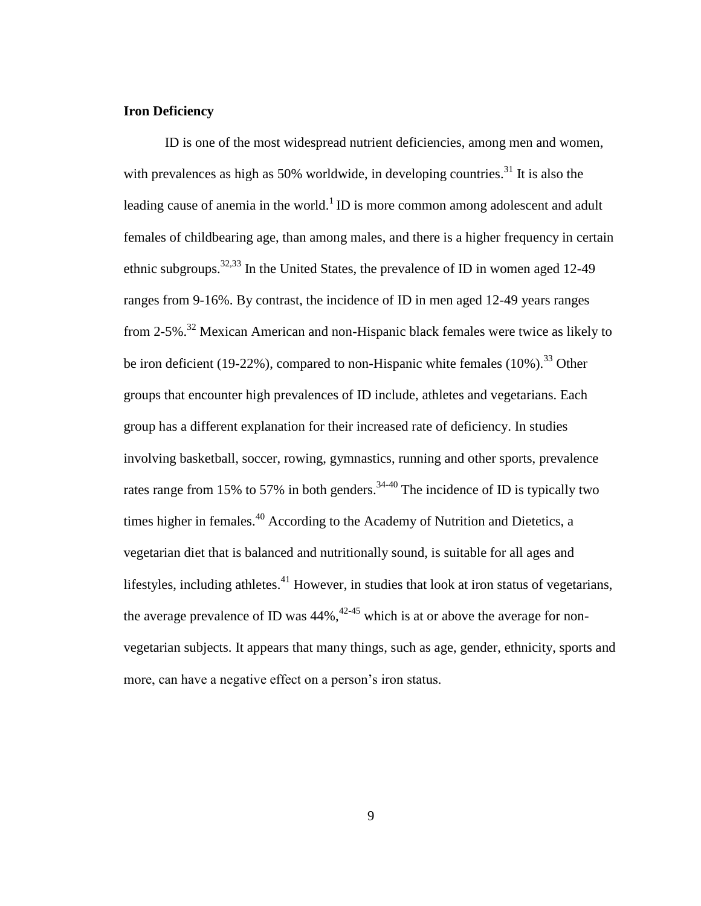# **Iron Deficiency**

ID is one of the most widespread nutrient deficiencies, among men and women, with prevalences as high as 50% worldwide, in developing countries.<sup>31</sup> It is also the leading cause of anemia in the world.<sup>1</sup> ID is more common among adolescent and adult females of childbearing age, than among males, and there is a higher frequency in certain ethnic subgroups.32,33 In the United States, the prevalence of ID in women aged 12-49 ranges from 9-16%. By contrast, the incidence of ID in men aged 12-49 years ranges from 2-5%.<sup>32</sup> Mexican American and non-Hispanic black females were twice as likely to be iron deficient (19-22%), compared to non-Hispanic white females  $(10\%)$ .<sup>33</sup> Other groups that encounter high prevalences of ID include, athletes and vegetarians. Each group has a different explanation for their increased rate of deficiency. In studies involving basketball, soccer, rowing, gymnastics, running and other sports, prevalence rates range from 15% to 57% in both genders.<sup>34-40</sup> The incidence of ID is typically two times higher in females.<sup>40</sup> According to the Academy of Nutrition and Dietetics, a vegetarian diet that is balanced and nutritionally sound, is suitable for all ages and lifestyles, including athletes. $41$  However, in studies that look at iron status of vegetarians, the average prevalence of ID was  $44\%$ ,  $42-45$  which is at or above the average for nonvegetarian subjects. It appears that many things, such as age, gender, ethnicity, sports and more, can have a negative effect on a person's iron status.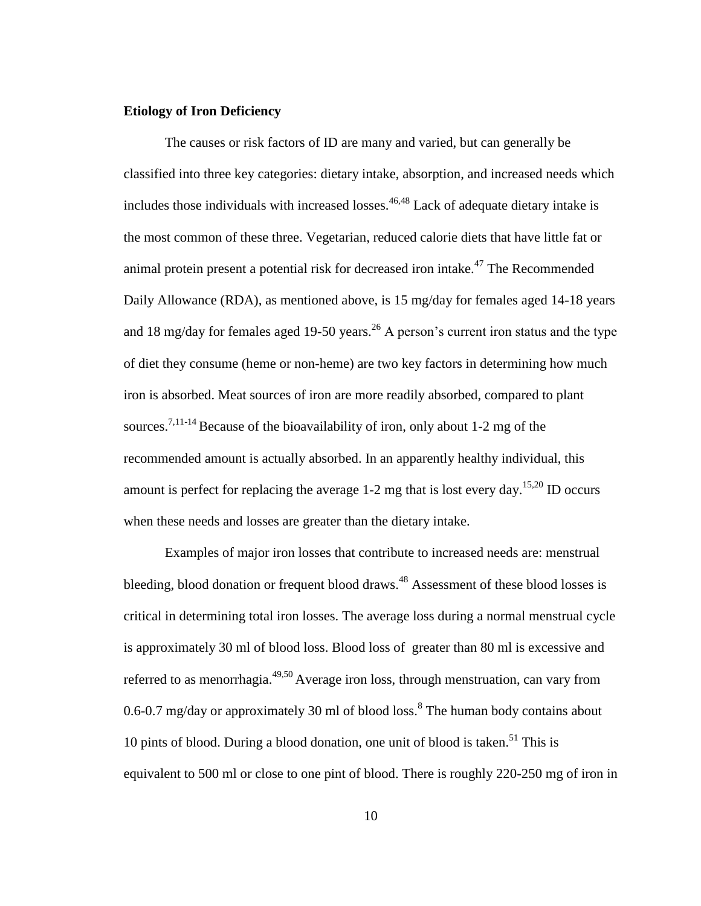# **Etiology of Iron Deficiency**

The causes or risk factors of ID are many and varied, but can generally be classified into three key categories: dietary intake, absorption, and increased needs which includes those individuals with increased losses.<sup>46,48</sup> Lack of adequate dietary intake is the most common of these three. Vegetarian, reduced calorie diets that have little fat or animal protein present a potential risk for decreased iron intake.<sup>47</sup> The Recommended Daily Allowance (RDA), as mentioned above, is 15 mg/day for females aged 14-18 years and 18 mg/day for females aged 19-50 years.<sup>26</sup> A person's current iron status and the type of diet they consume (heme or non-heme) are two key factors in determining how much iron is absorbed. Meat sources of iron are more readily absorbed, compared to plant sources.<sup>7,11-14</sup> Because of the bioavailability of iron, only about 1-2 mg of the recommended amount is actually absorbed. In an apparently healthy individual, this amount is perfect for replacing the average 1-2 mg that is lost every day.<sup>15,20</sup> ID occurs when these needs and losses are greater than the dietary intake.

Examples of major iron losses that contribute to increased needs are: menstrual bleeding, blood donation or frequent blood draws.<sup>48</sup> Assessment of these blood losses is critical in determining total iron losses. The average loss during a normal menstrual cycle is approximately 30 ml of blood loss. Blood loss of greater than 80 ml is excessive and referred to as menorrhagia. $49,50$  Average iron loss, through menstruation, can vary from 0.6-0.7 mg/day or approximately 30 ml of blood loss.<sup>8</sup> The human body contains about 10 pints of blood. During a blood donation, one unit of blood is taken.<sup>51</sup> This is equivalent to 500 ml or close to one pint of blood. There is roughly 220-250 mg of iron in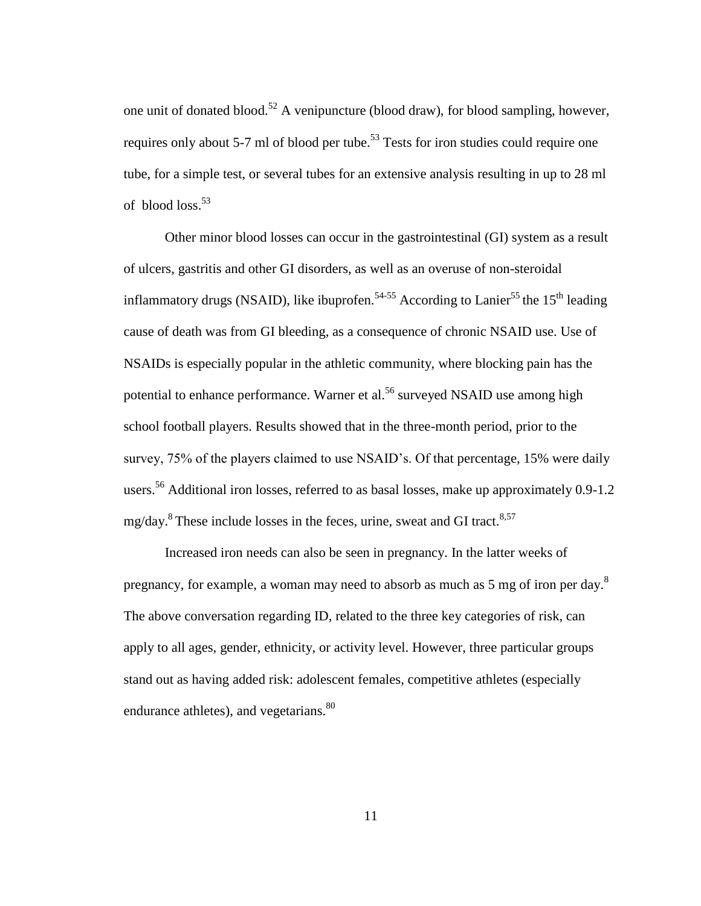one unit of donated blood.<sup>52</sup> A venipuncture (blood draw), for blood sampling, however, requires only about 5-7 ml of blood per tube.<sup>53</sup> Tests for iron studies could require one tube, for a simple test, or several tubes for an extensive analysis resulting in up to 28 ml of blood loss. 53

Other minor blood losses can occur in the gastrointestinal (GI) system as a result of ulcers, gastritis and other GI disorders, as well as an overuse of non-steroidal inflammatory drugs (NSAID), like ibuprofen.<sup>54-55</sup> According to Lanier<sup>55</sup> the 15<sup>th</sup> leading cause of death was from GI bleeding, as a consequence of chronic NSAID use. Use of NSAIDs is especially popular in the athletic community, where blocking pain has the potential to enhance performance. Warner et al.<sup>56</sup> surveyed NSAID use among high school football players. Results showed that in the three-month period, prior to the survey, 75% of the players claimed to use NSAID's. Of that percentage, 15% were daily users.<sup>56</sup> Additional iron losses, referred to as basal losses, make up approximately 0.9-1.2 mg/day.<sup>8</sup> These include losses in the feces, urine, sweat and GI tract.<sup>8,57</sup>

Increased iron needs can also be seen in pregnancy. In the latter weeks of pregnancy, for example, a woman may need to absorb as much as 5 mg of iron per day.<sup>8</sup> The above conversation regarding ID, related to the three key categories of risk, can apply to all ages, gender, ethnicity, or activity level. However, three particular groups stand out as having added risk: adolescent females, competitive athletes (especially endurance athletes), and vegetarians.<sup>80</sup>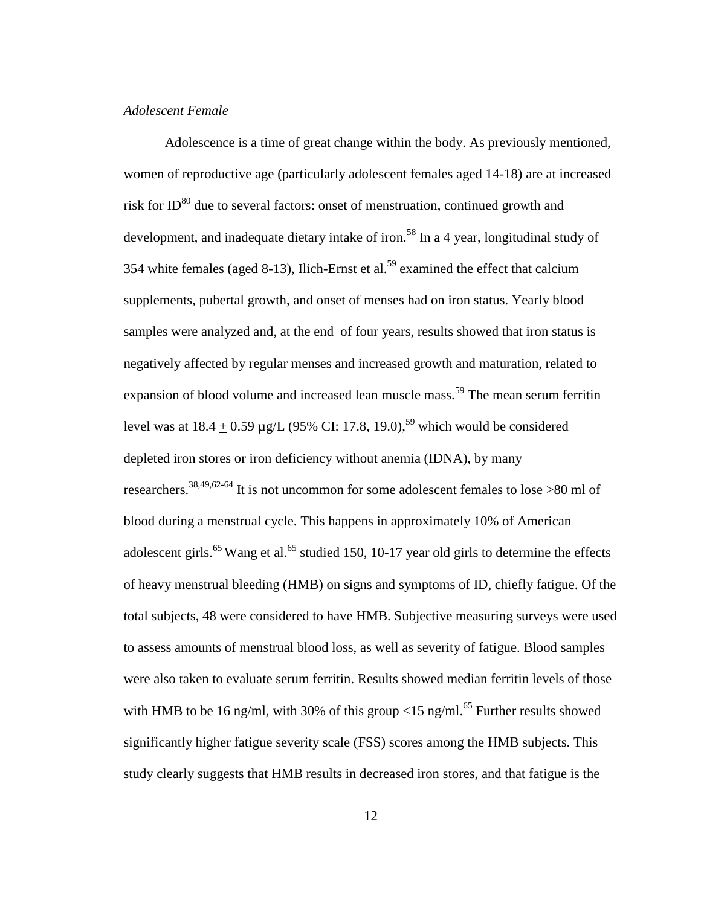# *Adolescent Female*

Adolescence is a time of great change within the body. As previously mentioned, women of reproductive age (particularly adolescent females aged 14-18) are at increased risk for  $ID^{80}$  due to several factors: onset of menstruation, continued growth and development, and inadequate dietary intake of iron.<sup>58</sup> In a 4 year, longitudinal study of 354 white females (aged 8-13), Ilich-Ernst et al.<sup>59</sup> examined the effect that calcium supplements, pubertal growth, and onset of menses had on iron status. Yearly blood samples were analyzed and, at the end of four years, results showed that iron status is negatively affected by regular menses and increased growth and maturation, related to expansion of blood volume and increased lean muscle mass.<sup>59</sup> The mean serum ferritin level was at  $18.4 + 0.59 \mu g/L$  (95% CI: 17.8, 19.0),<sup>59</sup> which would be considered depleted iron stores or iron deficiency without anemia (IDNA), by many researchers.38,49,62-64 It is not uncommon for some adolescent females to lose >80 ml of blood during a menstrual cycle. This happens in approximately 10% of American adolescent girls.<sup>65</sup> Wang et al.<sup>65</sup> studied 150, 10-17 year old girls to determine the effects of heavy menstrual bleeding (HMB) on signs and symptoms of ID, chiefly fatigue. Of the total subjects, 48 were considered to have HMB. Subjective measuring surveys were used to assess amounts of menstrual blood loss, as well as severity of fatigue. Blood samples were also taken to evaluate serum ferritin. Results showed median ferritin levels of those with HMB to be 16 ng/ml, with 30% of this group  $\langle$ 15 ng/ml.<sup>65</sup> Further results showed significantly higher fatigue severity scale (FSS) scores among the HMB subjects. This study clearly suggests that HMB results in decreased iron stores, and that fatigue is the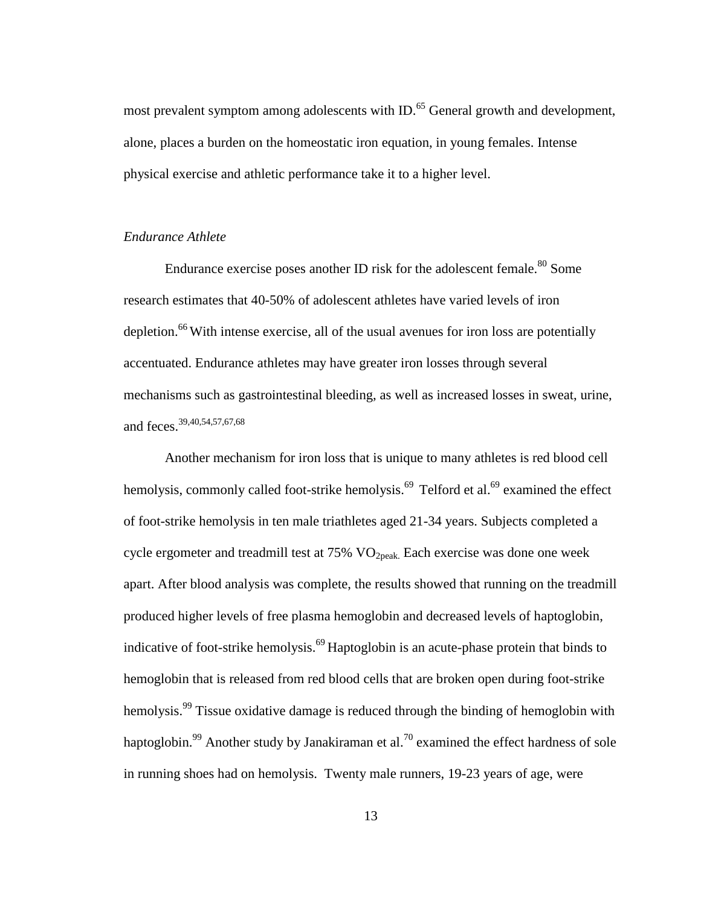most prevalent symptom among adolescents with ID.<sup>65</sup> General growth and development, alone, places a burden on the homeostatic iron equation, in young females. Intense physical exercise and athletic performance take it to a higher level.

# *Endurance Athlete*

Endurance exercise poses another ID risk for the adolescent female.<sup>80</sup> Some research estimates that 40-50% of adolescent athletes have varied levels of iron depletion.<sup>66</sup> With intense exercise, all of the usual avenues for iron loss are potentially accentuated. Endurance athletes may have greater iron losses through several mechanisms such as gastrointestinal bleeding, as well as increased losses in sweat, urine, and feces.39,40,54,57,67,68

Another mechanism for iron loss that is unique to many athletes is red blood cell hemolysis, commonly called foot-strike hemolysis.<sup>69</sup> Telford et al.<sup>69</sup> examined the effect of foot-strike hemolysis in ten male triathletes aged 21-34 years. Subjects completed a cycle ergometer and treadmill test at 75% VO<sub>2peak</sub>. Each exercise was done one week apart. After blood analysis was complete, the results showed that running on the treadmill produced higher levels of free plasma hemoglobin and decreased levels of haptoglobin, indicative of foot-strike hemolysis.<sup>69</sup> Haptoglobin is an acute-phase protein that binds to hemoglobin that is released from red blood cells that are broken open during foot-strike hemolysis.<sup>99</sup> Tissue oxidative damage is reduced through the binding of hemoglobin with haptoglobin.<sup>99</sup> Another study by Janakiraman et al.<sup>70</sup> examined the effect hardness of sole in running shoes had on hemolysis. Twenty male runners, 19-23 years of age, were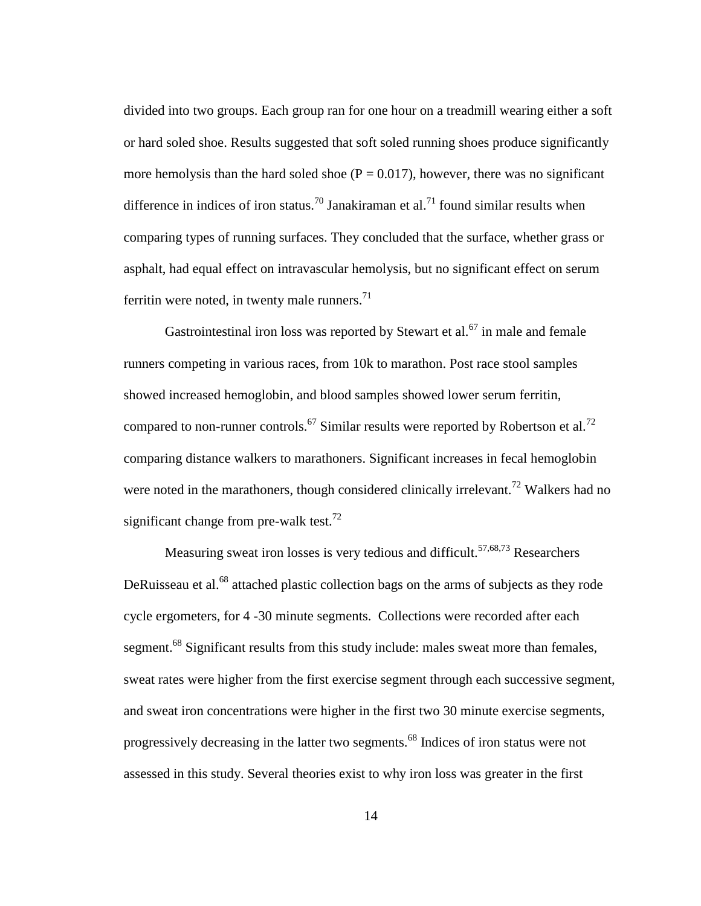divided into two groups. Each group ran for one hour on a treadmill wearing either a soft or hard soled shoe. Results suggested that soft soled running shoes produce significantly more hemolysis than the hard soled shoe ( $P = 0.017$ ), however, there was no significant difference in indices of iron status.<sup>70</sup> Janakiraman et al.<sup>71</sup> found similar results when comparing types of running surfaces. They concluded that the surface, whether grass or asphalt, had equal effect on intravascular hemolysis, but no significant effect on serum ferritin were noted, in twenty male runners. $^{71}$ 

Gastrointestinal iron loss was reported by Stewart et al.<sup>67</sup> in male and female runners competing in various races, from 10k to marathon. Post race stool samples showed increased hemoglobin, and blood samples showed lower serum ferritin, compared to non-runner controls.<sup>67</sup> Similar results were reported by Robertson et al.<sup>72</sup> comparing distance walkers to marathoners. Significant increases in fecal hemoglobin were noted in the marathoners, though considered clinically irrelevant.<sup>72</sup> Walkers had no significant change from pre-walk test.<sup>72</sup>

Measuring sweat iron losses is very tedious and difficult.<sup>57,68,73</sup> Researchers DeRuisseau et al.<sup>68</sup> attached plastic collection bags on the arms of subjects as they rode cycle ergometers, for 4 -30 minute segments. Collections were recorded after each segment.<sup>68</sup> Significant results from this study include: males sweat more than females, sweat rates were higher from the first exercise segment through each successive segment, and sweat iron concentrations were higher in the first two 30 minute exercise segments, progressively decreasing in the latter two segments.<sup>68</sup> Indices of iron status were not assessed in this study. Several theories exist to why iron loss was greater in the first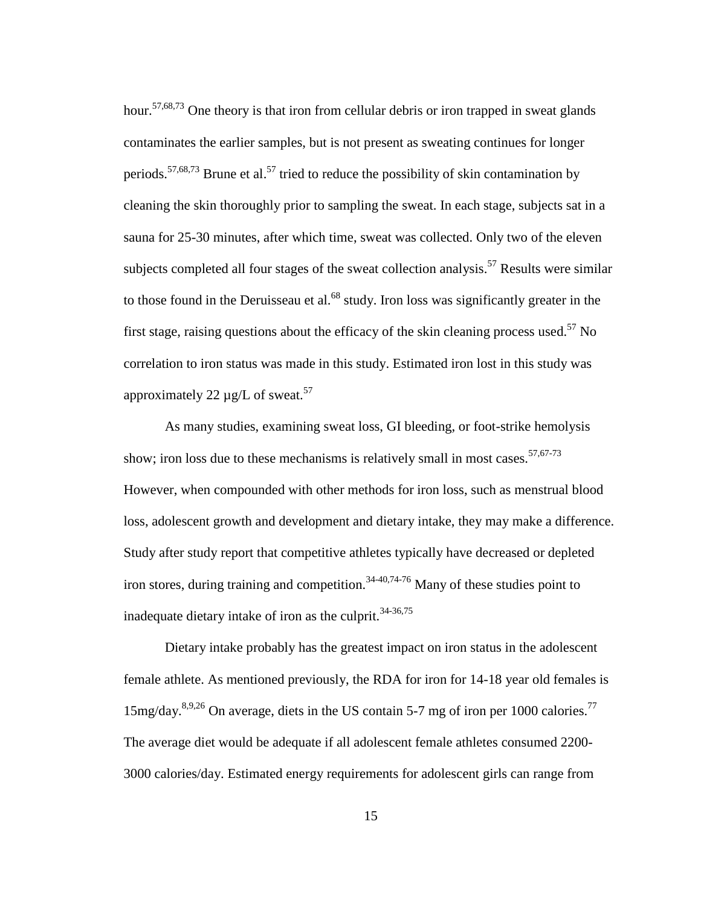hour.<sup>57,68,73</sup> One theory is that iron from cellular debris or iron trapped in sweat glands contaminates the earlier samples, but is not present as sweating continues for longer periods.<sup>57,68,73</sup> Brune et al.<sup>57</sup> tried to reduce the possibility of skin contamination by cleaning the skin thoroughly prior to sampling the sweat. In each stage, subjects sat in a sauna for 25-30 minutes, after which time, sweat was collected. Only two of the eleven subjects completed all four stages of the sweat collection analysis.<sup>57</sup> Results were similar to those found in the Deruisseau et al. $^{68}$  study. Iron loss was significantly greater in the first stage, raising questions about the efficacy of the skin cleaning process used.<sup>57</sup> No correlation to iron status was made in this study. Estimated iron lost in this study was approximately 22  $\mu$ g/L of sweat.<sup>57</sup>

As many studies, examining sweat loss, GI bleeding, or foot-strike hemolysis show; iron loss due to these mechanisms is relatively small in most cases.<sup>57,67-73</sup> However, when compounded with other methods for iron loss, such as menstrual blood loss, adolescent growth and development and dietary intake, they may make a difference. Study after study report that competitive athletes typically have decreased or depleted iron stores, during training and competition.<sup>34-40,74-76</sup> Many of these studies point to inadequate dietary intake of iron as the culprit. $34-36,75$ 

Dietary intake probably has the greatest impact on iron status in the adolescent female athlete. As mentioned previously, the RDA for iron for 14-18 year old females is  $15$ mg/day.<sup>8,9,26</sup> On average, diets in the US contain 5-7 mg of iron per 1000 calories.<sup>77</sup> The average diet would be adequate if all adolescent female athletes consumed 2200- 3000 calories/day. Estimated energy requirements for adolescent girls can range from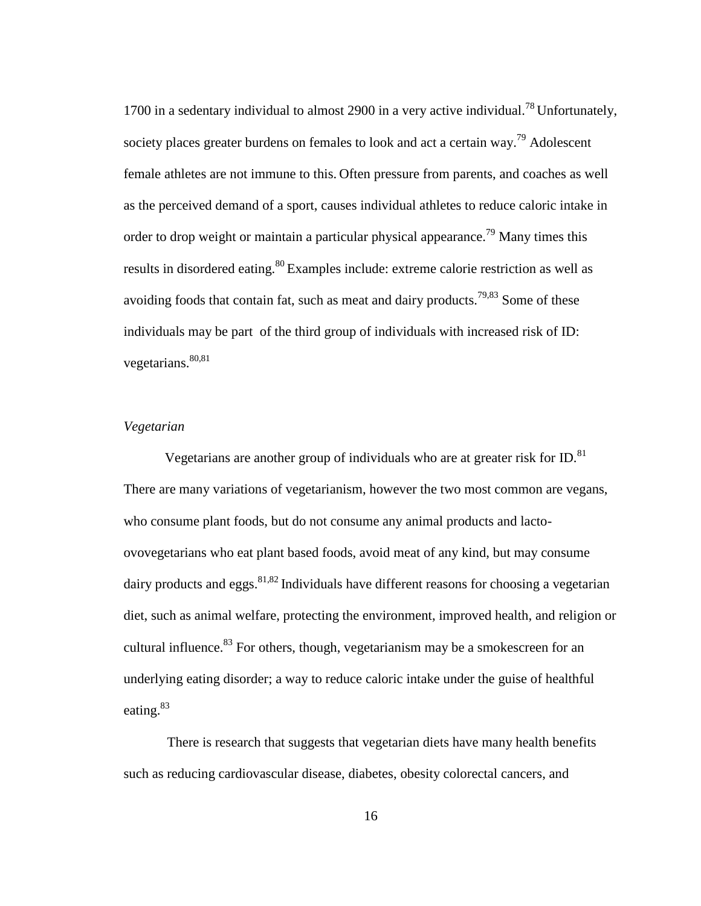1700 in a sedentary individual to almost 2900 in a very active individual.<sup>78</sup> Unfortunately, society places greater burdens on females to look and act a certain way.<sup>79</sup> Adolescent female athletes are not immune to this. Often pressure from parents, and coaches as well as the perceived demand of a sport, causes individual athletes to reduce caloric intake in order to drop weight or maintain a particular physical appearance.<sup>79</sup> Many times this results in disordered eating.<sup>80</sup> Examples include: extreme calorie restriction as well as avoiding foods that contain fat, such as meat and dairy products.<sup>79,83</sup> Some of these individuals may be part of the third group of individuals with increased risk of ID: vegetarians.  $80,81$ 

#### *Vegetarian*

Vegetarians are another group of individuals who are at greater risk for ID. $^{81}$ There are many variations of vegetarianism, however the two most common are vegans, who consume plant foods, but do not consume any animal products and lactoovovegetarians who eat plant based foods, avoid meat of any kind, but may consume dairy products and eggs.  $81,82$  Individuals have different reasons for choosing a vegetarian diet, such as animal welfare, protecting the environment, improved health, and religion or cultural influence.<sup>83</sup> For others, though, vegetarianism may be a smokescreen for an underlying eating disorder; a way to reduce caloric intake under the guise of healthful eating.<sup>83</sup>

There is research that suggests that vegetarian diets have many health benefits such as reducing cardiovascular disease, diabetes, obesity colorectal cancers, and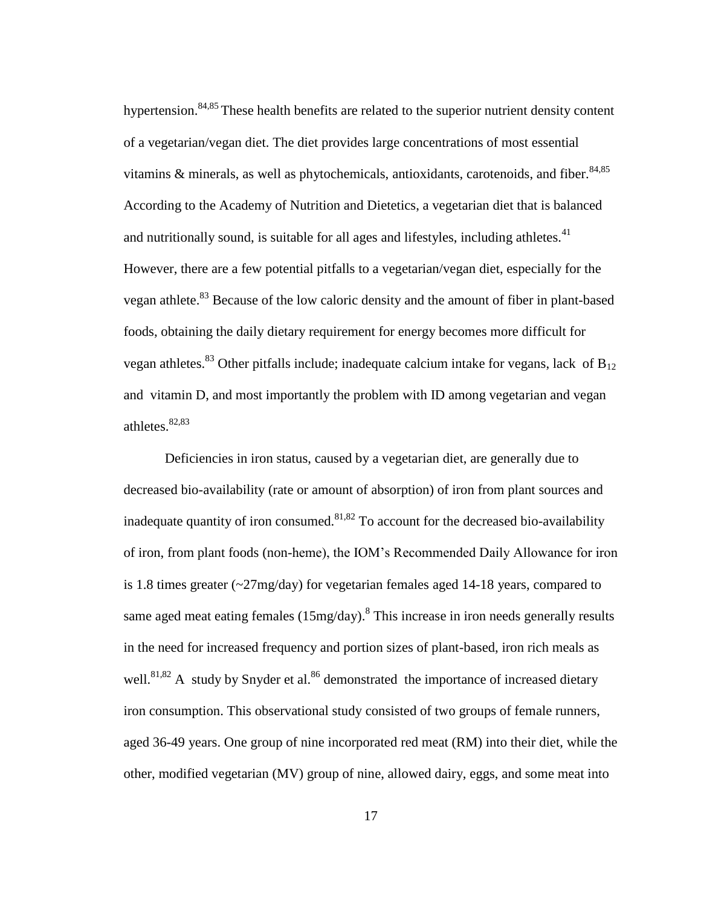hypertension.<sup>84,85</sup> These health benefits are related to the superior nutrient density content of a vegetarian/vegan diet. The diet provides large concentrations of most essential vitamins  $\&$  minerals, as well as phytochemicals, antioxidants, carotenoids, and fiber.  $84,85$ According to the Academy of Nutrition and Dietetics, a vegetarian diet that is balanced and nutritionally sound, is suitable for all ages and lifestyles, including athletes. $41$ However, there are a few potential pitfalls to a vegetarian/vegan diet, especially for the vegan athlete.<sup>83</sup> Because of the low caloric density and the amount of fiber in plant-based foods, obtaining the daily dietary requirement for energy becomes more difficult for vegan athletes.<sup>83</sup> Other pitfalls include; inadequate calcium intake for vegans, lack of  $B_{12}$ and vitamin D, and most importantly the problem with ID among vegetarian and vegan athletes.<sup>82,83</sup>

Deficiencies in iron status, caused by a vegetarian diet, are generally due to decreased bio-availability (rate or amount of absorption) of iron from plant sources and inadequate quantity of iron consumed.<sup>81,82</sup> To account for the decreased bio-availability of iron, from plant foods (non-heme), the IOM's Recommended Daily Allowance for iron is 1.8 times greater (~27mg/day) for vegetarian females aged 14-18 years, compared to same aged meat eating females  $(15mg/day)$ .<sup>8</sup> This increase in iron needs generally results in the need for increased frequency and portion sizes of plant-based, iron rich meals as well.<sup>81,82</sup> A study by Snyder et al.<sup>86</sup> demonstrated the importance of increased dietary iron consumption. This observational study consisted of two groups of female runners, aged 36-49 years. One group of nine incorporated red meat (RM) into their diet, while the other, modified vegetarian (MV) group of nine, allowed dairy, eggs, and some meat into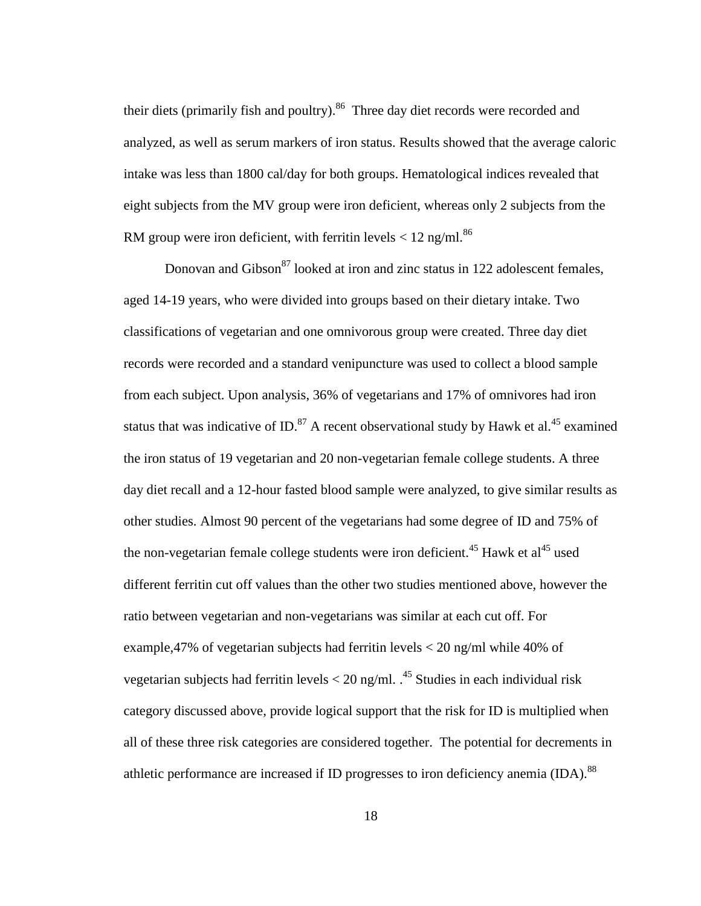their diets (primarily fish and poultry).<sup>86</sup> Three day diet records were recorded and analyzed, as well as serum markers of iron status. Results showed that the average caloric intake was less than 1800 cal/day for both groups. Hematological indices revealed that eight subjects from the MV group were iron deficient, whereas only 2 subjects from the RM group were iron deficient, with ferritin levels  $< 12$  ng/ml.<sup>86</sup>

Donovan and Gibson $^{87}$  looked at iron and zinc status in 122 adolescent females, aged 14-19 years, who were divided into groups based on their dietary intake. Two classifications of vegetarian and one omnivorous group were created. Three day diet records were recorded and a standard venipuncture was used to collect a blood sample from each subject. Upon analysis, 36% of vegetarians and 17% of omnivores had iron status that was indicative of ID. $^{87}$  A recent observational study by Hawk et al.<sup>45</sup> examined the iron status of 19 vegetarian and 20 non-vegetarian female college students. A three day diet recall and a 12-hour fasted blood sample were analyzed, to give similar results as other studies. Almost 90 percent of the vegetarians had some degree of ID and 75% of the non-vegetarian female college students were iron deficient.<sup>45</sup> Hawk et al<sup>45</sup> used different ferritin cut off values than the other two studies mentioned above, however the ratio between vegetarian and non-vegetarians was similar at each cut off. For example,47% of vegetarian subjects had ferritin levels < 20 ng/ml while 40% of vegetarian subjects had ferritin levels  $<$  20 ng/ml.  $^{45}$  Studies in each individual risk category discussed above, provide logical support that the risk for ID is multiplied when all of these three risk categories are considered together. The potential for decrements in athletic performance are increased if ID progresses to iron deficiency anemia  $(IDA)$ <sup>88</sup>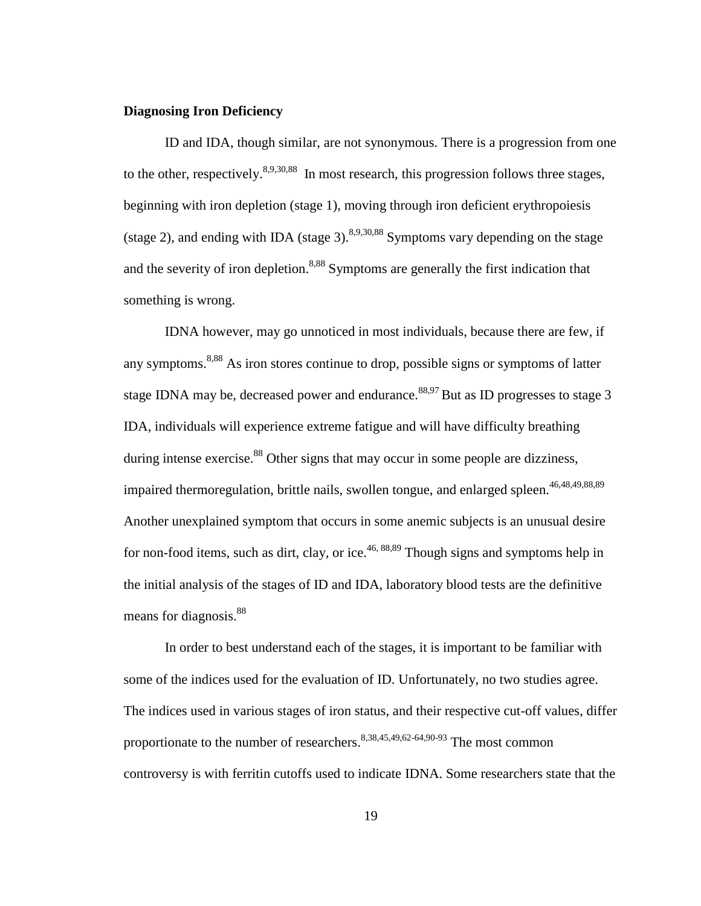# **Diagnosing Iron Deficiency**

ID and IDA, though similar, are not synonymous. There is a progression from one to the other, respectively.  $8,9,30,88$  In most research, this progression follows three stages, beginning with iron depletion (stage 1), moving through iron deficient erythropoiesis (stage 2), and ending with IDA (stage 3).  $8,9,30,88$  Symptoms vary depending on the stage and the severity of iron depletion.<sup>8,88</sup> Symptoms are generally the first indication that something is wrong.

IDNA however, may go unnoticed in most individuals, because there are few, if any symptoms.<sup>8,88</sup> As iron stores continue to drop, possible signs or symptoms of latter stage IDNA may be, decreased power and endurance.  $88,97$  But as ID progresses to stage 3 IDA, individuals will experience extreme fatigue and will have difficulty breathing during intense exercise. $88$  Other signs that may occur in some people are dizziness, impaired thermoregulation, brittle nails, swollen tongue, and enlarged spleen.<sup>46,48,49,88,89</sup> Another unexplained symptom that occurs in some anemic subjects is an unusual desire for non-food items, such as dirt, clay, or ice.<sup>46, 88,89</sup> Though signs and symptoms help in the initial analysis of the stages of ID and IDA, laboratory blood tests are the definitive means for diagnosis.<sup>88</sup>

In order to best understand each of the stages, it is important to be familiar with some of the indices used for the evaluation of ID. Unfortunately, no two studies agree. The indices used in various stages of iron status, and their respective cut-off values, differ proportionate to the number of researchers.  $8,38,45,49,62-64,90-93$  The most common controversy is with ferritin cutoffs used to indicate IDNA. Some researchers state that the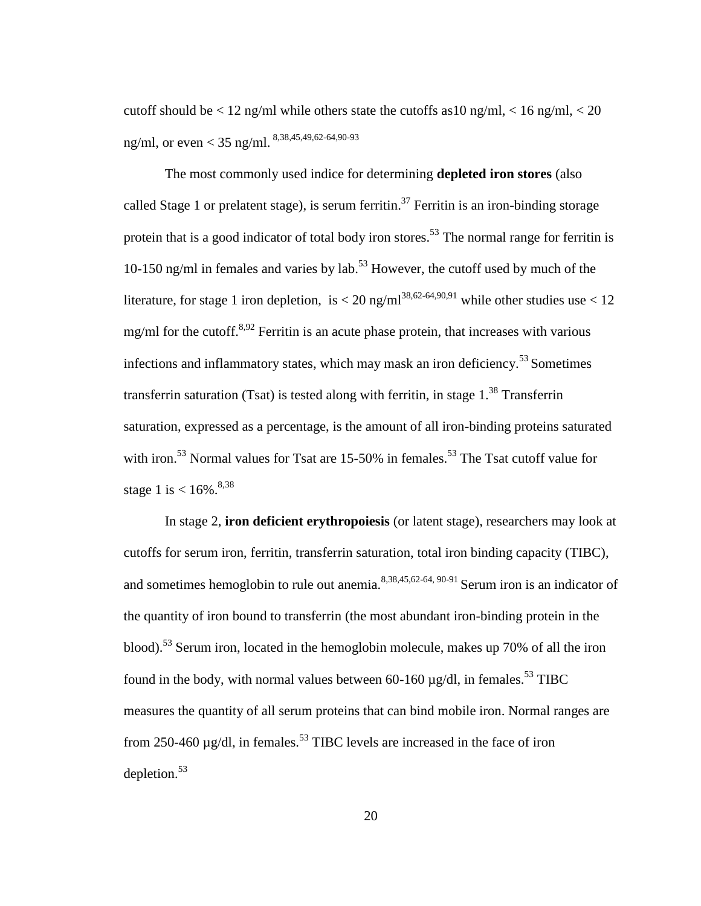cutoff should be  $\langle 12 \text{ ng/ml} \rangle$  while others state the cutoffs as 10 ng/ml,  $\langle 16 \text{ ng/ml} \rangle \langle 20 \rangle$ ng/ml, or even < 35 ng/ml. 8,38,45,49,62-64,90-93

The most commonly used indice for determining **depleted iron stores** (also called Stage 1 or prelatent stage), is serum ferritin.<sup>37</sup> Ferritin is an iron-binding storage protein that is a good indicator of total body iron stores.<sup>53</sup> The normal range for ferritin is 10-150 ng/ml in females and varies by lab.<sup>53</sup> However, the cutoff used by much of the literature, for stage 1 iron depletion, is  $< 20$  ng/ml<sup>38,62-64,90,91</sup> while other studies use  $< 12$ mg/ml for the cutoff. $8,92$  Ferritin is an acute phase protein, that increases with various infections and inflammatory states, which may mask an iron deficiency.<sup>53</sup> Sometimes transferrin saturation (Tsat) is tested along with ferritin, in stage  $1<sup>38</sup>$  Transferrin saturation, expressed as a percentage, is the amount of all iron-binding proteins saturated with iron.<sup>53</sup> Normal values for Tsat are 15-50% in females.<sup>53</sup> The Tsat cutoff value for stage 1 is  $< 16\%$ .<sup>8,38</sup>

In stage 2, **iron deficient erythropoiesis** (or latent stage), researchers may look at cutoffs for serum iron, ferritin, transferrin saturation, total iron binding capacity (TIBC), and sometimes hemoglobin to rule out anemia.<sup>8,38,45,62-64, 90-91</sup> Serum iron is an indicator of the quantity of iron bound to transferrin (the most abundant iron-binding protein in the blood).<sup>53</sup> Serum iron, located in the hemoglobin molecule, makes up 70% of all the iron found in the body, with normal values between 60-160  $\mu$ g/dl, in females.<sup>53</sup> TIBC measures the quantity of all serum proteins that can bind mobile iron. Normal ranges are from 250-460  $\mu$ g/dl, in females.<sup>53</sup> TIBC levels are increased in the face of iron depletion. $53$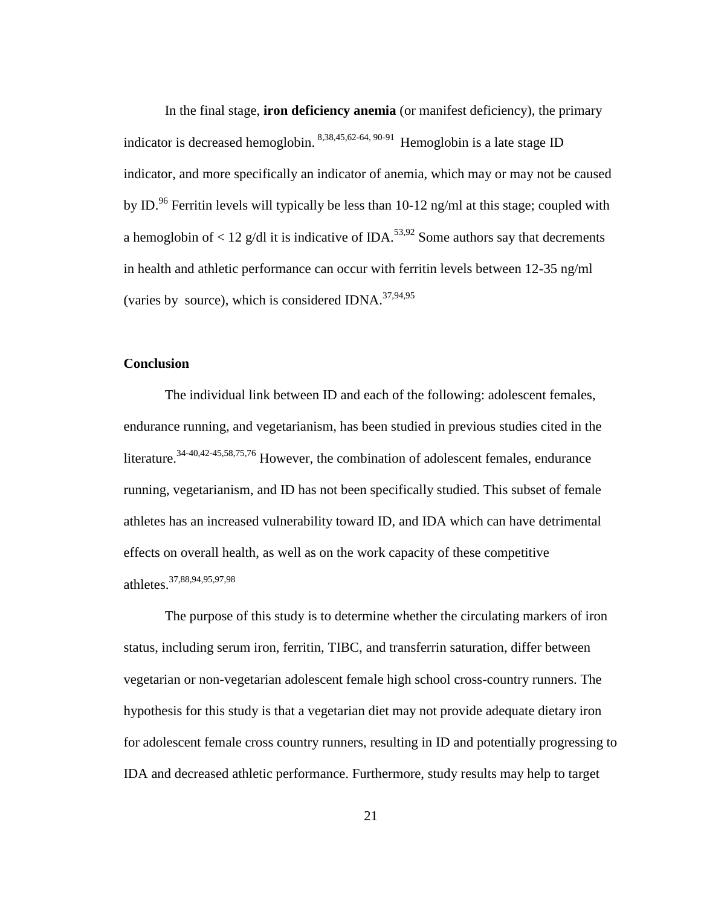In the final stage, **iron deficiency anemia** (or manifest deficiency), the primary indicator is decreased hemoglobin. 8,38,45,62-64, 90-91 Hemoglobin is a late stage ID indicator, and more specifically an indicator of anemia, which may or may not be caused by ID.<sup>96</sup> Ferritin levels will typically be less than 10-12 ng/ml at this stage; coupled with a hemoglobin of  $\langle 12 \text{ g/d} \rangle$  it is indicative of IDA.<sup>53,92</sup> Some authors say that decrements in health and athletic performance can occur with ferritin levels between 12-35 ng/ml (varies by source), which is considered IDNA. $37,94,95$ 

### **Conclusion**

The individual link between ID and each of the following: adolescent females, endurance running, and vegetarianism, has been studied in previous studies cited in the literature.34-40,42-45,58,75,76 However, the combination of adolescent females, endurance running, vegetarianism, and ID has not been specifically studied. This subset of female athletes has an increased vulnerability toward ID, and IDA which can have detrimental effects on overall health, as well as on the work capacity of these competitive athletes.37,88,94,95,97,98

The purpose of this study is to determine whether the circulating markers of iron status, including serum iron, ferritin, TIBC, and transferrin saturation, differ between vegetarian or non-vegetarian adolescent female high school cross-country runners. The hypothesis for this study is that a vegetarian diet may not provide adequate dietary iron for adolescent female cross country runners, resulting in ID and potentially progressing to IDA and decreased athletic performance. Furthermore, study results may help to target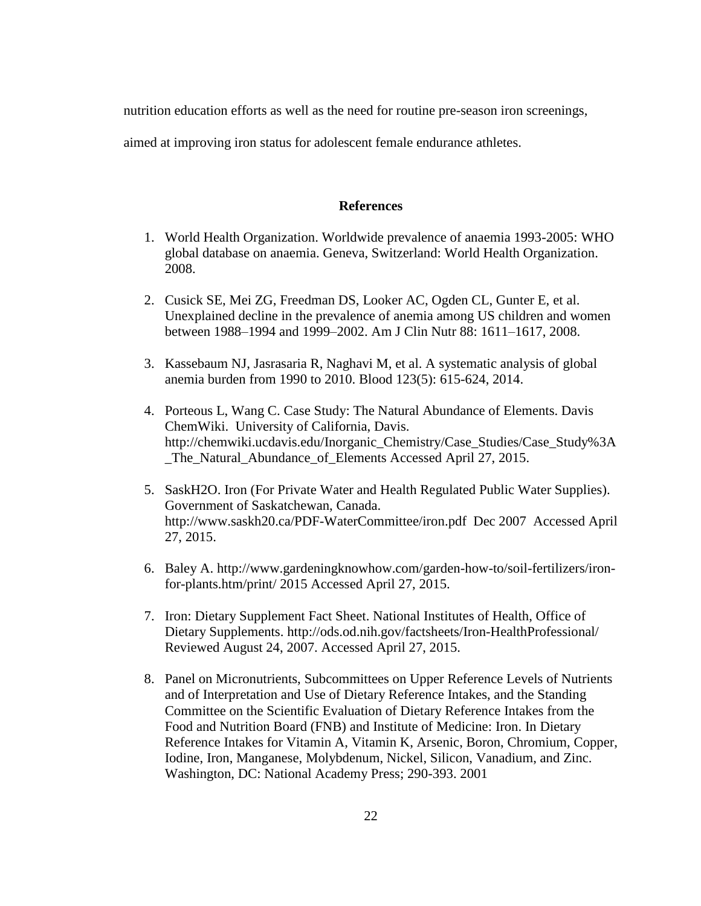nutrition education efforts as well as the need for routine pre-season iron screenings,

aimed at improving iron status for adolescent female endurance athletes.

#### **References**

- 1. World Health Organization. Worldwide prevalence of anaemia 1993-2005: WHO global database on anaemia. Geneva, Switzerland: World Health Organization. 2008.
- 2. Cusick SE, Mei ZG, Freedman DS, Looker AC, Ogden CL, Gunter E, et al. Unexplained decline in the prevalence of anemia among US children and women between 1988–1994 and 1999–2002. Am J Clin Nutr 88: 1611–1617, 2008.
- 3. Kassebaum NJ, Jasrasaria R, Naghavi M, et al. A systematic analysis of global anemia burden from 1990 to 2010. Blood 123(5): 615-624, 2014.
- 4. Porteous L, Wang C. Case Study: The Natural Abundance of Elements. Davis ChemWiki. University of California, Davis. http://chemwiki.ucdavis.edu/Inorganic\_Chemistry/Case\_Studies/Case\_Study%3A \_The\_Natural\_Abundance\_of\_Elements Accessed April 27, 2015.
- 5. SaskH2O. Iron (For Private Water and Health Regulated Public Water Supplies). Government of Saskatchewan, Canada. http://www.saskh20.ca/PDF-WaterCommittee/iron.pdf Dec 2007 Accessed April 27, 2015.
- 6. Baley A. http://www.gardeningknowhow.com/garden-how-to/soil-fertilizers/ironfor-plants.htm/print/ 2015 Accessed April 27, 2015.
- 7. Iron: Dietary Supplement Fact Sheet. National Institutes of Health, Office of Dietary Supplements. http://ods.od.nih.gov/factsheets/Iron-HealthProfessional/ Reviewed August 24, 2007. Accessed April 27, 2015.
- 8. Panel on Micronutrients, Subcommittees on Upper Reference Levels of Nutrients and of Interpretation and Use of Dietary Reference Intakes, and the Standing Committee on the Scientific Evaluation of Dietary Reference Intakes from the Food and Nutrition Board (FNB) and Institute of Medicine: Iron. In Dietary Reference Intakes for Vitamin A, Vitamin K, Arsenic, Boron, Chromium, Copper, Iodine, Iron, Manganese, Molybdenum, Nickel, Silicon, Vanadium, and Zinc. Washington, DC: National Academy Press; 290-393. 2001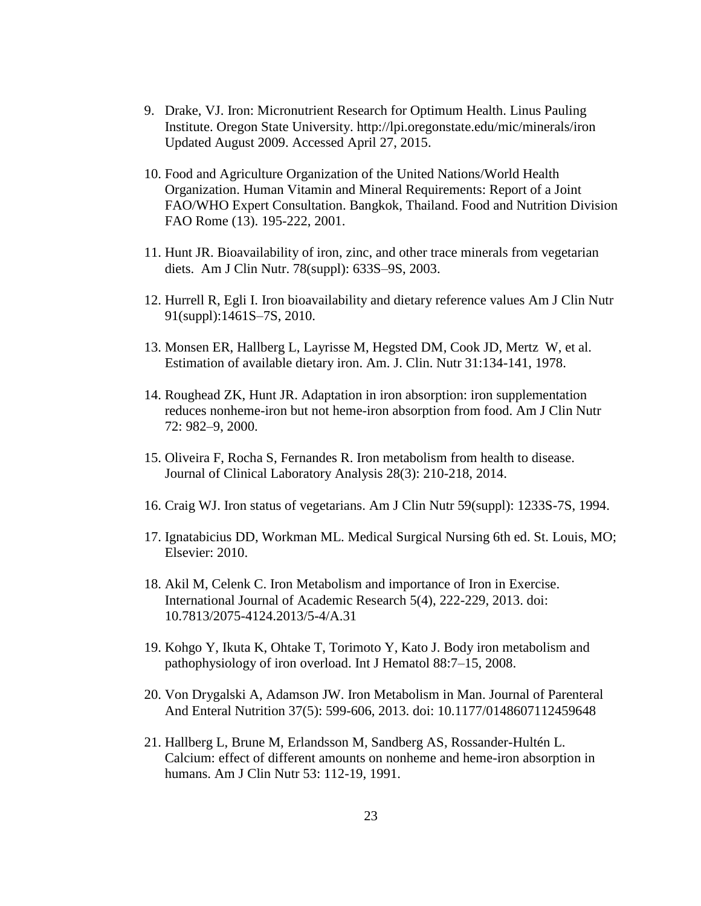- 9. Drake, VJ. Iron: Micronutrient Research for Optimum Health. Linus Pauling Institute. Oregon State University. http://lpi.oregonstate.edu/mic/minerals/iron Updated August 2009. Accessed April 27, 2015.
- 10. Food and Agriculture Organization of the United Nations/World Health Organization. Human Vitamin and Mineral Requirements: Report of a Joint FAO/WHO Expert Consultation. Bangkok, Thailand. Food and Nutrition Division FAO Rome (13). 195-222, 2001.
- 11. Hunt JR. Bioavailability of iron, zinc, and other trace minerals from vegetarian diets. Am J Clin Nutr. 78(suppl): 633S–9S, 2003.
- 12. Hurrell R, Egli I. Iron bioavailability and dietary reference values Am J Clin Nutr 91(suppl):1461S–7S, 2010.
- 13. Monsen ER, Hallberg L, Layrisse M, Hegsted DM, Cook JD, Mertz W, et al. Estimation of available dietary iron. Am. J. Clin. Nutr 31:134-141, 1978.
- 14. Roughead ZK, Hunt JR. Adaptation in iron absorption: iron supplementation reduces nonheme-iron but not heme-iron absorption from food. Am J Clin Nutr 72: 982–9, 2000.
- 15. Oliveira F, Rocha S, Fernandes R. Iron metabolism from health to disease. Journal of Clinical Laboratory Analysis 28(3): 210-218, 2014.
- 16. Craig WJ. Iron status of vegetarians. Am J Clin Nutr 59(suppl): 1233S-7S, 1994.
- 17. Ignatabicius DD, Workman ML. Medical Surgical Nursing 6th ed. St. Louis, MO; Elsevier: 2010.
- 18. Akil M, Celenk C. Iron Metabolism and importance of Iron in Exercise. International Journal of Academic Research 5(4), 222-229, 2013. doi: 10.7813/2075-4124.2013/5-4/A.31
- 19. Kohgo Y, Ikuta K, Ohtake T, Torimoto Y, Kato J. Body iron metabolism and pathophysiology of iron overload. Int J Hematol 88:7–15, 2008.
- 20. Von Drygalski A, Adamson JW. Iron Metabolism in Man. Journal of Parenteral And Enteral Nutrition 37(5): 599-606, 2013. doi: 10.1177/0148607112459648
- 21. Hallberg L, Brune M, Erlandsson M, Sandberg AS, Rossander-Hultén L. Calcium: effect of different amounts on nonheme and heme-iron absorption in humans. Am J Clin Nutr 53: 112-19, 1991.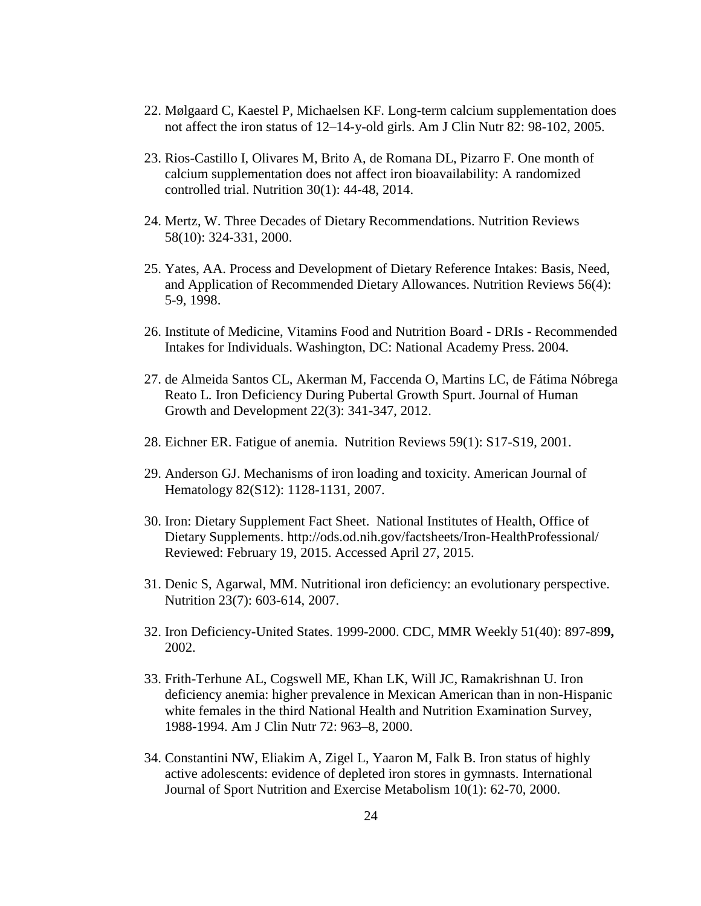- 22. Mølgaard C, Kaestel P, Michaelsen KF. Long-term calcium supplementation does not affect the iron status of 12–14-y-old girls. Am J Clin Nutr 82: 98-102, 2005.
- 23. Rios-Castillo I, Olivares M, Brito A, de Romana DL, Pizarro F. One month of calcium supplementation does not affect iron bioavailability: A randomized controlled trial. Nutrition 30(1): 44-48, 2014.
- 24. Mertz, W. Three Decades of Dietary Recommendations. Nutrition Reviews 58(10): 324-331, 2000.
- 25. Yates, AA. Process and Development of Dietary Reference Intakes: Basis, Need, and Application of Recommended Dietary Allowances. Nutrition Reviews 56(4): 5-9, 1998.
- 26. Institute of Medicine, Vitamins Food and Nutrition Board DRIs Recommended Intakes for Individuals. Washington, DC: National Academy Press. 2004.
- 27. de Almeida Santos CL, Akerman M, Faccenda O, Martins LC, de Fátima Nóbrega Reato L. Iron Deficiency During Pubertal Growth Spurt. Journal of Human Growth and Development 22(3): 341-347, 2012.
- 28. Eichner ER. Fatigue of anemia. Nutrition Reviews 59(1): S17-S19, 2001.
- 29. Anderson GJ. Mechanisms of iron loading and toxicity. American Journal of Hematology 82(S12): 1128-1131, 2007.
- 30. Iron: Dietary Supplement Fact Sheet. National Institutes of Health, Office of Dietary Supplements. http://ods.od.nih.gov/factsheets/Iron-HealthProfessional/ Reviewed: February 19, 2015. Accessed April 27, 2015.
- 31. Denic S, Agarwal, MM. Nutritional iron deficiency: an evolutionary perspective. Nutrition 23(7): 603-614, 2007.
- 32. Iron Deficiency-United States. 1999-2000. CDC, MMR Weekly 51(40): 897-89**9,**  2002.
- 33. Frith-Terhune AL, Cogswell ME, Khan LK, Will JC, Ramakrishnan U. Iron deficiency anemia: higher prevalence in Mexican American than in non-Hispanic white females in the third National Health and Nutrition Examination Survey, 1988-1994. Am J Clin Nutr 72: 963–8, 2000.
- 34. Constantini NW, Eliakim A, Zigel L, Yaaron M, Falk B. Iron status of highly active adolescents: evidence of depleted iron stores in gymnasts. International Journal of Sport Nutrition and Exercise Metabolism 10(1): 62-70, 2000.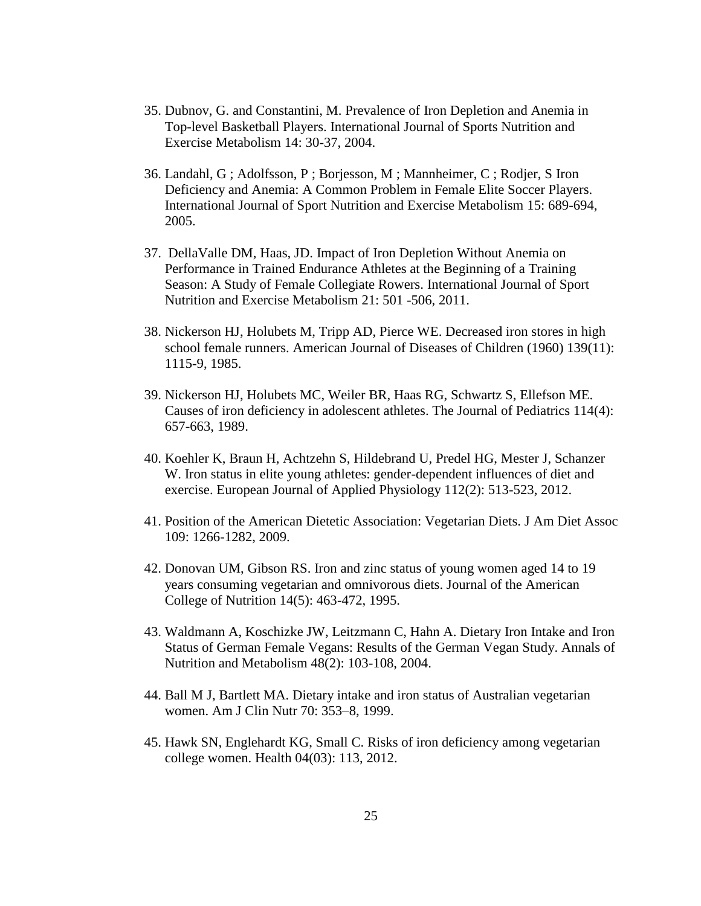- 35. Dubnov, G. and Constantini, M. Prevalence of Iron Depletion and Anemia in Top-level Basketball Players. International Journal of Sports Nutrition and Exercise Metabolism 14: 30-37, 2004.
- 36. Landahl, G ; Adolfsson, P ; Borjesson, M ; Mannheimer, C ; Rodjer, S Iron Deficiency and Anemia: A Common Problem in Female Elite Soccer Players. International Journal of Sport Nutrition and Exercise Metabolism 15: 689-694, 2005.
- 37. DellaValle DM, Haas, JD. Impact of Iron Depletion Without Anemia on Performance in Trained Endurance Athletes at the Beginning of a Training Season: A Study of Female Collegiate Rowers. International Journal of Sport Nutrition and Exercise Metabolism 21: 501 -506, 2011.
- 38. Nickerson HJ, Holubets M, Tripp AD, Pierce WE. Decreased iron stores in high school female runners. American Journal of Diseases of Children (1960) 139(11): 1115-9, 1985.
- 39. Nickerson HJ, Holubets MC, Weiler BR, Haas RG, Schwartz S, Ellefson ME. Causes of iron deficiency in adolescent athletes. The Journal of Pediatrics 114(4): 657-663, 1989.
- 40. Koehler K, Braun H, Achtzehn S, Hildebrand U, Predel HG, Mester J, Schanzer W. Iron status in elite young athletes: gender-dependent influences of diet and exercise. European Journal of Applied Physiology 112(2): 513-523, 2012.
- 41. Position of the American Dietetic Association: Vegetarian Diets. J Am Diet Assoc 109: 1266-1282, 2009.
- 42. Donovan UM, Gibson RS. Iron and zinc status of young women aged 14 to 19 years consuming vegetarian and omnivorous diets. Journal of the American College of Nutrition 14(5): 463-472, 1995.
- 43. Waldmann A, Koschizke JW, Leitzmann C, Hahn A. Dietary Iron Intake and Iron Status of German Female Vegans: Results of the German Vegan Study. Annals of Nutrition and Metabolism 48(2): 103-108, 2004.
- 44. Ball M J, Bartlett MA. Dietary intake and iron status of Australian vegetarian women. Am J Clin Nutr 70: 353–8, 1999.
- 45. Hawk SN, Englehardt KG, Small C. Risks of iron deficiency among vegetarian college women. Health 04(03): 113, 2012.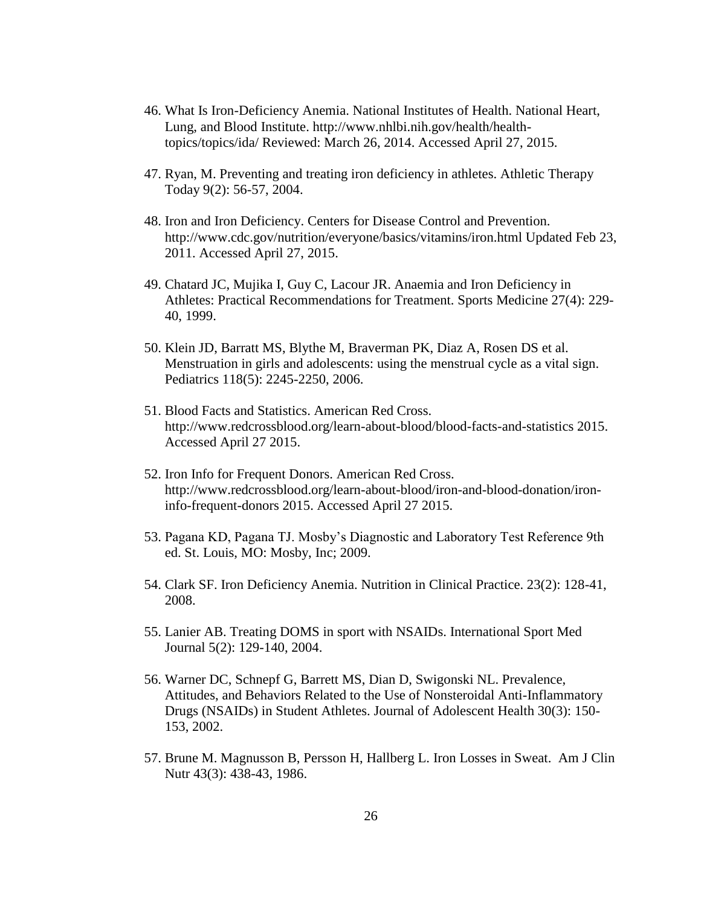- 46. What Is Iron-Deficiency Anemia. National Institutes of Health. National Heart, Lung, and Blood Institute. http://www.nhlbi.nih.gov/health/healthtopics/topics/ida/ Reviewed: March 26, 2014. Accessed April 27, 2015.
- 47. Ryan, M. Preventing and treating iron deficiency in athletes. Athletic Therapy Today 9(2): 56-57, 2004.
- 48. Iron and Iron Deficiency. Centers for Disease Control and Prevention. http://www.cdc.gov/nutrition/everyone/basics/vitamins/iron.html Updated Feb 23, 2011. Accessed April 27, 2015.
- 49. Chatard JC, Mujika I, Guy C, Lacour JR. Anaemia and Iron Deficiency in Athletes: Practical Recommendations for Treatment. Sports Medicine 27(4): 229- 40, 1999.
- 50. Klein JD, Barratt MS, Blythe M, Braverman PK, Diaz A, Rosen DS et al. Menstruation in girls and adolescents: using the menstrual cycle as a vital sign. Pediatrics 118(5): 2245-2250, 2006.
- 51. Blood Facts and Statistics. American Red Cross. http://www.redcrossblood.org/learn-about-blood/blood-facts-and-statistics 2015. Accessed April 27 2015.
- 52. Iron Info for Frequent Donors. American Red Cross. http://www.redcrossblood.org/learn-about-blood/iron-and-blood-donation/ironinfo-frequent-donors 2015. Accessed April 27 2015.
- 53. Pagana KD, Pagana TJ. Mosby's Diagnostic and Laboratory Test Reference 9th ed. St. Louis, MO: Mosby, Inc; 2009.
- 54. Clark SF. Iron Deficiency Anemia. Nutrition in Clinical Practice. 23(2): 128-41, 2008.
- 55. Lanier AB. Treating DOMS in sport with NSAIDs. International Sport Med Journal 5(2): 129-140, 2004.
- 56. Warner DC, Schnepf G, Barrett MS, Dian D, Swigonski NL. Prevalence, Attitudes, and Behaviors Related to the Use of Nonsteroidal Anti-Inflammatory Drugs (NSAIDs) in Student Athletes. Journal of Adolescent Health 30(3): 150- 153, 2002.
- 57. Brune M. Magnusson B, Persson H, Hallberg L. Iron Losses in Sweat. Am J Clin Nutr 43(3): 438-43, 1986.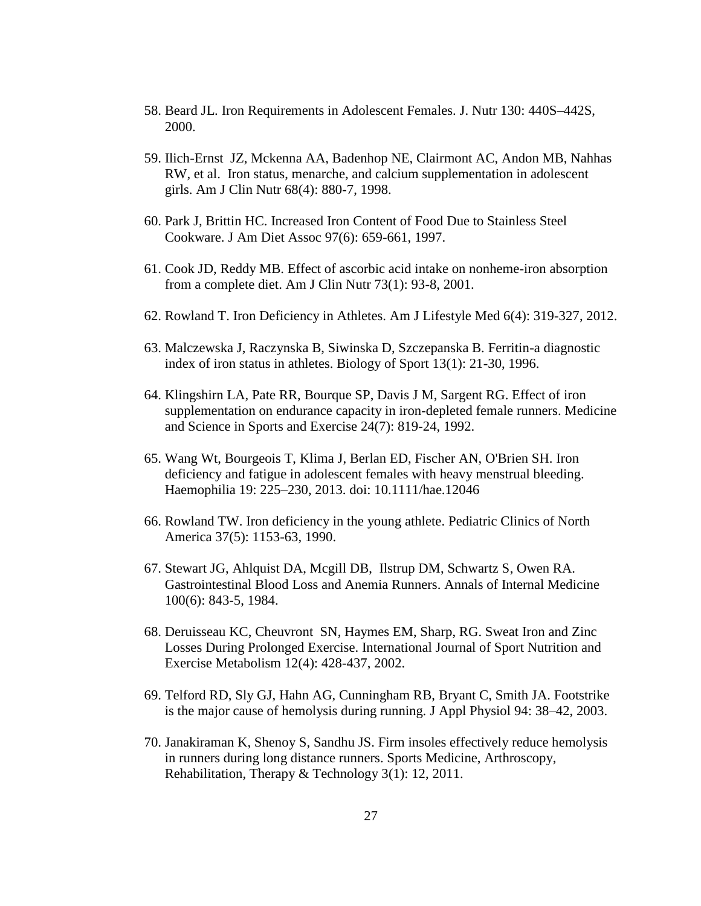- 58. Beard JL. Iron Requirements in Adolescent Females. J. Nutr 130: 440S–442S, 2000.
- 59. Ilich-Ernst JZ, Mckenna AA, Badenhop NE, Clairmont AC, Andon MB, Nahhas RW, et al. Iron status, menarche, and calcium supplementation in adolescent girls. Am J Clin Nutr 68(4): 880-7, 1998.
- 60. Park J, Brittin HC. Increased Iron Content of Food Due to Stainless Steel Cookware. J Am Diet Assoc 97(6): 659-661, 1997.
- 61. Cook JD, Reddy MB. Effect of ascorbic acid intake on nonheme-iron absorption from a complete diet. Am J Clin Nutr 73(1): 93-8, 2001.
- 62. Rowland T. Iron Deficiency in Athletes. Am J Lifestyle Med 6(4): 319-327, 2012.
- 63. Malczewska J, Raczynska B, Siwinska D, Szczepanska B. Ferritin-a diagnostic index of iron status in athletes. Biology of Sport 13(1): 21-30, 1996.
- 64. Klingshirn LA, Pate RR, Bourque SP, Davis J M, Sargent RG. Effect of iron supplementation on endurance capacity in iron-depleted female runners. Medicine and Science in Sports and Exercise 24(7): 819-24, 1992.
- 65. Wang Wt, Bourgeois T, Klima J, Berlan ED, Fischer AN, O'Brien SH. Iron deficiency and fatigue in adolescent females with heavy menstrual bleeding. Haemophilia 19: 225–230, 2013. doi: 10.1111/hae.12046
- 66. Rowland TW. Iron deficiency in the young athlete. Pediatric Clinics of North America 37(5): 1153-63, 1990.
- 67. Stewart JG, Ahlquist DA, Mcgill DB, Ilstrup DM, Schwartz S, Owen RA. Gastrointestinal Blood Loss and Anemia Runners. Annals of Internal Medicine 100(6): 843-5, 1984.
- 68. Deruisseau KC, Cheuvront SN, Haymes EM, Sharp, RG. Sweat Iron and Zinc Losses During Prolonged Exercise. International Journal of Sport Nutrition and Exercise Metabolism 12(4): 428-437, 2002.
- 69. Telford RD, Sly GJ, Hahn AG, Cunningham RB, Bryant C, Smith JA. Footstrike is the major cause of hemolysis during running. J Appl Physiol 94: 38–42, 2003.
- 70. Janakiraman K, Shenoy S, Sandhu JS. Firm insoles effectively reduce hemolysis in runners during long distance runners. Sports Medicine, Arthroscopy, Rehabilitation, Therapy & Technology 3(1): 12, 2011.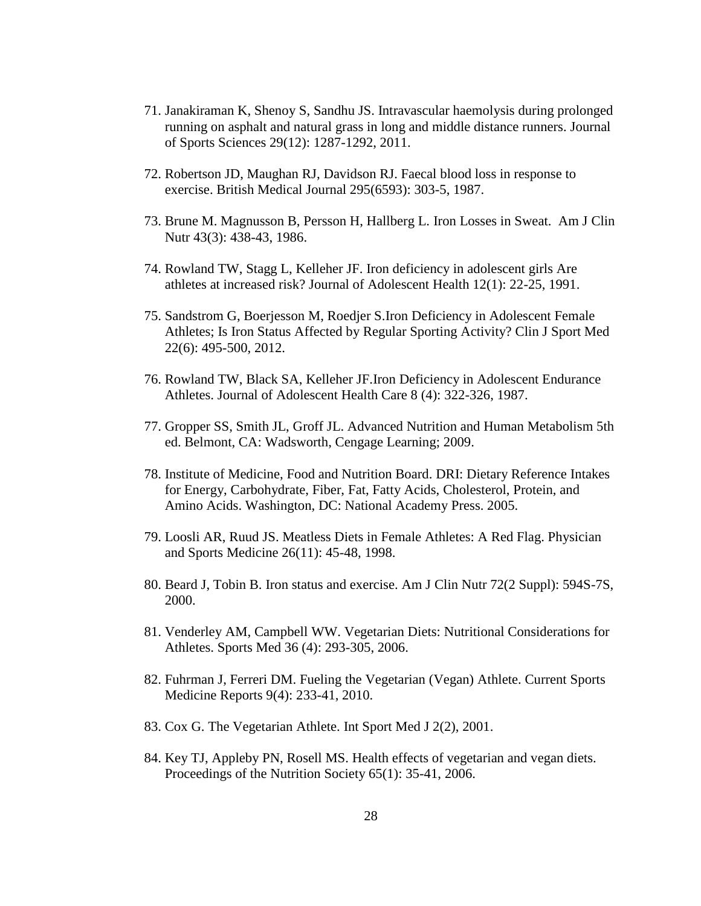- 71. Janakiraman K, Shenoy S, Sandhu JS. Intravascular haemolysis during prolonged running on asphalt and natural grass in long and middle distance runners. Journal of Sports Sciences 29(12): 1287-1292, 2011.
- 72. Robertson JD, Maughan RJ, Davidson RJ. Faecal blood loss in response to exercise. British Medical Journal 295(6593): 303-5, 1987.
- 73. Brune M. Magnusson B, Persson H, Hallberg L. Iron Losses in Sweat. Am J Clin Nutr 43(3): 438-43, 1986.
- 74. Rowland TW, Stagg L, Kelleher JF. Iron deficiency in adolescent girls Are athletes at increased risk? Journal of Adolescent Health 12(1): 22-25, 1991.
- 75. Sandstrom G, Boerjesson M, Roedjer S.Iron Deficiency in Adolescent Female Athletes; Is Iron Status Affected by Regular Sporting Activity? Clin J Sport Med 22(6): 495-500, 2012.
- 76. Rowland TW, Black SA, Kelleher JF.Iron Deficiency in Adolescent Endurance Athletes. Journal of Adolescent Health Care 8 (4): 322-326, 1987.
- 77. Gropper SS, Smith JL, Groff JL. Advanced Nutrition and Human Metabolism 5th ed. Belmont, CA: Wadsworth, Cengage Learning; 2009.
- 78. Institute of Medicine, Food and Nutrition Board. DRI: Dietary Reference Intakes for Energy, Carbohydrate, Fiber, Fat, Fatty Acids, Cholesterol, Protein, and Amino Acids. Washington, DC: National Academy Press. 2005.
- 79. Loosli AR, Ruud JS. Meatless Diets in Female Athletes: A Red Flag. Physician and Sports Medicine 26(11): 45-48, 1998.
- 80. Beard J, Tobin B. Iron status and exercise. Am J Clin Nutr 72(2 Suppl): 594S-7S, 2000.
- 81. Venderley AM, Campbell WW. Vegetarian Diets: Nutritional Considerations for Athletes. Sports Med 36 (4): 293-305, 2006.
- 82. Fuhrman J, Ferreri DM. Fueling the Vegetarian (Vegan) Athlete. Current Sports Medicine Reports 9(4): 233-41, 2010.
- 83. Cox G. The Vegetarian Athlete. Int Sport Med J 2(2), 2001.
- 84. Key TJ, Appleby PN, Rosell MS. Health effects of vegetarian and vegan diets. Proceedings of the Nutrition Society 65(1): 35-41, 2006.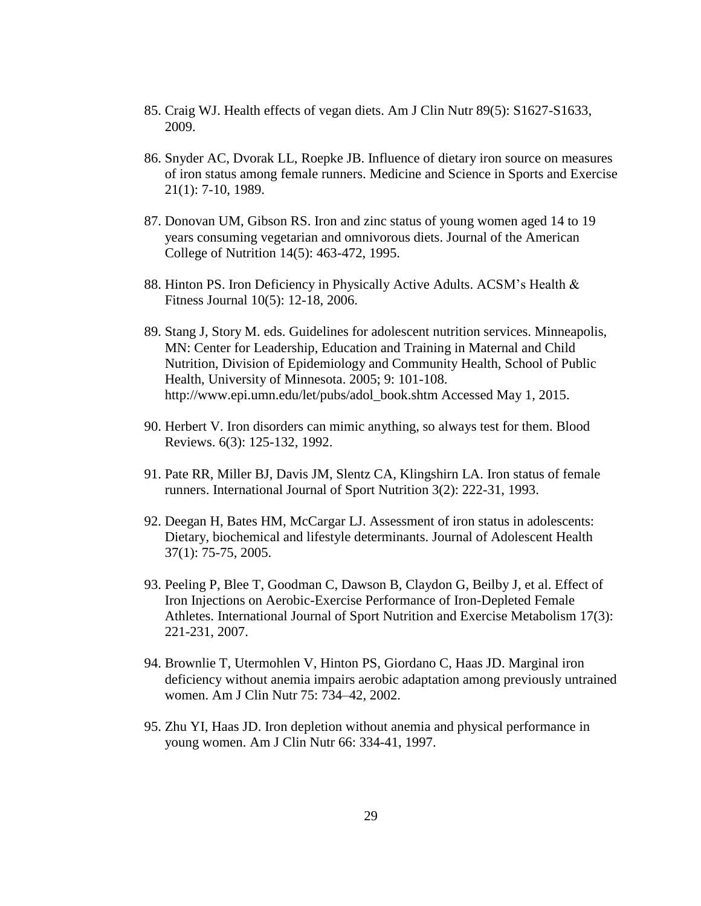- 85. Craig WJ. Health effects of vegan diets. Am J Clin Nutr 89(5): S1627-S1633, 2009.
- 86. Snyder AC, Dvorak LL, Roepke JB. Influence of dietary iron source on measures of iron status among female runners. Medicine and Science in Sports and Exercise 21(1): 7-10, 1989.
- 87. Donovan UM, Gibson RS. Iron and zinc status of young women aged 14 to 19 years consuming vegetarian and omnivorous diets. Journal of the American College of Nutrition 14(5): 463-472, 1995.
- 88. Hinton PS. Iron Deficiency in Physically Active Adults. ACSM's Health & Fitness Journal 10(5): 12-18, 2006.
- 89. Stang J, Story M. eds. Guidelines for adolescent nutrition services. Minneapolis, MN: Center for Leadership, Education and Training in Maternal and Child Nutrition, Division of Epidemiology and Community Health, School of Public Health, University of Minnesota. 2005; 9: 101-108. http://www.epi.umn.edu/let/pubs/adol\_book.shtm Accessed May 1, 2015.
- 90. Herbert V. Iron disorders can mimic anything, so always test for them. Blood Reviews. 6(3): 125-132, 1992.
- 91. Pate RR, Miller BJ, Davis JM, Slentz CA, Klingshirn LA. Iron status of female runners. International Journal of Sport Nutrition 3(2): 222-31, 1993.
- 92. Deegan H, Bates HM, McCargar LJ. Assessment of iron status in adolescents: Dietary, biochemical and lifestyle determinants. Journal of Adolescent Health 37(1): 75-75, 2005.
- 93. Peeling P, Blee T, Goodman C, Dawson B, Claydon G, Beilby J, et al. Effect of Iron Injections on Aerobic-Exercise Performance of Iron-Depleted Female Athletes. International Journal of Sport Nutrition and Exercise Metabolism 17(3): 221-231, 2007.
- 94. Brownlie T, Utermohlen V, Hinton PS, Giordano C, Haas JD. Marginal iron deficiency without anemia impairs aerobic adaptation among previously untrained women. Am J Clin Nutr 75: 734–42, 2002.
- 95. Zhu YI, Haas JD. Iron depletion without anemia and physical performance in young women. Am J Clin Nutr 66: 334-41, 1997.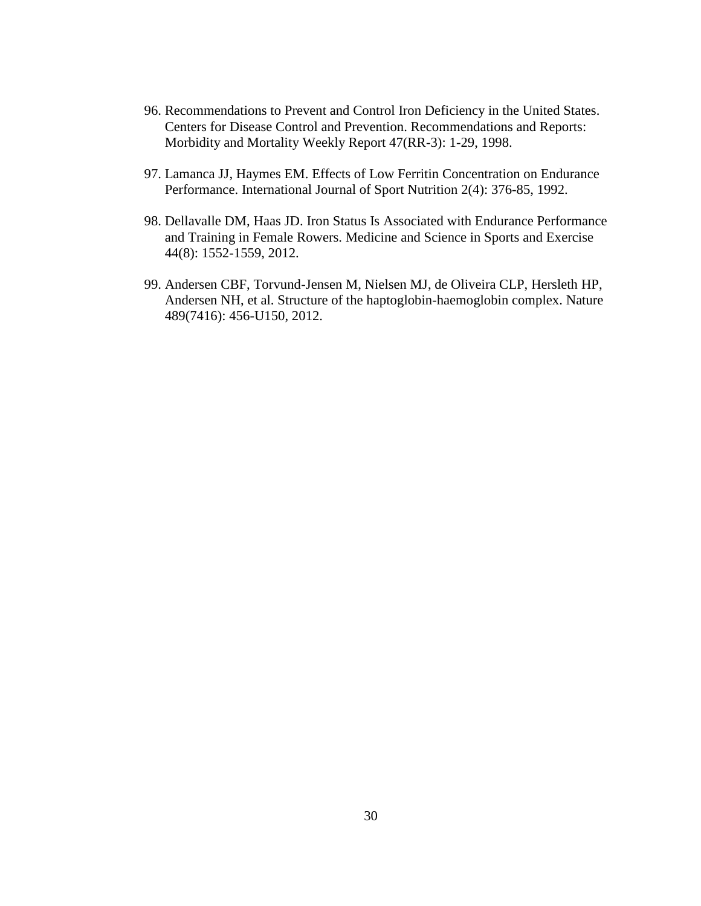- 96. Recommendations to Prevent and Control Iron Deficiency in the United States. Centers for Disease Control and Prevention. Recommendations and Reports: Morbidity and Mortality Weekly Report 47(RR-3): 1-29, 1998.
- 97. Lamanca JJ, Haymes EM. Effects of Low Ferritin Concentration on Endurance Performance. International Journal of Sport Nutrition 2(4): 376-85, 1992.
- 98. Dellavalle DM, Haas JD. Iron Status Is Associated with Endurance Performance and Training in Female Rowers. Medicine and Science in Sports and Exercise 44(8): 1552-1559, 2012.
- 99. Andersen CBF, Torvund-Jensen M, Nielsen MJ, de Oliveira CLP, Hersleth HP, Andersen NH, et al. Structure of the haptoglobin-haemoglobin complex. Nature 489(7416): 456-U150, 2012.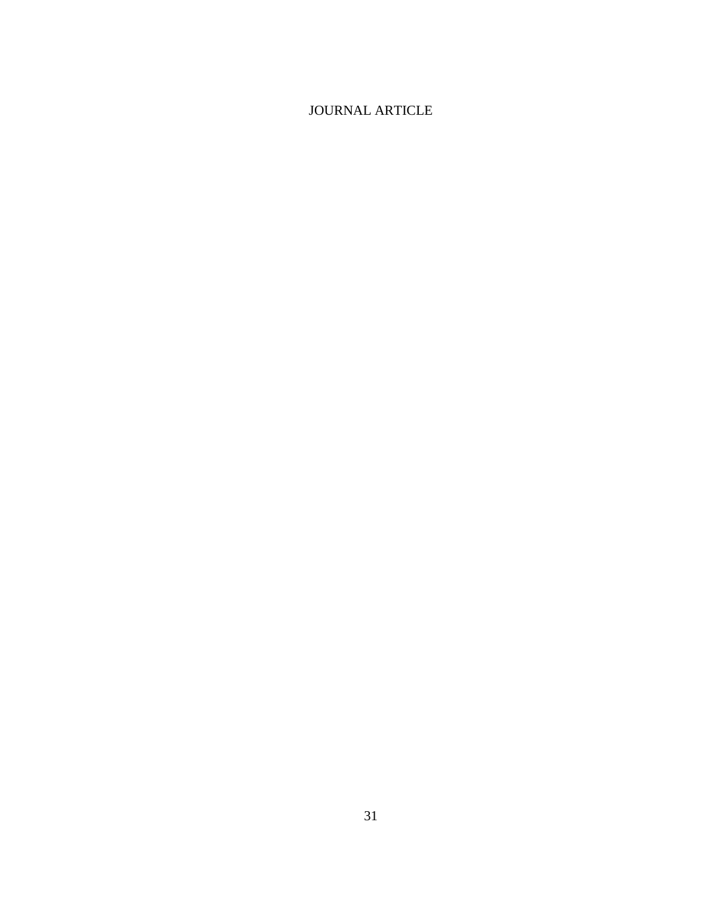# JOURNAL ARTICLE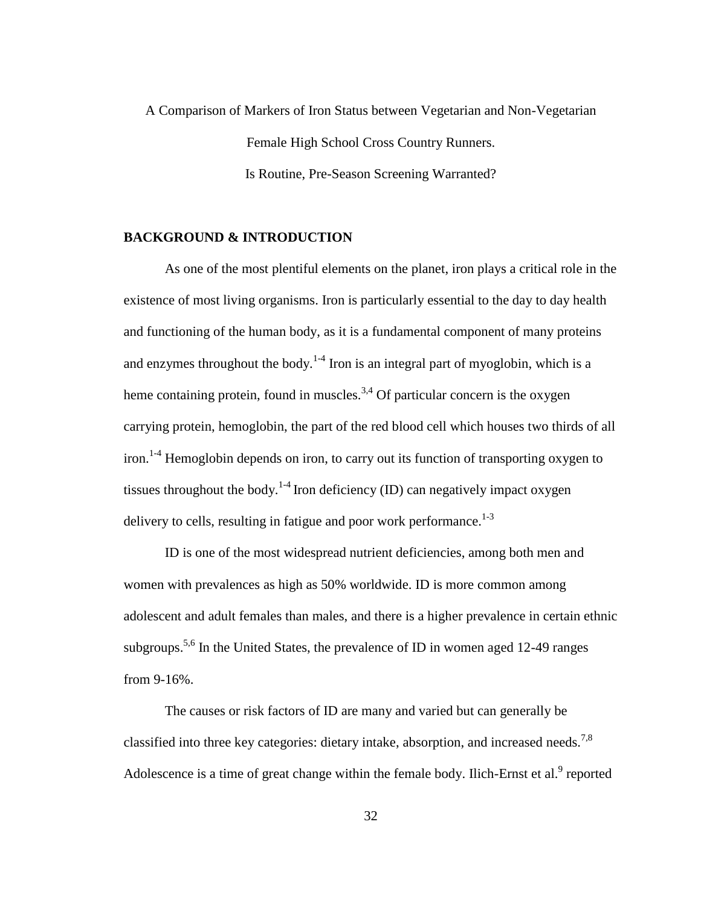A Comparison of Markers of Iron Status between Vegetarian and Non-Vegetarian Female High School Cross Country Runners. Is Routine, Pre-Season Screening Warranted?

### **BACKGROUND & INTRODUCTION**

As one of the most plentiful elements on the planet, iron plays a critical role in the existence of most living organisms. Iron is particularly essential to the day to day health and functioning of the human body, as it is a fundamental component of many proteins and enzymes throughout the body.<sup>1-4</sup> Iron is an integral part of myoglobin, which is a heme containing protein, found in muscles.<sup>3,4</sup> Of particular concern is the oxygen carrying protein, hemoglobin, the part of the red blood cell which houses two thirds of all iron.<sup>1-4</sup> Hemoglobin depends on iron, to carry out its function of transporting oxygen to tissues throughout the body.<sup>1-4</sup> Iron deficiency (ID) can negatively impact oxygen delivery to cells, resulting in fatigue and poor work performance.<sup>1-3</sup>

ID is one of the most widespread nutrient deficiencies, among both men and women with prevalences as high as 50% worldwide. ID is more common among adolescent and adult females than males, and there is a higher prevalence in certain ethnic subgroups.<sup>5,6</sup> In the United States, the prevalence of ID in women aged 12-49 ranges from 9-16%.

The causes or risk factors of ID are many and varied but can generally be classified into three key categories: dietary intake, absorption, and increased needs.<sup>7,8</sup> Adolescence is a time of great change within the female body. Ilich-Ernst et al. $<sup>9</sup>$  reported</sup>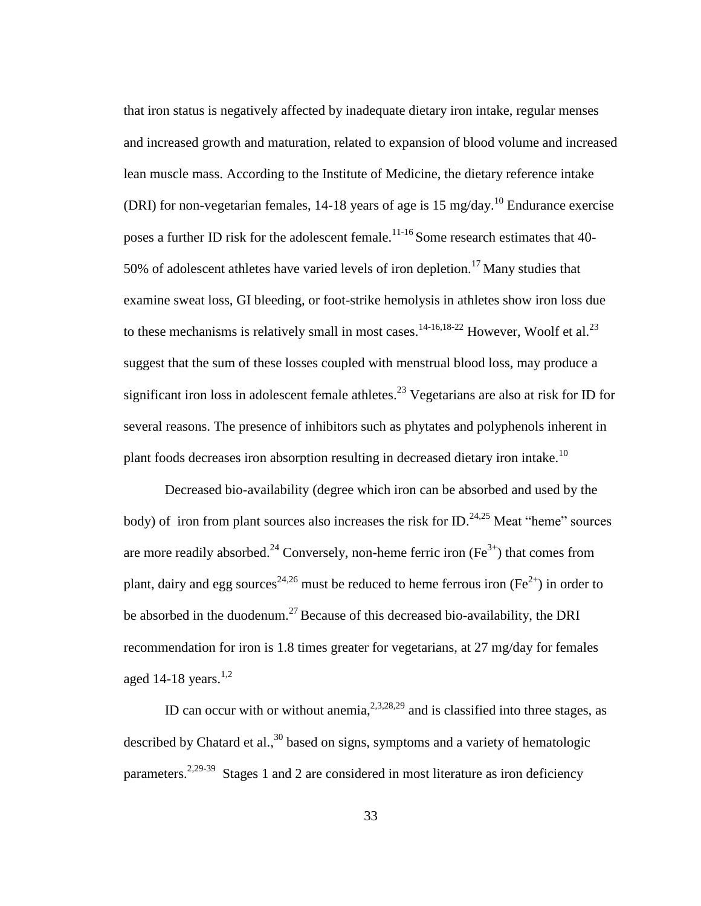that iron status is negatively affected by inadequate dietary iron intake, regular menses and increased growth and maturation, related to expansion of blood volume and increased lean muscle mass. According to the Institute of Medicine, the dietary reference intake (DRI) for non-vegetarian females, 14-18 years of age is 15 mg/day.<sup>10</sup> Endurance exercise poses a further ID risk for the adolescent female.<sup>11-16</sup> Some research estimates that 40-50% of adolescent athletes have varied levels of iron depletion.<sup>17</sup> Many studies that examine sweat loss, GI bleeding, or foot-strike hemolysis in athletes show iron loss due to these mechanisms is relatively small in most cases.<sup>14-16,18-22</sup> However, Woolf et al.<sup>23</sup> suggest that the sum of these losses coupled with menstrual blood loss, may produce a significant iron loss in adolescent female athletes.<sup>23</sup> Vegetarians are also at risk for ID for several reasons. The presence of inhibitors such as phytates and polyphenols inherent in plant foods decreases iron absorption resulting in decreased dietary iron intake.<sup>10</sup>

Decreased bio-availability (degree which iron can be absorbed and used by the body) of iron from plant sources also increases the risk for ID.<sup>24,25</sup> Meat "heme" sources are more readily absorbed.<sup>24</sup> Conversely, non-heme ferric iron ( $Fe<sup>3+</sup>$ ) that comes from plant, dairy and egg sources<sup>24,26</sup> must be reduced to heme ferrous iron (Fe<sup>2+</sup>) in order to be absorbed in the duodenum.<sup>27</sup> Because of this decreased bio-availability, the DRI recommendation for iron is 1.8 times greater for vegetarians, at 27 mg/day for females aged 14-18 years. $1,2$ 

ID can occur with or without anemia,  $2,3,28,29$  and is classified into three stages, as described by Chatard et al.,  $30$  based on signs, symptoms and a variety of hematologic parameters.<sup>2,29-39</sup> Stages 1 and 2 are considered in most literature as iron deficiency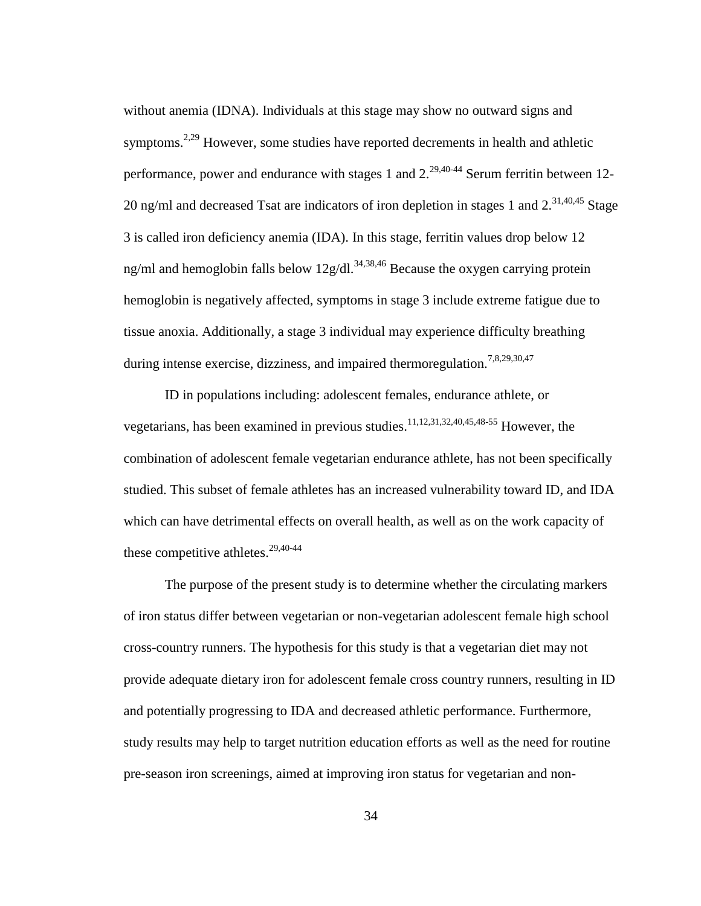without anemia (IDNA). Individuals at this stage may show no outward signs and symptoms.<sup>2,29</sup> However, some studies have reported decrements in health and athletic performance, power and endurance with stages 1 and  $2^{29,40-44}$  Serum ferritin between 12-20 ng/ml and decreased Tsat are indicators of iron depletion in stages 1 and  $2^{31,40,45}$  Stage 3 is called iron deficiency anemia (IDA). In this stage, ferritin values drop below 12 ng/ml and hemoglobin falls below  $12g/dl$ .<sup>34,38,46</sup> Because the oxygen carrying protein hemoglobin is negatively affected, symptoms in stage 3 include extreme fatigue due to tissue anoxia. Additionally, a stage 3 individual may experience difficulty breathing during intense exercise, dizziness, and impaired thermoregulation.<sup>7,8,29,30,47</sup>

ID in populations including: adolescent females, endurance athlete, or vegetarians, has been examined in previous studies.<sup>11,12,31,32,40,45,48-55</sup> However, the combination of adolescent female vegetarian endurance athlete, has not been specifically studied. This subset of female athletes has an increased vulnerability toward ID, and IDA which can have detrimental effects on overall health, as well as on the work capacity of these competitive athletes. $29,40-44$ 

The purpose of the present study is to determine whether the circulating markers of iron status differ between vegetarian or non-vegetarian adolescent female high school cross-country runners. The hypothesis for this study is that a vegetarian diet may not provide adequate dietary iron for adolescent female cross country runners, resulting in ID and potentially progressing to IDA and decreased athletic performance. Furthermore, study results may help to target nutrition education efforts as well as the need for routine pre-season iron screenings, aimed at improving iron status for vegetarian and non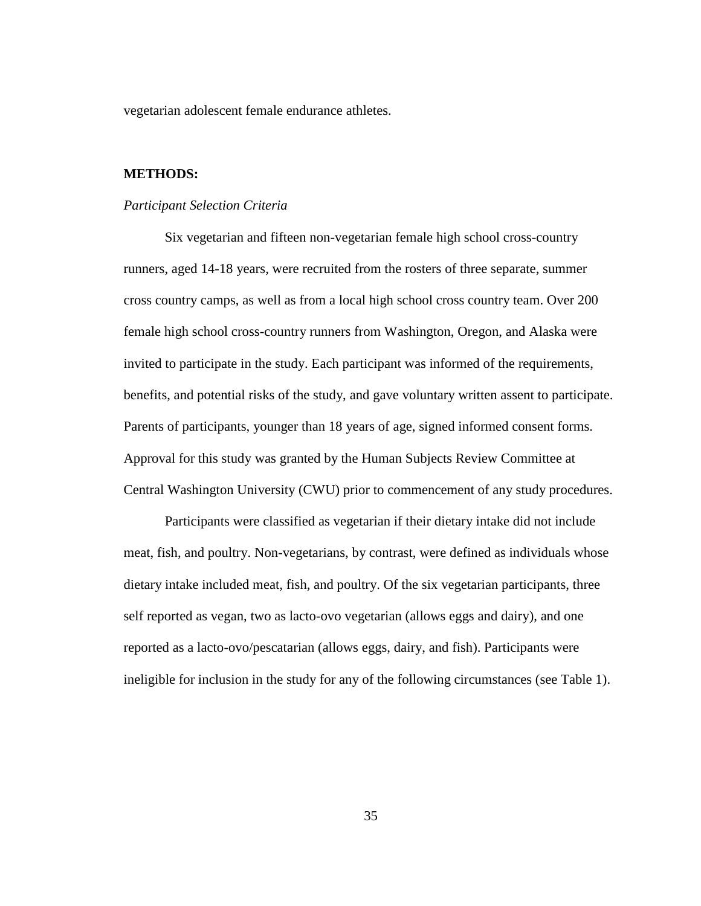vegetarian adolescent female endurance athletes.

### **METHODS:**

#### *Participant Selection Criteria*

Six vegetarian and fifteen non-vegetarian female high school cross-country runners, aged 14-18 years, were recruited from the rosters of three separate, summer cross country camps, as well as from a local high school cross country team. Over 200 female high school cross-country runners from Washington, Oregon, and Alaska were invited to participate in the study. Each participant was informed of the requirements, benefits, and potential risks of the study, and gave voluntary written assent to participate. Parents of participants, younger than 18 years of age, signed informed consent forms. Approval for this study was granted by the Human Subjects Review Committee at Central Washington University (CWU) prior to commencement of any study procedures.

Participants were classified as vegetarian if their dietary intake did not include meat, fish, and poultry. Non-vegetarians, by contrast, were defined as individuals whose dietary intake included meat, fish, and poultry. Of the six vegetarian participants, three self reported as vegan, two as lacto-ovo vegetarian (allows eggs and dairy), and one reported as a lacto-ovo/pescatarian (allows eggs, dairy, and fish). Participants were ineligible for inclusion in the study for any of the following circumstances (see Table 1).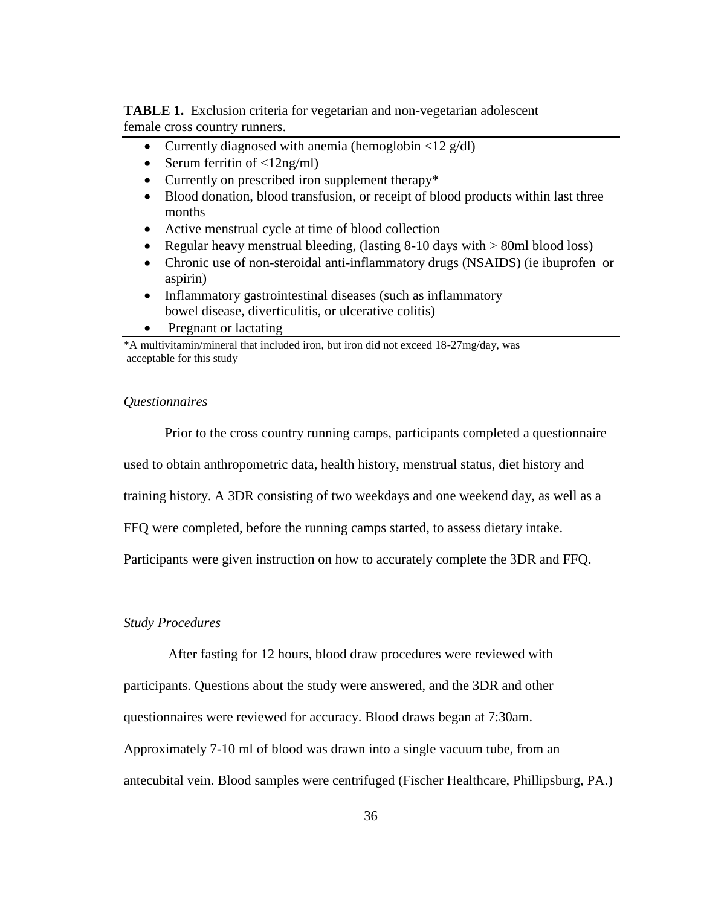**TABLE 1.** Exclusion criteria for vegetarian and non-vegetarian adolescent female cross country runners.

- Currently diagnosed with anemia (hemoglobin  $\langle 12 \text{ g/dl} \rangle$
- Serum ferritin of  $\langle 12ng/ml \rangle$
- Currently on prescribed iron supplement therapy\*
- Blood donation, blood transfusion, or receipt of blood products within last three months
- Active menstrual cycle at time of blood collection
- Regular heavy menstrual bleeding, (lasting  $8-10$  days with  $> 80$ ml blood loss)
- Chronic use of non-steroidal anti-inflammatory drugs (NSAIDS) (ie ibuprofen or aspirin)
- Inflammatory gastrointestinal diseases (such as inflammatory bowel disease, diverticulitis, or ulcerative colitis)
- Pregnant or lactating

\*A multivitamin/mineral that included iron, but iron did not exceed 18-27mg/day, was acceptable for this study

#### *Questionnaires*

Prior to the cross country running camps, participants completed a questionnaire

used to obtain anthropometric data, health history, menstrual status, diet history and

training history. A 3DR consisting of two weekdays and one weekend day, as well as a

FFQ were completed, before the running camps started, to assess dietary intake.

Participants were given instruction on how to accurately complete the 3DR and FFQ.

# *Study Procedures*

After fasting for 12 hours, blood draw procedures were reviewed with

participants. Questions about the study were answered, and the 3DR and other

questionnaires were reviewed for accuracy. Blood draws began at 7:30am.

Approximately 7-10 ml of blood was drawn into a single vacuum tube, from an

antecubital vein. Blood samples were centrifuged (Fischer Healthcare, Phillipsburg, PA.)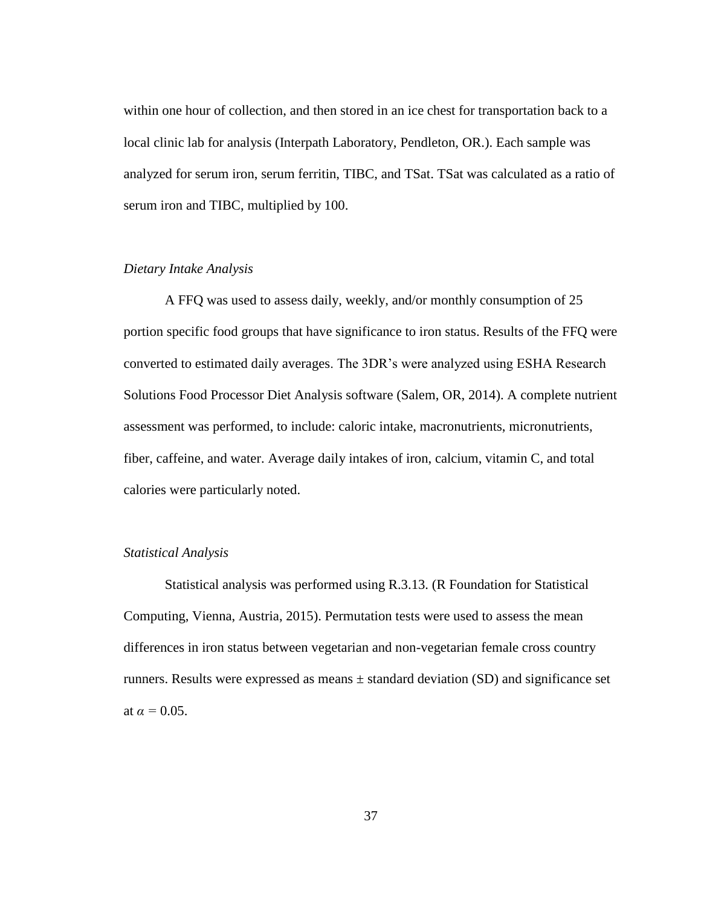within one hour of collection, and then stored in an ice chest for transportation back to a local clinic lab for analysis (Interpath Laboratory, Pendleton, OR.). Each sample was analyzed for serum iron, serum ferritin, TIBC, and TSat. TSat was calculated as a ratio of serum iron and TIBC, multiplied by 100.

#### *Dietary Intake Analysis*

A FFQ was used to assess daily, weekly, and/or monthly consumption of 25 portion specific food groups that have significance to iron status. Results of the FFQ were converted to estimated daily averages. The 3DR's were analyzed using ESHA Research Solutions Food Processor Diet Analysis software (Salem, OR, 2014). A complete nutrient assessment was performed, to include: caloric intake, macronutrients, micronutrients, fiber, caffeine, and water. Average daily intakes of iron, calcium, vitamin C, and total calories were particularly noted.

# *Statistical Analysis*

Statistical analysis was performed using R.3.13. (R Foundation for Statistical Computing, Vienna, Austria, 2015). Permutation tests were used to assess the mean differences in iron status between vegetarian and non-vegetarian female cross country runners. Results were expressed as means  $\pm$  standard deviation (SD) and significance set at  $\alpha = 0.05$ .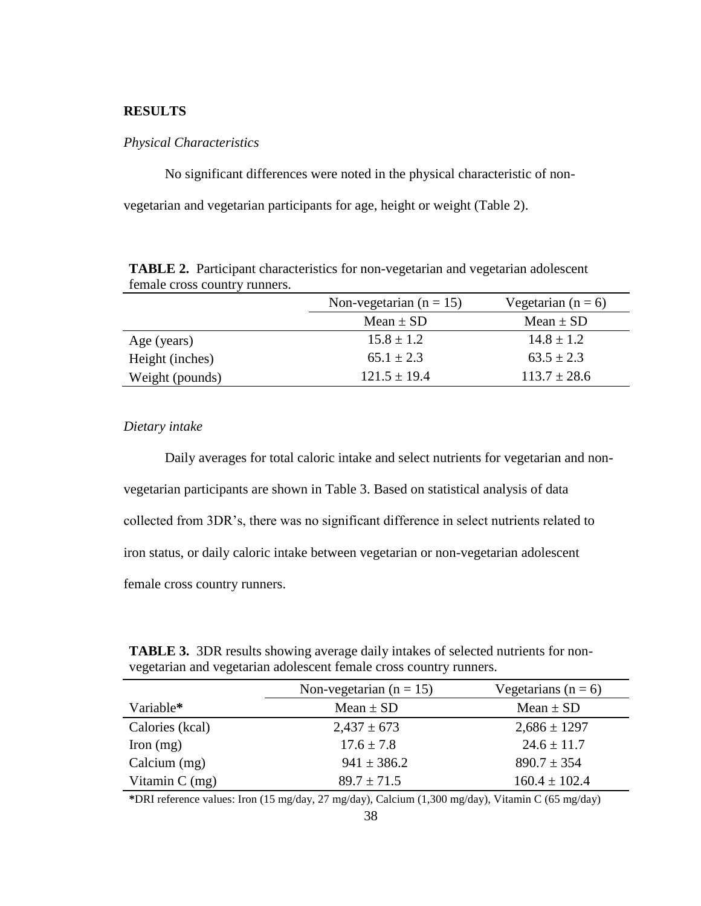# **RESULTS**

### *Physical Characteristics*

No significant differences were noted in the physical characteristic of non-

vegetarian and vegetarian participants for age, height or weight (Table 2).

|                 | Non-vegetarian ( $n = 15$ ) | Vegetarian ( $n = 6$ ) |  |
|-----------------|-----------------------------|------------------------|--|
|                 | Mean $\pm$ SD               | Mean $\pm$ SD          |  |
| Age (years)     | $15.8 \pm 1.2$              | $14.8 \pm 1.2$         |  |
| Height (inches) | $65.1 \pm 2.3$              | $63.5 \pm 2.3$         |  |
| Weight (pounds) | $121.5 \pm 19.4$            | $113.7 \pm 28.6$       |  |

**TABLE 2.** Participant characteristics for non-vegetarian and vegetarian adolescent female cross country runners.

# *Dietary intake*

Daily averages for total caloric intake and select nutrients for vegetarian and nonvegetarian participants are shown in Table 3. Based on statistical analysis of data collected from 3DR's, there was no significant difference in select nutrients related to iron status, or daily caloric intake between vegetarian or non-vegetarian adolescent female cross country runners.

| <b>TABLE 3.</b> 3DR results showing average daily intakes of selected nutrients for non- |
|------------------------------------------------------------------------------------------|
| vegetarian and vegetarian adolescent female cross country runners.                       |

|                  | Non-vegetarian ( $n = 15$ ) | Vegetarians ( $n = 6$ ) |  |
|------------------|-----------------------------|-------------------------|--|
| Variable*        | Mean $\pm$ SD               | Mean $\pm$ SD           |  |
| Calories (kcal)  | $2,437 \pm 673$             | $2,686 \pm 1297$        |  |
| Iron $(mg)$      | $17.6 \pm 7.8$              | $24.6 \pm 11.7$         |  |
| Calcium $(mg)$   | $941 \pm 386.2$             | $890.7 \pm 354$         |  |
| Vitamin $C$ (mg) | $89.7 \pm 71.5$             | $160.4 \pm 102.4$       |  |

**\***DRI reference values: Iron (15 mg/day, 27 mg/day), Calcium (1,300 mg/day), Vitamin C (65 mg/day)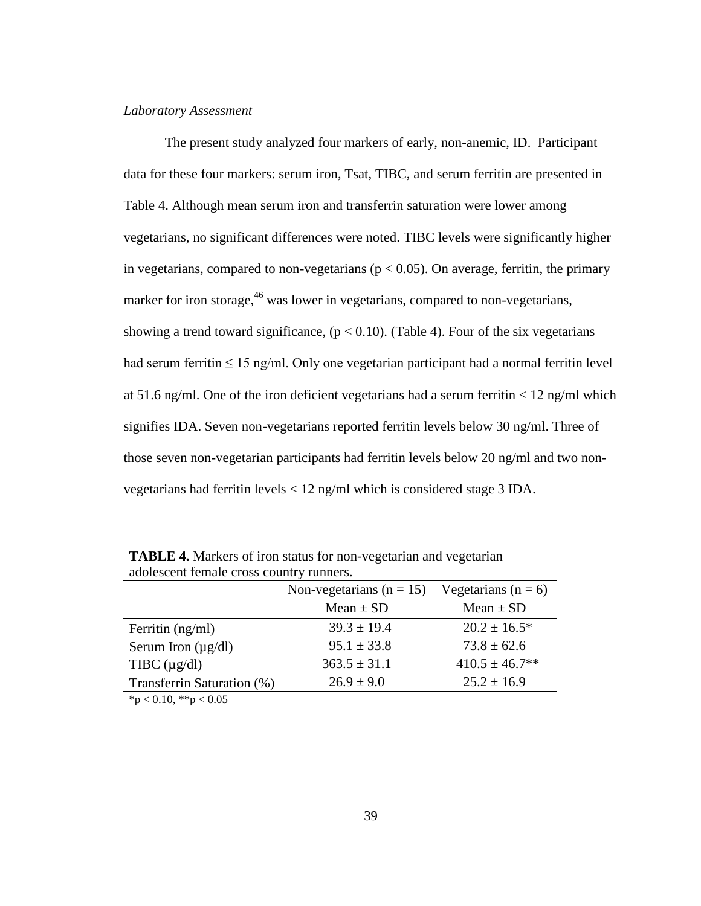#### *Laboratory Assessment*

The present study analyzed four markers of early, non-anemic, ID. Participant data for these four markers: serum iron, Tsat, TIBC, and serum ferritin are presented in Table 4. Although mean serum iron and transferrin saturation were lower among vegetarians, no significant differences were noted. TIBC levels were significantly higher in vegetarians, compared to non-vegetarians ( $p < 0.05$ ). On average, ferritin, the primary marker for iron storage,<sup>46</sup> was lower in vegetarians, compared to non-vegetarians, showing a trend toward significance,  $(p < 0.10)$ . (Table 4). Four of the six vegetarians had serum ferritin  $\leq 15$  ng/ml. Only one vegetarian participant had a normal ferritin level at 51.6 ng/ml. One of the iron deficient vegetarians had a serum ferritin  $< 12$  ng/ml which signifies IDA. Seven non-vegetarians reported ferritin levels below 30 ng/ml. Three of those seven non-vegetarian participants had ferritin levels below 20 ng/ml and two nonvegetarians had ferritin levels < 12 ng/ml which is considered stage 3 IDA.

|                                                                                            | Non-vegetarians ( $n = 15$ ) | Vegetarians ( $n = 6$ ) |  |  |  |
|--------------------------------------------------------------------------------------------|------------------------------|-------------------------|--|--|--|
|                                                                                            | Mean $\pm$ SD                | Mean $\pm$ SD           |  |  |  |
| Ferritin $(ng/ml)$                                                                         | $39.3 \pm 19.4$              | $20.2 \pm 16.5^*$       |  |  |  |
| Serum Iron $(\mu g/dl)$                                                                    | $95.1 \pm 33.8$              | $73.8 \pm 62.6$         |  |  |  |
| TIBC $(\mu g/dl)$                                                                          | $363.5 \pm 31.1$             | $410.5 \pm 46.7$ **     |  |  |  |
| Transferrin Saturation (%)                                                                 | $26.9 \pm 9.0$               | $25.2 \pm 16.9$         |  |  |  |
| $\mathbf{a}$ $\mathbf{a}$ $\mathbf{a}$ $\mathbf{a}$ $\mathbf{a}$ $\mathbf{a}$ $\mathbf{a}$ |                              |                         |  |  |  |

**TABLE 4.** Markers of iron status for non-vegetarian and vegetarian adolescent female cross country runners.

 $*<sub>p</sub> < 0.10, **<sub>p</sub> < 0.05$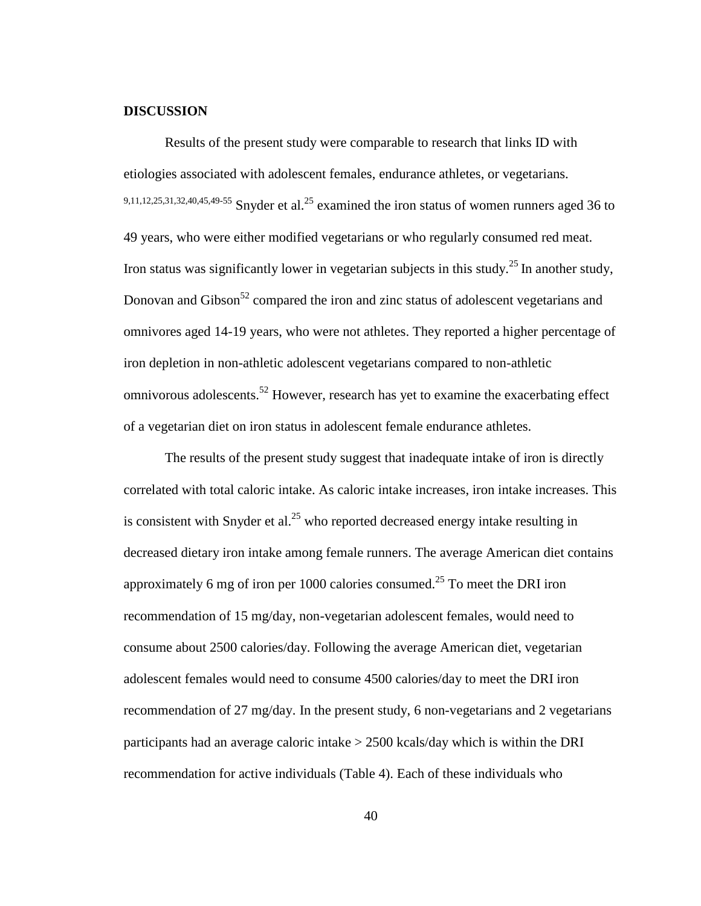#### **DISCUSSION**

Results of the present study were comparable to research that links ID with etiologies associated with adolescent females, endurance athletes, or vegetarians. 9,11,12,25,31,32,40,45,49-55 Snyder et al.<sup>25</sup> examined the iron status of women runners aged 36 to 49 years, who were either modified vegetarians or who regularly consumed red meat. Iron status was significantly lower in vegetarian subjects in this study.<sup>25</sup> In another study, Donovan and Gibson<sup>52</sup> compared the iron and zinc status of adolescent vegetarians and omnivores aged 14-19 years, who were not athletes. They reported a higher percentage of iron depletion in non-athletic adolescent vegetarians compared to non-athletic omnivorous adolescents.<sup>52</sup> However, research has yet to examine the exacerbating effect of a vegetarian diet on iron status in adolescent female endurance athletes.

The results of the present study suggest that inadequate intake of iron is directly correlated with total caloric intake. As caloric intake increases, iron intake increases. This is consistent with Snyder et al.<sup>25</sup> who reported decreased energy intake resulting in decreased dietary iron intake among female runners. The average American diet contains approximately 6 mg of iron per 1000 calories consumed.<sup>25</sup> To meet the DRI iron recommendation of 15 mg/day, non-vegetarian adolescent females, would need to consume about 2500 calories/day. Following the average American diet, vegetarian adolescent females would need to consume 4500 calories/day to meet the DRI iron recommendation of 27 mg/day. In the present study, 6 non-vegetarians and 2 vegetarians participants had an average caloric intake > 2500 kcals/day which is within the DRI recommendation for active individuals (Table 4). Each of these individuals who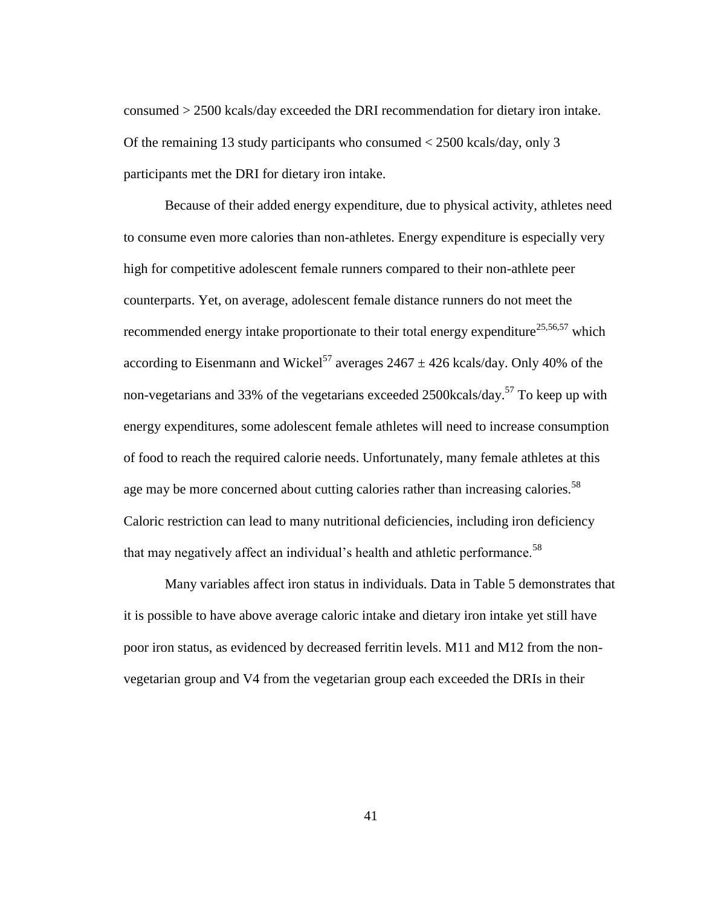consumed > 2500 kcals/day exceeded the DRI recommendation for dietary iron intake. Of the remaining 13 study participants who consumed < 2500 kcals/day, only 3 participants met the DRI for dietary iron intake.

Because of their added energy expenditure, due to physical activity, athletes need to consume even more calories than non-athletes. Energy expenditure is especially very high for competitive adolescent female runners compared to their non-athlete peer counterparts. Yet, on average, adolescent female distance runners do not meet the recommended energy intake proportionate to their total energy expenditure<sup>25,56,57</sup> which according to Eisenmann and Wickel<sup>57</sup> averages  $2467 \pm 426$  kcals/day. Only 40% of the non-vegetarians and 33% of the vegetarians exceeded 2500 kcals/day.<sup>57</sup> To keep up with energy expenditures, some adolescent female athletes will need to increase consumption of food to reach the required calorie needs. Unfortunately, many female athletes at this age may be more concerned about cutting calories rather than increasing calories.<sup>58</sup> Caloric restriction can lead to many nutritional deficiencies, including iron deficiency that may negatively affect an individual's health and athletic performance.<sup>58</sup>

Many variables affect iron status in individuals. Data in Table 5 demonstrates that it is possible to have above average caloric intake and dietary iron intake yet still have poor iron status, as evidenced by decreased ferritin levels. M11 and M12 from the nonvegetarian group and V4 from the vegetarian group each exceeded the DRIs in their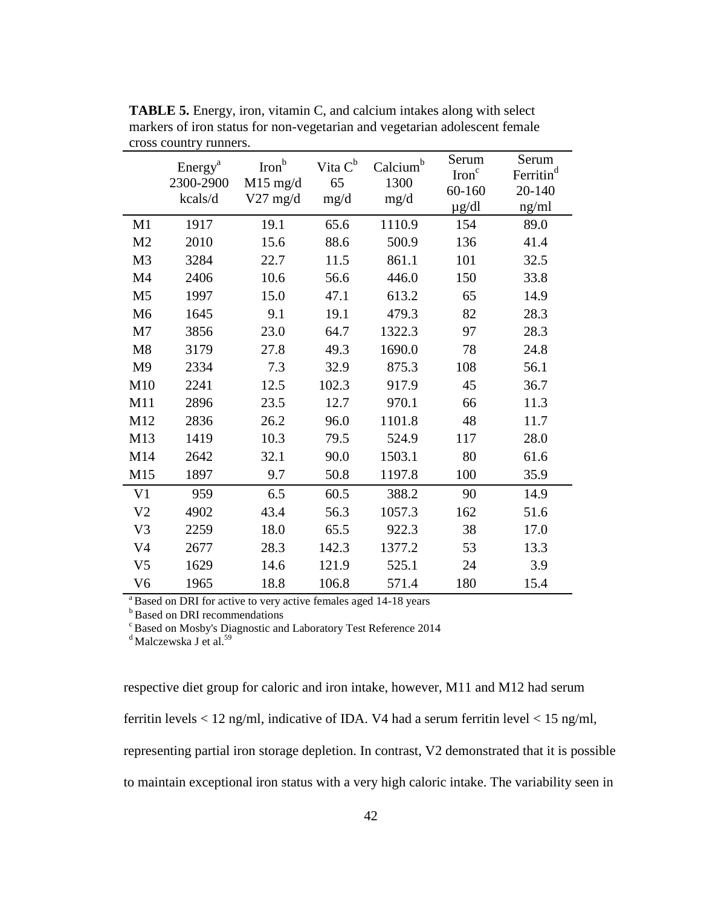|                | Energy <sup>a</sup><br>2300-2900<br>kcals/d | Iron <sup>b</sup><br>$M15$ mg/d<br>$V27$ mg/d | Vita $C^b$<br>65<br>mg/d | Calcium <sup>b</sup><br>1300<br>mg/d | Serum<br>Iron <sup>c</sup><br>60-160<br>$\mu$ g/dl | Serum<br>Ferritin <sup>d</sup><br>20-140<br>ng/ml |
|----------------|---------------------------------------------|-----------------------------------------------|--------------------------|--------------------------------------|----------------------------------------------------|---------------------------------------------------|
| M1             | 1917                                        | 19.1                                          | 65.6                     | 1110.9                               | 154                                                | 89.0                                              |
| M <sub>2</sub> | 2010                                        | 15.6                                          | 88.6                     | 500.9                                | 136                                                | 41.4                                              |
| M <sub>3</sub> | 3284                                        | 22.7                                          | 11.5                     | 861.1                                | 101                                                | 32.5                                              |
| M4             | 2406                                        | 10.6                                          | 56.6                     | 446.0                                | 150                                                | 33.8                                              |
| M <sub>5</sub> | 1997                                        | 15.0                                          | 47.1                     | 613.2                                | 65                                                 | 14.9                                              |
| M <sub>6</sub> | 1645                                        | 9.1                                           | 19.1                     | 479.3                                | 82                                                 | 28.3                                              |
| M <sub>7</sub> | 3856                                        | 23.0                                          | 64.7                     | 1322.3                               | 97                                                 | 28.3                                              |
| M8             | 3179                                        | 27.8                                          | 49.3                     | 1690.0                               | 78                                                 | 24.8                                              |
| M <sub>9</sub> | 2334                                        | 7.3                                           | 32.9                     | 875.3                                | 108                                                | 56.1                                              |
| M10            | 2241                                        | 12.5                                          | 102.3                    | 917.9                                | 45                                                 | 36.7                                              |
| M11            | 2896                                        | 23.5                                          | 12.7                     | 970.1                                | 66                                                 | 11.3                                              |
| M12            | 2836                                        | 26.2                                          | 96.0                     | 1101.8                               | 48                                                 | 11.7                                              |
| M13            | 1419                                        | 10.3                                          | 79.5                     | 524.9                                | 117                                                | 28.0                                              |
| M14            | 2642                                        | 32.1                                          | 90.0                     | 1503.1                               | 80                                                 | 61.6                                              |
| M15            | 1897                                        | 9.7                                           | 50.8                     | 1197.8                               | 100                                                | 35.9                                              |
| V <sub>1</sub> | 959                                         | 6.5                                           | 60.5                     | 388.2                                | 90                                                 | 14.9                                              |
| V <sub>2</sub> | 4902                                        | 43.4                                          | 56.3                     | 1057.3                               | 162                                                | 51.6                                              |
| V3             | 2259                                        | 18.0                                          | 65.5                     | 922.3                                | 38                                                 | 17.0                                              |
| V <sub>4</sub> | 2677                                        | 28.3                                          | 142.3                    | 1377.2                               | 53                                                 | 13.3                                              |
| V <sub>5</sub> | 1629                                        | 14.6                                          | 121.9                    | 525.1                                | 24                                                 | 3.9                                               |
| V <sub>6</sub> | 1965                                        | 18.8                                          | 106.8                    | 571.4                                | 180                                                | 15.4                                              |

**TABLE 5.** Energy, iron, vitamin C, and calcium intakes along with select markers of iron status for non-vegetarian and vegetarian adolescent female cross country runners.

<sup>a</sup>Based on DRI for active to very active females aged 14-18 years

**b**Based on DRI recommendations

 $\textdegree$ Based on Mosby's Diagnostic and Laboratory Test Reference 2014

<sup>d</sup>Malczewska J et al.<sup>59</sup>

respective diet group for caloric and iron intake, however, M11 and M12 had serum

ferritin levels  $< 12$  ng/ml, indicative of IDA. V4 had a serum ferritin level  $< 15$  ng/ml,

representing partial iron storage depletion. In contrast, V2 demonstrated that it is possible

to maintain exceptional iron status with a very high caloric intake. The variability seen in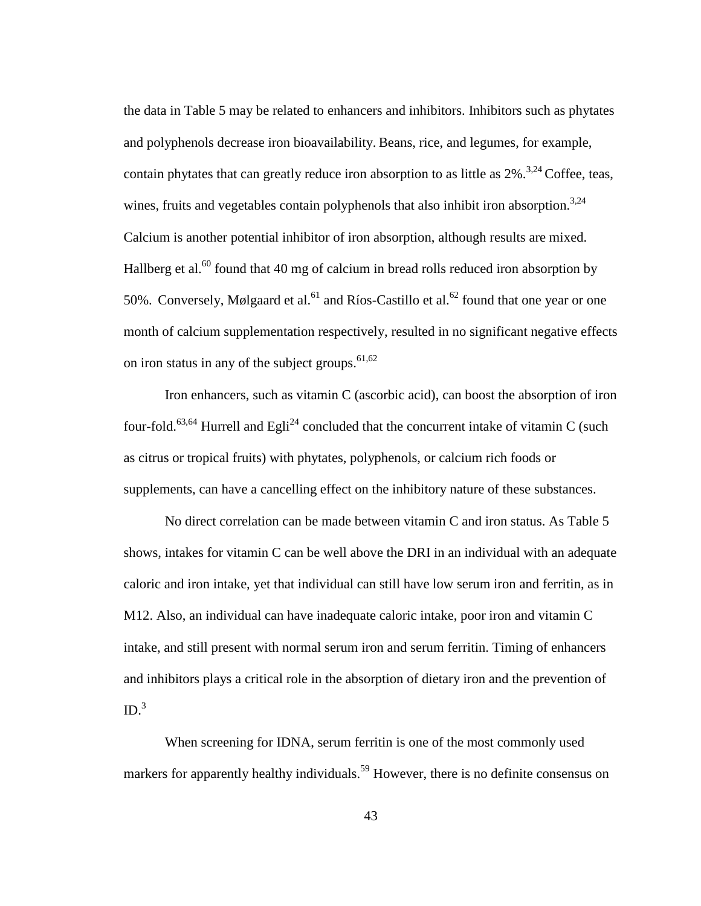the data in Table 5 may be related to enhancers and inhibitors. Inhibitors such as phytates and polyphenols decrease iron bioavailability. Beans, rice, and legumes, for example, contain phytates that can greatly reduce iron absorption to as little as  $2\%$ .<sup>3,24</sup> Coffee, teas, wines, fruits and vegetables contain polyphenols that also inhibit iron absorption.<sup>3,24</sup> Calcium is another potential inhibitor of iron absorption, although results are mixed. Hallberg et al.<sup>60</sup> found that 40 mg of calcium in bread rolls reduced iron absorption by 50%. Conversely, Mølgaard et al.<sup>61</sup> and Ríos-Castillo et al.<sup>62</sup> found that one year or one month of calcium supplementation respectively, resulted in no significant negative effects on iron status in any of the subject groups. $61,62$ 

Iron enhancers, such as vitamin C (ascorbic acid), can boost the absorption of iron four-fold.<sup>63,64</sup> Hurrell and Egli<sup>24</sup> concluded that the concurrent intake of vitamin C (such as citrus or tropical fruits) with phytates, polyphenols, or calcium rich foods or supplements, can have a cancelling effect on the inhibitory nature of these substances.

No direct correlation can be made between vitamin C and iron status. As Table 5 shows, intakes for vitamin C can be well above the DRI in an individual with an adequate caloric and iron intake, yet that individual can still have low serum iron and ferritin, as in M12. Also, an individual can have inadequate caloric intake, poor iron and vitamin C intake, and still present with normal serum iron and serum ferritin. Timing of enhancers and inhibitors plays a critical role in the absorption of dietary iron and the prevention of  $ID.<sup>3</sup>$ 

When screening for IDNA, serum ferritin is one of the most commonly used markers for apparently healthy individuals.<sup>59</sup> However, there is no definite consensus on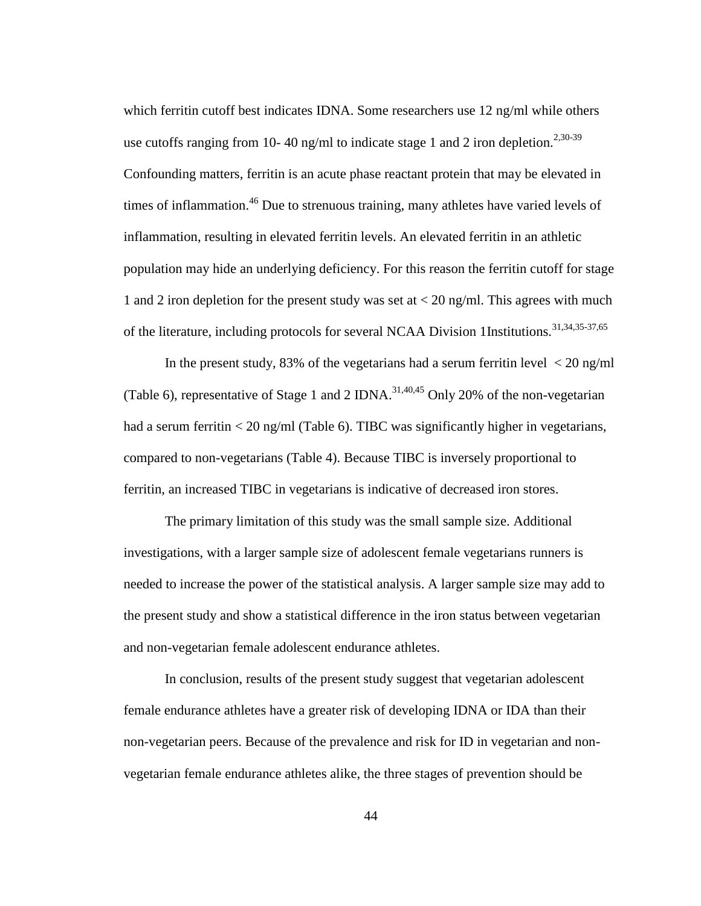which ferritin cutoff best indicates IDNA. Some researchers use 12 ng/ml while others use cutoffs ranging from 10-40 ng/ml to indicate stage 1 and 2 iron depletion.<sup>2,30-39</sup> Confounding matters, ferritin is an acute phase reactant protein that may be elevated in times of inflammation.<sup>46</sup> Due to strenuous training, many athletes have varied levels of inflammation, resulting in elevated ferritin levels. An elevated ferritin in an athletic population may hide an underlying deficiency. For this reason the ferritin cutoff for stage 1 and 2 iron depletion for the present study was set at < 20 ng/ml. This agrees with much of the literature, including protocols for several NCAA Division 1Institutions.<sup>31,34,35-37,65</sup>

In the present study, 83% of the vegetarians had a serum ferritin level  $\langle 20 \text{ ng/ml}}$ (Table 6), representative of Stage 1 and 2 IDNA.<sup>31,40,45</sup> Only 20% of the non-vegetarian had a serum ferritin < 20 ng/ml (Table 6). TIBC was significantly higher in vegetarians, compared to non-vegetarians (Table 4). Because TIBC is inversely proportional to ferritin, an increased TIBC in vegetarians is indicative of decreased iron stores.

The primary limitation of this study was the small sample size. Additional investigations, with a larger sample size of adolescent female vegetarians runners is needed to increase the power of the statistical analysis. A larger sample size may add to the present study and show a statistical difference in the iron status between vegetarian and non-vegetarian female adolescent endurance athletes.

In conclusion, results of the present study suggest that vegetarian adolescent female endurance athletes have a greater risk of developing IDNA or IDA than their non-vegetarian peers. Because of the prevalence and risk for ID in vegetarian and nonvegetarian female endurance athletes alike, the three stages of prevention should be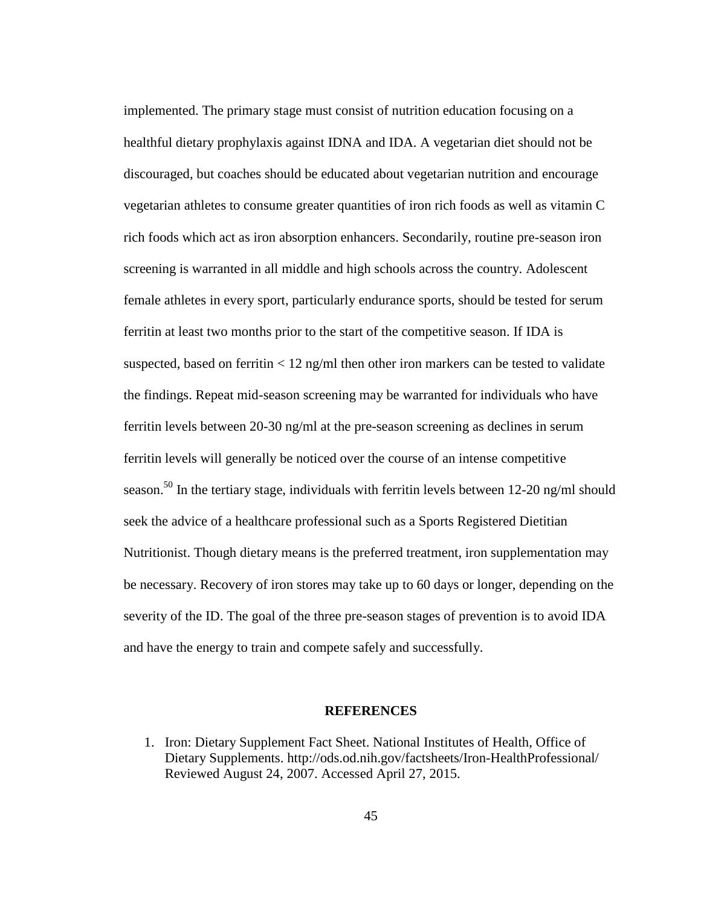implemented. The primary stage must consist of nutrition education focusing on a healthful dietary prophylaxis against IDNA and IDA. A vegetarian diet should not be discouraged, but coaches should be educated about vegetarian nutrition and encourage vegetarian athletes to consume greater quantities of iron rich foods as well as vitamin C rich foods which act as iron absorption enhancers. Secondarily, routine pre-season iron screening is warranted in all middle and high schools across the country. Adolescent female athletes in every sport, particularly endurance sports, should be tested for serum ferritin at least two months prior to the start of the competitive season. If IDA is suspected, based on ferritin  $\langle 12 \text{ ng/ml} \rangle$  then other iron markers can be tested to validate the findings. Repeat mid-season screening may be warranted for individuals who have ferritin levels between 20-30 ng/ml at the pre-season screening as declines in serum ferritin levels will generally be noticed over the course of an intense competitive season.<sup>50</sup> In the tertiary stage, individuals with ferritin levels between 12-20 ng/ml should seek the advice of a healthcare professional such as a Sports Registered Dietitian Nutritionist. Though dietary means is the preferred treatment, iron supplementation may be necessary. Recovery of iron stores may take up to 60 days or longer, depending on the severity of the ID. The goal of the three pre-season stages of prevention is to avoid IDA and have the energy to train and compete safely and successfully.

### **REFERENCES**

1. Iron: Dietary Supplement Fact Sheet. National Institutes of Health, Office of Dietary Supplements. http://ods.od.nih.gov/factsheets/Iron-HealthProfessional/ Reviewed August 24, 2007. Accessed April 27, 2015.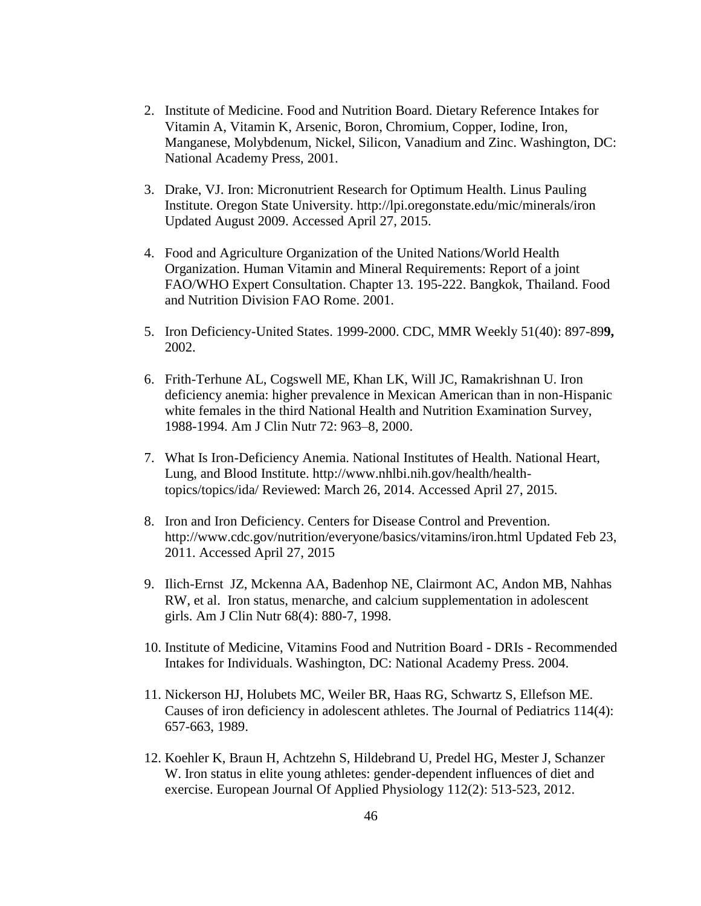- 2. Institute of Medicine. Food and Nutrition Board. Dietary Reference Intakes for Vitamin A, Vitamin K, Arsenic, Boron, Chromium, Copper, Iodine, Iron, Manganese, Molybdenum, Nickel, Silicon, Vanadium and Zinc. Washington, DC: National Academy Press, 2001.
- 3. Drake, VJ. Iron: Micronutrient Research for Optimum Health. Linus Pauling Institute. Oregon State University. http://lpi.oregonstate.edu/mic/minerals/iron Updated August 2009. Accessed April 27, 2015.
- 4. Food and Agriculture Organization of the United Nations/World Health Organization. Human Vitamin and Mineral Requirements: Report of a joint FAO/WHO Expert Consultation. Chapter 13. 195-222. Bangkok, Thailand. Food and Nutrition Division FAO Rome. 2001.
- 5. Iron Deficiency-United States. 1999-2000. CDC, MMR Weekly 51(40): 897-89**9,**  2002.
- 6. Frith-Terhune AL, Cogswell ME, Khan LK, Will JC, Ramakrishnan U. Iron deficiency anemia: higher prevalence in Mexican American than in non-Hispanic white females in the third National Health and Nutrition Examination Survey, 1988-1994. Am J Clin Nutr 72: 963–8, 2000.
- 7. What Is Iron-Deficiency Anemia. National Institutes of Health. National Heart, Lung, and Blood Institute. http://www.nhlbi.nih.gov/health/healthtopics/topics/ida/ Reviewed: March 26, 2014. Accessed April 27, 2015.
- 8. Iron and Iron Deficiency. Centers for Disease Control and Prevention. http://www.cdc.gov/nutrition/everyone/basics/vitamins/iron.html Updated Feb 23, 2011. Accessed April 27, 2015
- 9. Ilich-Ernst JZ, Mckenna AA, Badenhop NE, Clairmont AC, Andon MB, Nahhas RW, et al. Iron status, menarche, and calcium supplementation in adolescent girls. Am J Clin Nutr 68(4): 880-7, 1998.
- 10. Institute of Medicine, Vitamins Food and Nutrition Board DRIs Recommended Intakes for Individuals. Washington, DC: National Academy Press. 2004.
- 11. Nickerson HJ, Holubets MC, Weiler BR, Haas RG, Schwartz S, Ellefson ME. Causes of iron deficiency in adolescent athletes. The Journal of Pediatrics 114(4): 657-663, 1989.
- 12. Koehler K, Braun H, Achtzehn S, Hildebrand U, Predel HG, Mester J, Schanzer W. Iron status in elite young athletes: gender-dependent influences of diet and exercise. European Journal Of Applied Physiology 112(2): 513-523, 2012.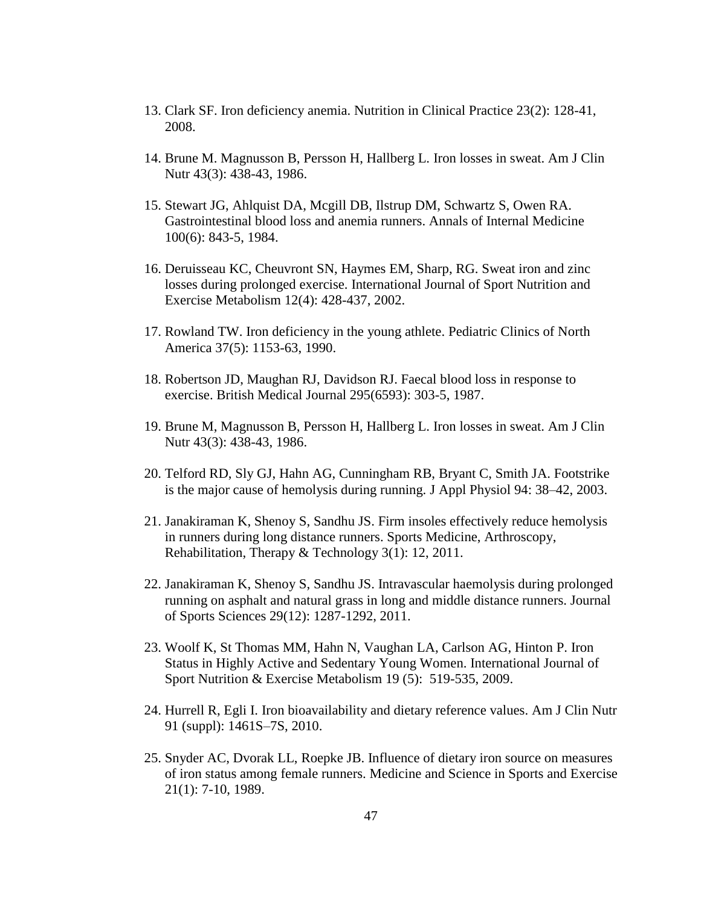- 13. Clark SF. Iron deficiency anemia. Nutrition in Clinical Practice 23(2): 128-41, 2008.
- 14. Brune M. Magnusson B, Persson H, Hallberg L. Iron losses in sweat. Am J Clin Nutr 43(3): 438-43, 1986.
- 15. Stewart JG, Ahlquist DA, Mcgill DB, Ilstrup DM, Schwartz S, Owen RA. Gastrointestinal blood loss and anemia runners. Annals of Internal Medicine 100(6): 843-5, 1984.
- 16. Deruisseau KC, Cheuvront SN, Haymes EM, Sharp, RG. Sweat iron and zinc losses during prolonged exercise. International Journal of Sport Nutrition and Exercise Metabolism 12(4): 428-437, 2002.
- 17. Rowland TW. Iron deficiency in the young athlete. Pediatric Clinics of North America 37(5): 1153-63, 1990.
- 18. Robertson JD, Maughan RJ, Davidson RJ. Faecal blood loss in response to exercise. British Medical Journal 295(6593): 303-5, 1987.
- 19. Brune M, Magnusson B, Persson H, Hallberg L. Iron losses in sweat. Am J Clin Nutr 43(3): 438-43, 1986.
- 20. Telford RD, Sly GJ, Hahn AG, Cunningham RB, Bryant C, Smith JA. Footstrike is the major cause of hemolysis during running. J Appl Physiol 94: 38–42, 2003.
- 21. Janakiraman K, Shenoy S, Sandhu JS. Firm insoles effectively reduce hemolysis in runners during long distance runners. Sports Medicine, Arthroscopy, Rehabilitation, Therapy & Technology 3(1): 12, 2011.
- 22. Janakiraman K, Shenoy S, Sandhu JS. Intravascular haemolysis during prolonged running on asphalt and natural grass in long and middle distance runners. Journal of Sports Sciences 29(12): 1287-1292, 2011.
- 23. Woolf K, St Thomas MM, Hahn N, Vaughan LA, Carlson AG, Hinton P. Iron Status in Highly Active and Sedentary Young Women. International Journal of Sport Nutrition & Exercise Metabolism 19 (5): 519-535, 2009.
- 24. Hurrell R, Egli I. Iron bioavailability and dietary reference values. Am J Clin Nutr 91 (suppl): 1461S–7S, 2010.
- 25. Snyder AC, Dvorak LL, Roepke JB. Influence of dietary iron source on measures of iron status among female runners. Medicine and Science in Sports and Exercise 21(1): 7-10, 1989.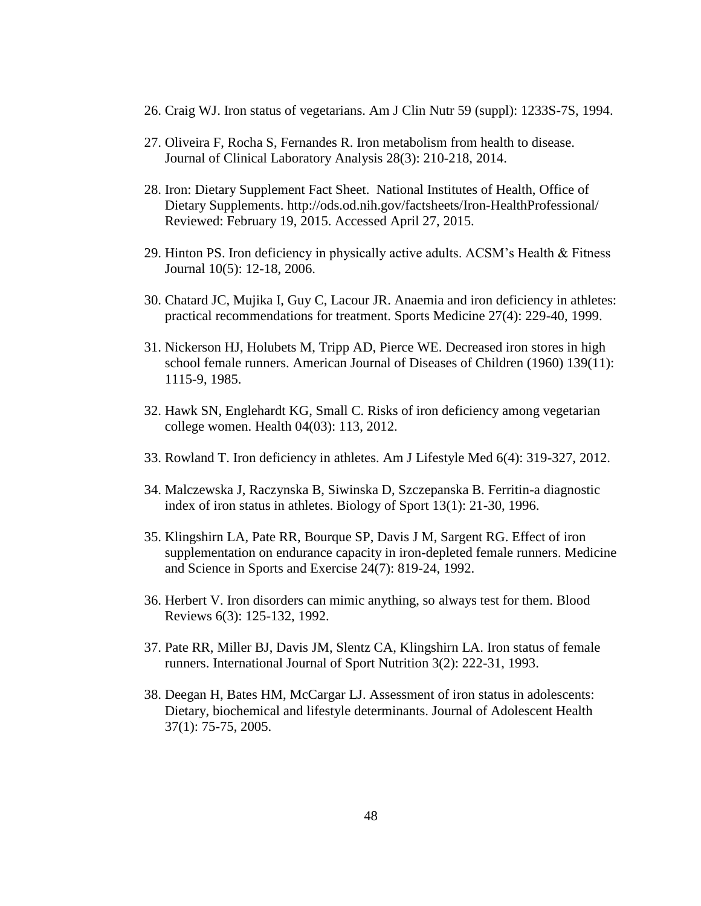- 26. Craig WJ. Iron status of vegetarians. Am J Clin Nutr 59 (suppl): 1233S-7S, 1994.
- 27. Oliveira F, Rocha S, Fernandes R. Iron metabolism from health to disease. Journal of Clinical Laboratory Analysis 28(3): 210-218, 2014.
- 28. Iron: Dietary Supplement Fact Sheet. National Institutes of Health, Office of Dietary Supplements. http://ods.od.nih.gov/factsheets/Iron-HealthProfessional/ Reviewed: February 19, 2015. Accessed April 27, 2015.
- 29. Hinton PS. Iron deficiency in physically active adults. ACSM's Health & Fitness Journal 10(5): 12-18, 2006.
- 30. Chatard JC, Mujika I, Guy C, Lacour JR. Anaemia and iron deficiency in athletes: practical recommendations for treatment. Sports Medicine 27(4): 229-40, 1999.
- 31. Nickerson HJ, Holubets M, Tripp AD, Pierce WE. Decreased iron stores in high school female runners. American Journal of Diseases of Children (1960) 139(11): 1115-9, 1985.
- 32. Hawk SN, Englehardt KG, Small C. Risks of iron deficiency among vegetarian college women. Health 04(03): 113, 2012.
- 33. Rowland T. Iron deficiency in athletes. Am J Lifestyle Med 6(4): 319-327, 2012.
- 34. Malczewska J, Raczynska B, Siwinska D, Szczepanska B. Ferritin-a diagnostic index of iron status in athletes. Biology of Sport 13(1): 21-30, 1996.
- 35. Klingshirn LA, Pate RR, Bourque SP, Davis J M, Sargent RG. Effect of iron supplementation on endurance capacity in iron-depleted female runners. Medicine and Science in Sports and Exercise 24(7): 819-24, 1992.
- 36. Herbert V. Iron disorders can mimic anything, so always test for them. Blood Reviews 6(3): 125-132, 1992.
- 37. Pate RR, Miller BJ, Davis JM, Slentz CA, Klingshirn LA. Iron status of female runners. International Journal of Sport Nutrition 3(2): 222-31, 1993.
- 38. Deegan H, Bates HM, McCargar LJ. Assessment of iron status in adolescents: Dietary, biochemical and lifestyle determinants. Journal of Adolescent Health 37(1): 75-75, 2005.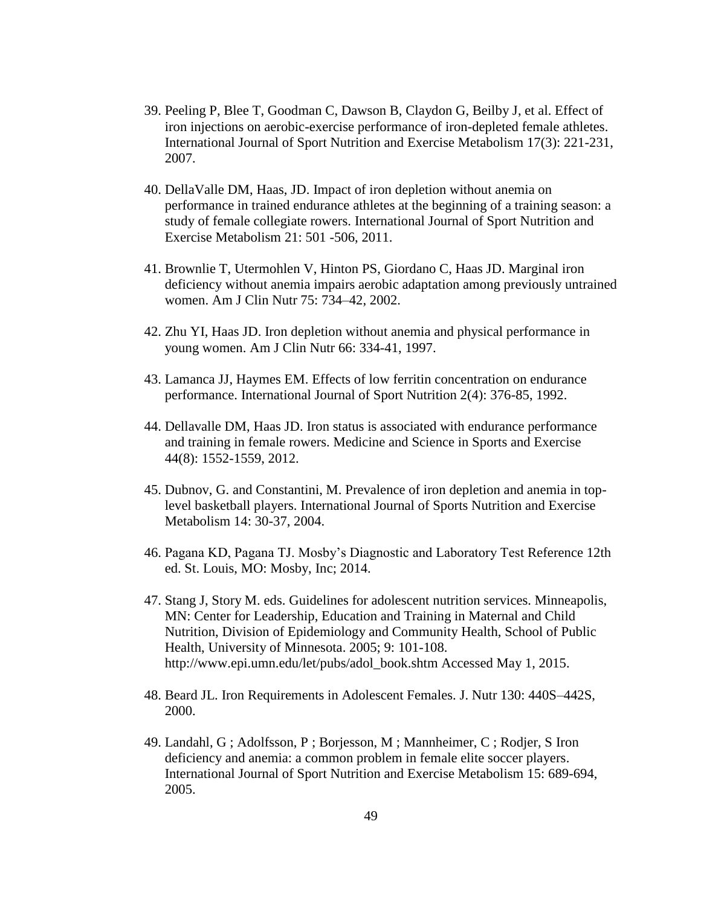- 39. Peeling P, Blee T, Goodman C, Dawson B, Claydon G, Beilby J, et al. Effect of iron injections on aerobic-exercise performance of iron-depleted female athletes. International Journal of Sport Nutrition and Exercise Metabolism 17(3): 221-231, 2007.
- 40. DellaValle DM, Haas, JD. Impact of iron depletion without anemia on performance in trained endurance athletes at the beginning of a training season: a study of female collegiate rowers. International Journal of Sport Nutrition and Exercise Metabolism 21: 501 -506, 2011.
- 41. Brownlie T, Utermohlen V, Hinton PS, Giordano C, Haas JD. Marginal iron deficiency without anemia impairs aerobic adaptation among previously untrained women. Am J Clin Nutr 75: 734–42, 2002.
- 42. Zhu YI, Haas JD. Iron depletion without anemia and physical performance in young women. Am J Clin Nutr 66: 334-41, 1997.
- 43. Lamanca JJ, Haymes EM. Effects of low ferritin concentration on endurance performance. International Journal of Sport Nutrition 2(4): 376-85, 1992.
- 44. Dellavalle DM, Haas JD. Iron status is associated with endurance performance and training in female rowers. Medicine and Science in Sports and Exercise 44(8): 1552-1559, 2012.
- 45. Dubnov, G. and Constantini, M. Prevalence of iron depletion and anemia in toplevel basketball players. International Journal of Sports Nutrition and Exercise Metabolism 14: 30-37, 2004.
- 46. Pagana KD, Pagana TJ. Mosby's Diagnostic and Laboratory Test Reference 12th ed. St. Louis, MO: Mosby, Inc; 2014.
- 47. Stang J, Story M. eds. Guidelines for adolescent nutrition services. Minneapolis, MN: Center for Leadership, Education and Training in Maternal and Child Nutrition, Division of Epidemiology and Community Health, School of Public Health, University of Minnesota. 2005; 9: 101-108. http://www.epi.umn.edu/let/pubs/adol\_book.shtm Accessed May 1, 2015.
- 48. Beard JL. Iron Requirements in Adolescent Females. J. Nutr 130: 440S–442S, 2000.
- 49. Landahl, G ; Adolfsson, P ; Borjesson, M ; Mannheimer, C ; Rodjer, S Iron deficiency and anemia: a common problem in female elite soccer players. International Journal of Sport Nutrition and Exercise Metabolism 15: 689-694, 2005.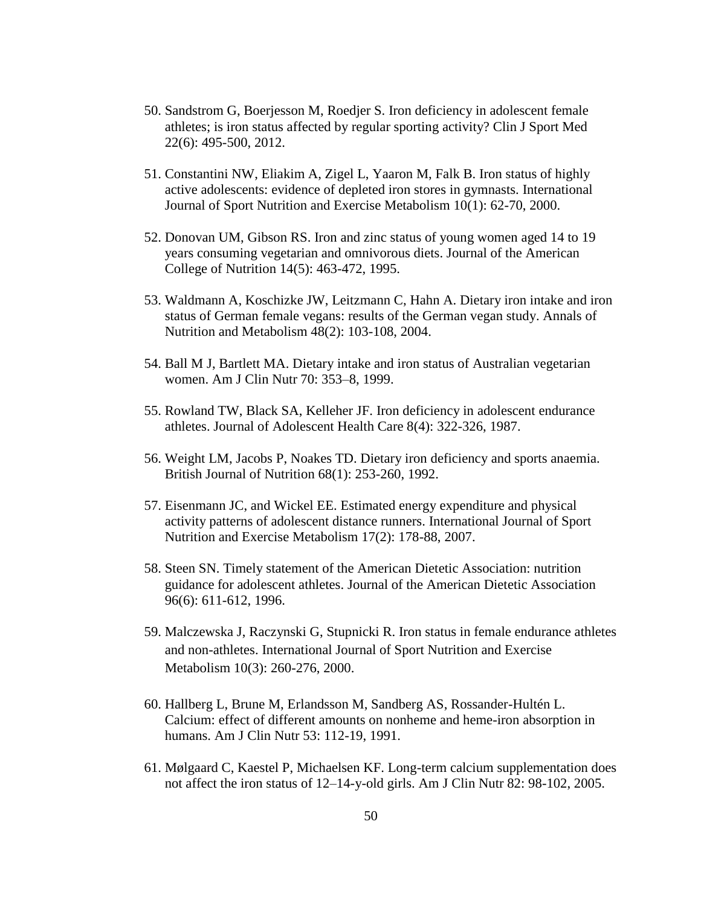- 50. Sandstrom G, Boerjesson M, Roedjer S. Iron deficiency in adolescent female athletes; is iron status affected by regular sporting activity? Clin J Sport Med 22(6): 495-500, 2012.
- 51. Constantini NW, Eliakim A, Zigel L, Yaaron M, Falk B. Iron status of highly active adolescents: evidence of depleted iron stores in gymnasts. International Journal of Sport Nutrition and Exercise Metabolism 10(1): 62-70, 2000.
- 52. Donovan UM, Gibson RS. Iron and zinc status of young women aged 14 to 19 years consuming vegetarian and omnivorous diets. Journal of the American College of Nutrition 14(5): 463-472, 1995.
- 53. Waldmann A, Koschizke JW, Leitzmann C, Hahn A. Dietary iron intake and iron status of German female vegans: results of the German vegan study. Annals of Nutrition and Metabolism 48(2): 103-108, 2004.
- 54. Ball M J, Bartlett MA. Dietary intake and iron status of Australian vegetarian women. Am J Clin Nutr 70: 353–8, 1999.
- 55. Rowland TW, Black SA, Kelleher JF. Iron deficiency in adolescent endurance athletes. Journal of Adolescent Health Care 8(4): 322-326, 1987.
- 56. Weight LM, Jacobs P, Noakes TD. Dietary iron deficiency and sports anaemia. British Journal of Nutrition 68(1): 253-260, 1992.
- 57. Eisenmann JC, and Wickel EE. Estimated energy expenditure and physical activity patterns of adolescent distance runners. International Journal of Sport Nutrition and Exercise Metabolism 17(2): 178-88, 2007.
- 58. Steen SN. Timely statement of the American Dietetic Association: nutrition guidance for adolescent athletes. Journal of the American Dietetic Association 96(6): 611-612, 1996.
- 59. Malczewska J, Raczynski G, Stupnicki R. Iron status in female endurance athletes and non-athletes. International Journal of Sport Nutrition and Exercise Metabolism 10(3): 260-276, 2000.
- 60. Hallberg L, Brune M, Erlandsson M, Sandberg AS, Rossander-Hultén L. Calcium: effect of different amounts on nonheme and heme-iron absorption in humans. Am J Clin Nutr 53: 112-19, 1991.
- 61. Mølgaard C, Kaestel P, Michaelsen KF. Long-term calcium supplementation does not affect the iron status of 12–14-y-old girls. Am J Clin Nutr 82: 98-102, 2005.